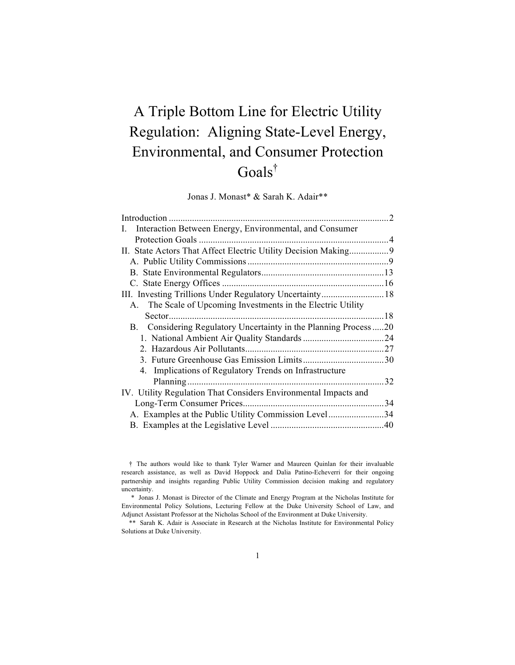# A Triple Bottom Line for Electric Utility Regulation: Aligning State-Level Energy, Environmental, and Consumer Protection Goals†

Jonas J. Monast\* & Sarah K. Adair\*\*

| I. Interaction Between Energy, Environmental, and Consumer       |     |
|------------------------------------------------------------------|-----|
|                                                                  |     |
| II. State Actors That Affect Electric Utility Decision Making9   |     |
|                                                                  |     |
|                                                                  |     |
|                                                                  |     |
|                                                                  |     |
| A. The Scale of Upcoming Investments in the Electric Utility     |     |
| Sector.                                                          |     |
| B. Considering Regulatory Uncertainty in the Planning Process 20 |     |
|                                                                  |     |
|                                                                  |     |
|                                                                  |     |
| 4. Implications of Regulatory Trends on Infrastructure           |     |
|                                                                  | 32  |
| IV. Utility Regulation That Considers Environmental Impacts and  |     |
|                                                                  |     |
|                                                                  | .34 |
|                                                                  |     |
|                                                                  |     |

<sup>†</sup> The authors would like to thank Tyler Warner and Maureen Quinlan for their invaluable research assistance, as well as David Hoppock and Dalia Patino-Echeverri for their ongoing partnership and insights regarding Public Utility Commission decision making and regulatory uncertainty.

<sup>\*</sup> Jonas J. Monast is Director of the Climate and Energy Program at the Nicholas Institute for Environmental Policy Solutions, Lecturing Fellow at the Duke University School of Law, and Adjunct Assistant Professor at the Nicholas School of the Environment at Duke University.

<sup>\*\*</sup> Sarah K. Adair is Associate in Research at the Nicholas Institute for Environmental Policy Solutions at Duke University.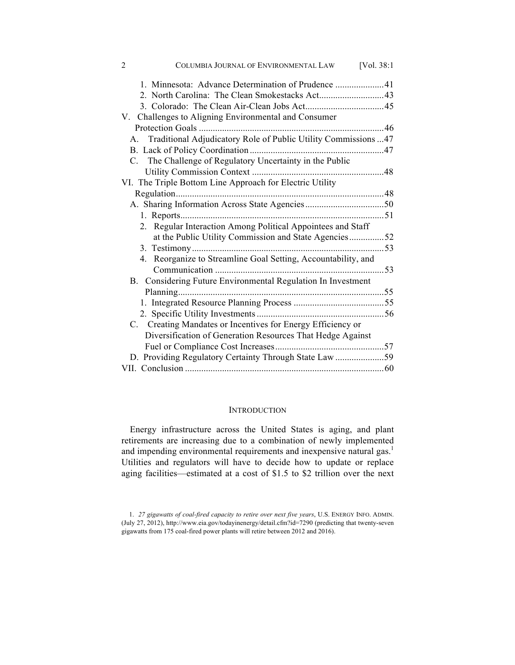| $\overline{2}$<br>COLUMBIA JOURNAL OF ENVIRONMENTAL LAW            | [Vol. 38:1] |
|--------------------------------------------------------------------|-------------|
|                                                                    |             |
|                                                                    |             |
|                                                                    |             |
| V. Challenges to Aligning Environmental and Consumer               |             |
|                                                                    |             |
| A. Traditional Adjudicatory Role of Public Utility Commissions  47 |             |
|                                                                    |             |
| C. The Challenge of Regulatory Uncertainty in the Public           |             |
|                                                                    |             |
| VI. The Triple Bottom Line Approach for Electric Utility           |             |
|                                                                    |             |
|                                                                    |             |
|                                                                    |             |
| 2. Regular Interaction Among Political Appointees and Staff        |             |
| at the Public Utility Commission and State Agencies52              |             |
|                                                                    |             |
| 4. Reorganize to Streamline Goal Setting, Accountability, and      |             |
|                                                                    |             |
| B. Considering Future Environmental Regulation In Investment       |             |
|                                                                    |             |
|                                                                    |             |
|                                                                    |             |
| C. Creating Mandates or Incentives for Energy Efficiency or        |             |
| Diversification of Generation Resources That Hedge Against         |             |
|                                                                    |             |
| D. Providing Regulatory Certainty Through State Law 59             |             |
|                                                                    |             |

## **INTRODUCTION**

Energy infrastructure across the United States is aging, and plant retirements are increasing due to a combination of newly implemented and impending environmental requirements and inexpensive natural gas. $1$ Utilities and regulators will have to decide how to update or replace aging facilities—estimated at a cost of \$1.5 to \$2 trillion over the next

<sup>1.</sup> *27 gigawatts of coal-fired capacity to retire over next five years*, U.S. ENERGY INFO. ADMIN. (July 27, 2012), http://www.eia.gov/todayinenergy/detail.cfm?id=7290 (predicting that twenty-seven gigawatts from 175 coal-fired power plants will retire between 2012 and 2016).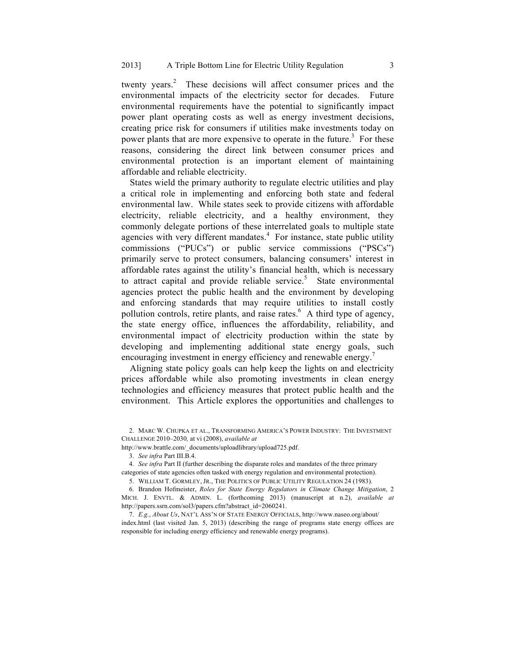twenty years. $\degree$  These decisions will affect consumer prices and the environmental impacts of the electricity sector for decades. Future environmental requirements have the potential to significantly impact power plant operating costs as well as energy investment decisions, creating price risk for consumers if utilities make investments today on power plants that are more expensive to operate in the future.<sup>3</sup> For these reasons, considering the direct link between consumer prices and environmental protection is an important element of maintaining affordable and reliable electricity.

States wield the primary authority to regulate electric utilities and play a critical role in implementing and enforcing both state and federal environmental law. While states seek to provide citizens with affordable electricity, reliable electricity, and a healthy environment, they commonly delegate portions of these interrelated goals to multiple state agencies with very different mandates. $4$  For instance, state public utility commissions ("PUCs") or public service commissions ("PSCs") primarily serve to protect consumers, balancing consumers' interest in affordable rates against the utility's financial health, which is necessary to attract capital and provide reliable service.<sup>5</sup> State environmental agencies protect the public health and the environment by developing and enforcing standards that may require utilities to install costly pollution controls, retire plants, and raise rates.<sup>6</sup> A third type of agency, the state energy office, influences the affordability, reliability, and environmental impact of electricity production within the state by developing and implementing additional state energy goals, such encouraging investment in energy efficiency and renewable energy.<sup>7</sup>

Aligning state policy goals can help keep the lights on and electricity prices affordable while also promoting investments in clean energy technologies and efficiency measures that protect public health and the environment. This Article explores the opportunities and challenges to

http://www.brattle.com/\_documents/uploadlibrary/upload725.pdf.

4. *See infra* Part II (further describing the disparate roles and mandates of the three primary categories of state agencies often tasked with energy regulation and environmental protection).

6. Brandon Hofmeister, *Roles for State Energy Regulators in Climate Change Mitigation*, 2 MICH. J. ENVTL. & ADMIN. L. (forthcoming 2013) (manuscript at n.2), *available at* http://papers.ssrn.com/sol3/papers.cfm?abstract\_id=2060241.

7. *E.g.*, *About Us*, NAT'L ASS'N OF STATE ENERGY OFFICIALS, http://www.naseo.org/about/ index.html (last visited Jan. 5, 2013) (describing the range of programs state energy offices are responsible for including energy efficiency and renewable energy programs).

<sup>2.</sup> MARC W. CHUPKA ET AL., TRANSFORMING AMERICA'S POWER INDUSTRY: THE INVESTMENT CHALLENGE 2010–2030*,* at vi (2008), *available at*

<sup>3.</sup> *See infra* Part III.B.4.

<sup>5.</sup> WILLIAM T. GORMLEY, JR., THE POLITICS OF PUBLIC UTILITY REGULATION 24 (1983).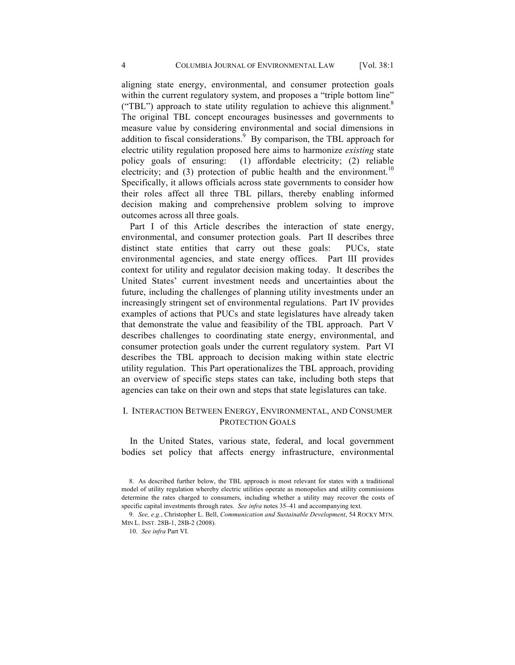aligning state energy, environmental, and consumer protection goals within the current regulatory system, and proposes a "triple bottom line" ("TBL") approach to state utility regulation to achieve this alignment. $8$ The original TBL concept encourages businesses and governments to measure value by considering environmental and social dimensions in addition to fiscal considerations. $9$  By comparison, the TBL approach for electric utility regulation proposed here aims to harmonize *existing* state policy goals of ensuring: (1) affordable electricity; (2) reliable electricity; and (3) protection of public health and the environment.<sup>10</sup> Specifically, it allows officials across state governments to consider how their roles affect all three TBL pillars, thereby enabling informed decision making and comprehensive problem solving to improve outcomes across all three goals.

Part I of this Article describes the interaction of state energy, environmental, and consumer protection goals. Part II describes three distinct state entities that carry out these goals: PUCs, state environmental agencies, and state energy offices. Part III provides context for utility and regulator decision making today. It describes the United States' current investment needs and uncertainties about the future, including the challenges of planning utility investments under an increasingly stringent set of environmental regulations. Part IV provides examples of actions that PUCs and state legislatures have already taken that demonstrate the value and feasibility of the TBL approach. Part V describes challenges to coordinating state energy, environmental, and consumer protection goals under the current regulatory system. Part VI describes the TBL approach to decision making within state electric utility regulation. This Part operationalizes the TBL approach, providing an overview of specific steps states can take, including both steps that agencies can take on their own and steps that state legislatures can take.

# I. INTERACTION BETWEEN ENERGY, ENVIRONMENTAL, AND CONSUMER PROTECTION GOALS

In the United States, various state, federal, and local government bodies set policy that affects energy infrastructure, environmental

<sup>8.</sup> As described further below, the TBL approach is most relevant for states with a traditional model of utility regulation whereby electric utilities operate as monopolies and utility commissions determine the rates charged to consumers, including whether a utility may recover the costs of specific capital investments through rates. *See infra* notes 35–41 and accompanying text.

<sup>9.</sup> *See, e.g.*, Christopher L. Bell, *Communication and Sustainable Development*, 54 ROCKY MTN. MIN L. INST. 28B-1, 28B-2 (2008).

<sup>10.</sup> *See infra* Part VI.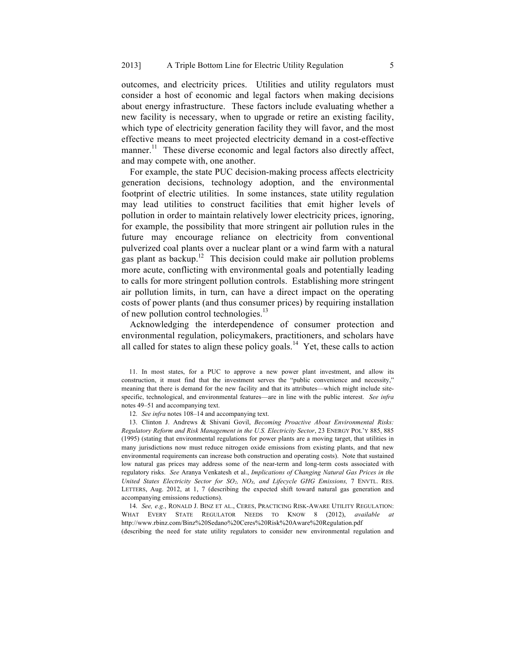outcomes, and electricity prices. Utilities and utility regulators must consider a host of economic and legal factors when making decisions about energy infrastructure. These factors include evaluating whether a new facility is necessary, when to upgrade or retire an existing facility, which type of electricity generation facility they will favor, and the most effective means to meet projected electricity demand in a cost-effective manner.<sup>11</sup> These diverse economic and legal factors also directly affect, and may compete with, one another.

For example, the state PUC decision-making process affects electricity generation decisions, technology adoption, and the environmental footprint of electric utilities. In some instances, state utility regulation may lead utilities to construct facilities that emit higher levels of pollution in order to maintain relatively lower electricity prices, ignoring, for example, the possibility that more stringent air pollution rules in the future may encourage reliance on electricity from conventional pulverized coal plants over a nuclear plant or a wind farm with a natural gas plant as backup.<sup>12</sup> This decision could make air pollution problems more acute, conflicting with environmental goals and potentially leading to calls for more stringent pollution controls. Establishing more stringent air pollution limits, in turn, can have a direct impact on the operating costs of power plants (and thus consumer prices) by requiring installation of new pollution control technologies.<sup>13</sup>

Acknowledging the interdependence of consumer protection and environmental regulation, policymakers, practitioners, and scholars have all called for states to align these policy goals.<sup>14</sup> Yet, these calls to action

12. *See infra* notes 108–14 and accompanying text.

13. Clinton J. Andrews & Shivani Govil, *Becoming Proactive About Environmental Risks: Regulatory Reform and Risk Management in the U.S. Electricity Sector*, 23 ENERGY POL'Y 885, 885 (1995) (stating that environmental regulations for power plants are a moving target, that utilities in many jurisdictions now must reduce nitrogen oxide emissions from existing plants, and that new environmental requirements can increase both construction and operating costs). Note that sustained low natural gas prices may address some of the near-term and long-term costs associated with regulatory risks. *See* Aranya Venkatesh et al., *Implications of Changing Natural Gas Prices in the United States Electricity Sector for SO<sub>2</sub>, NO<sub>X</sub>, and Lifecycle GHG Emissions, 7 ENVTL. RES.* LETTERS, Aug. 2012, at 1, 7 (describing the expected shift toward natural gas generation and accompanying emissions reductions).

14. *See, e.g.*, RONALD J. BINZ ET AL., CERES, PRACTICING RISK-AWARE UTILITY REGULATION: WHAT EVERY STATE REGULATOR NEEDS TO KNOW 8 (2012), *available* http://www.rbinz.com/Binz%20Sedano%20Ceres%20Risk%20Aware%20Regulation.pdf (describing the need for state utility regulators to consider new environmental regulation and

<sup>11.</sup> In most states, for a PUC to approve a new power plant investment, and allow its construction, it must find that the investment serves the "public convenience and necessity," meaning that there is demand for the new facility and that its attributes—which might include sitespecific, technological, and environmental features—are in line with the public interest. *See infra* notes 49–51 and accompanying text.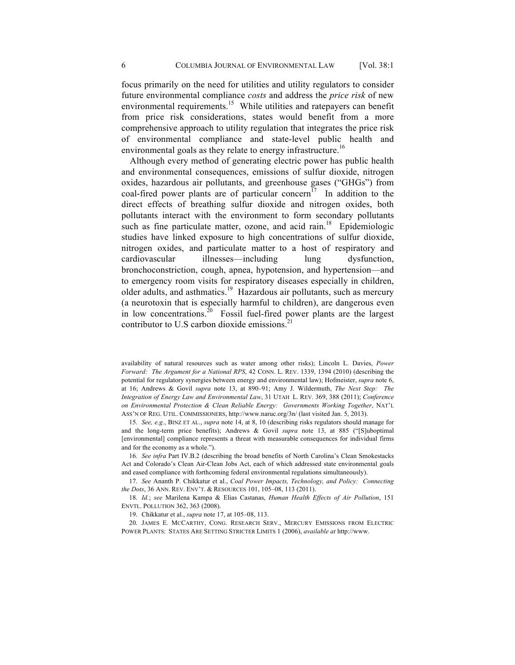focus primarily on the need for utilities and utility regulators to consider future environmental compliance *costs* and address the *price risk* of new environmental requirements.<sup>15</sup> While utilities and ratepayers can benefit from price risk considerations, states would benefit from a more comprehensive approach to utility regulation that integrates the price risk of environmental compliance and state-level public health and environmental goals as they relate to energy infrastructure.<sup>16</sup>

Although every method of generating electric power has public health and environmental consequences, emissions of sulfur dioxide, nitrogen oxides, hazardous air pollutants, and greenhouse gases ("GHGs") from coal-fired power plants are of particular concern<sup>17</sup> In addition to the direct effects of breathing sulfur dioxide and nitrogen oxides, both pollutants interact with the environment to form secondary pollutants such as fine particulate matter, ozone, and acid rain. $18$  Epidemiologic studies have linked exposure to high concentrations of sulfur dioxide, nitrogen oxides, and particulate matter to a host of respiratory and cardiovascular illnesses—including lung dysfunction, bronchoconstriction, cough, apnea, hypotension, and hypertension—and to emergency room visits for respiratory diseases especially in children, older adults, and asthmatics.19 Hazardous air pollutants, such as mercury (a neurotoxin that is especially harmful to children), are dangerous even in low concentrations.<sup>20</sup> Fossil fuel-fired power plants are the largest contributor to U.S carbon dioxide emissions. $^{21}$ 

availability of natural resources such as water among other risks); Lincoln L. Davies, *Power Forward: The Argument for a National RPS*, 42 CONN. L. REV. 1339, 1394 (2010) (describing the potential for regulatory synergies between energy and environmental law); Hofmeister, *supra* note 6, at 16; Andrews & Govil *supra* note 13, at 890–91; Amy J. Wildermuth, *The Next Step: The Integration of Energy Law and Environmental Law*, 31 UTAH L. REV. 369, 388 (2011); *Conference on Environmental Protection & Clean Reliable Energy: Governments Working Together*, NAT'L ASS'N OF REG. UTIL. COMMISSIONERS, http://www.naruc.org/3n/ (last visited Jan. 5, 2013).

15. *See, e.g.*, BINZ ET AL., *supra* note 14, at 8, 10 (describing risks regulators should manage for and the long-term price benefits); Andrews & Govil *supra* note 13, at 885 ("[S]uboptimal [environmental] compliance represents a threat with measurable consequences for individual firms and for the economy as a whole.").

16. *See infra* Part IV.B.2 (describing the broad benefits of North Carolina's Clean Smokestacks Act and Colorado's Clean Air-Clean Jobs Act, each of which addressed state environmental goals and eased compliance with forthcoming federal environmental regulations simultaneously).

17. *See* Ananth P. Chikkatur et al., *Coal Power Impacts, Technology, and Policy: Connecting the Dots*, 36 ANN. REV. ENV'T. & RESOURCES 101, 105–08, 113 (2011).

18. *Id.*; *see* Marilena Kampa & Elias Castanas, *Human Health Effects of Air Pollution*, 151 ENVTL. POLLUTION 362, 363 (2008).

19. Chikkatur et al., *supra* note 17, at 105–08, 113.

20. JAMES E. MCCARTHY, CONG. RESEARCH SERV., MERCURY EMISSIONS FROM ELECTRIC POWER PLANTS: STATES ARE SETTING STRICTER LIMITS 1 (2006), *available at* http://www.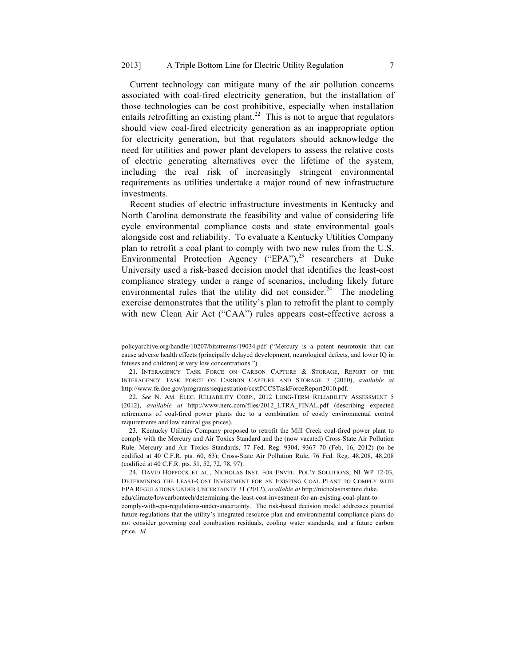Current technology can mitigate many of the air pollution concerns associated with coal-fired electricity generation, but the installation of those technologies can be cost prohibitive, especially when installation entails retrofitting an existing plant.<sup>22</sup> This is not to argue that regulators should view coal-fired electricity generation as an inappropriate option for electricity generation, but that regulators should acknowledge the need for utilities and power plant developers to assess the relative costs of electric generating alternatives over the lifetime of the system, including the real risk of increasingly stringent environmental requirements as utilities undertake a major round of new infrastructure investments.

Recent studies of electric infrastructure investments in Kentucky and North Carolina demonstrate the feasibility and value of considering life cycle environmental compliance costs and state environmental goals alongside cost and reliability. To evaluate a Kentucky Utilities Company plan to retrofit a coal plant to comply with two new rules from the U.S. Environmental Protection Agency ("EPA"),<sup>23</sup> researchers at Duke University used a risk-based decision model that identifies the least-cost compliance strategy under a range of scenarios, including likely future environmental rules that the utility did not consider.<sup>24</sup> The modeling exercise demonstrates that the utility's plan to retrofit the plant to comply with new Clean Air Act ("CAA") rules appears cost-effective across a

21. INTERAGENCY TASK FORCE ON CARBON CAPTURE & STORAGE, REPORT OF THE INTERAGENCY TASK FORCE ON CARBON CAPTURE AND STORAGE 7 (2010), *available at*  http://www.fe.doe.gov/programs/sequestration/ccstf/CCSTaskForceReport2010.pdf.

22. *See* N. AM. ELEC. RELIABILITY CORP., 2012 LONG-TERM RELIABILITY ASSESSMENT 5 (2012), *available at* http://www.nerc.com/files/2012\_LTRA\_FINAL.pdf (describing expected retirements of coal-fired power plants due to a combination of costly environmental control requirements and low natural gas prices).

23. Kentucky Utilities Company proposed to retrofit the Mill Creek coal-fired power plant to comply with the Mercury and Air Toxics Standard and the (now vacated) Cross-State Air Pollution Rule. Mercury and Air Toxics Standards, 77 Fed. Reg. 9304, 9367–70 (Feb, 16, 2012) (to be codified at 40 C.F.R. pts. 60, 63); Cross-State Air Pollution Rule, 76 Fed. Reg. 48,208, 48,208 (codified at 40 C.F.R. pts. 51, 52, 72, 78, 97).

24. DAVID HOPPOCK ET AL., NICHOLAS INST. FOR ENVTL. POL'Y SOLUTIONS, NI WP 12-03, DETERMINING THE LEAST-COST INVESTMENT FOR AN EXISTING COAL PLANT TO COMPLY WITH EPA REGULATIONS UNDER UNCERTAINTY 31 (2012), *available at* http://nicholasinstitute.duke.

edu/climate/lowcarbontech/determining-the-least-cost-investment-for-an-existing-coal-plant-tocomply-with-epa-regulations-under-uncertainty. The risk-based decision model addresses potential future regulations that the utility's integrated resource plan and environmental compliance plans do not consider governing coal combustion residuals, cooling water standards, and a future carbon price. *Id.*

policyarchive.org/handle/10207/bitstreams/19034.pdf ("Mercury is a potent neurotoxin that can cause adverse health effects (principally delayed development, neurological defects, and lower IQ in fetuses and children) at very low concentrations.").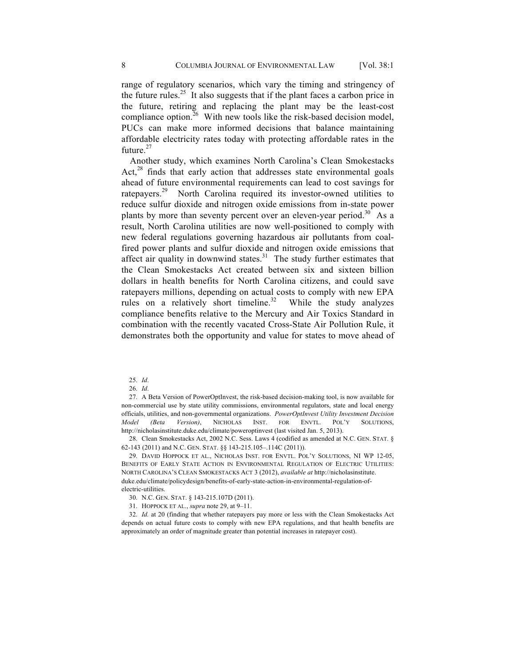range of regulatory scenarios, which vary the timing and stringency of the future rules.<sup>25</sup> It also suggests that if the plant faces a carbon price in the future, retiring and replacing the plant may be the least-cost compliance option. $26$  With new tools like the risk-based decision model, PUCs can make more informed decisions that balance maintaining affordable electricity rates today with protecting affordable rates in the future $27$ 

Another study, which examines North Carolina's Clean Smokestacks Act, $28$  finds that early action that addresses state environmental goals ahead of future environmental requirements can lead to cost savings for ratepayers.<sup>29</sup> North Carolina required its investor-owned utilities to reduce sulfur dioxide and nitrogen oxide emissions from in-state power plants by more than seventy percent over an eleven-year period.<sup>30</sup> As a result, North Carolina utilities are now well-positioned to comply with new federal regulations governing hazardous air pollutants from coalfired power plants and sulfur dioxide and nitrogen oxide emissions that affect air quality in downwind states.<sup>31</sup> The study further estimates that the Clean Smokestacks Act created between six and sixteen billion dollars in health benefits for North Carolina citizens, and could save ratepayers millions, depending on actual costs to comply with new EPA rules on a relatively short timeline.<sup>32</sup> While the study analyzes compliance benefits relative to the Mercury and Air Toxics Standard in combination with the recently vacated Cross-State Air Pollution Rule, it demonstrates both the opportunity and value for states to move ahead of

27. A Beta Version of PowerOptInvest, the risk-based decision-making tool, is now available for non-commercial use by state utility commissions, environmental regulators, state and local energy officials, utilities, and non-governmental organizations. *PowerOptInvest Utility Investment Decision Model (Beta Version)*, NICHOLAS INST. FOR ENVTL. POL'Y SOLUTIONS, http://nicholasinstitute.duke.edu/climate/poweroptinvest (last visited Jan. 5, 2013).

28. Clean Smokestacks Act, 2002 N.C. Sess. Laws 4 (codified as amended at N.C. GEN. STAT. § 62-143 (2011) and N.C. GEN. STAT. §§ 143-215.105–.114C (2011)).

29. DAVID HOPPOCK ET AL., NICHOLAS INST. FOR ENVTL. POL'Y SOLUTIONS, NI WP 12-05, BENEFITS OF EARLY STATE ACTION IN ENVIRONMENTAL REGULATION OF ELECTRIC UTILITIES: NORTH CAROLINA'S CLEAN SMOKESTACKS ACT 3 (2012), *available at* http://nicholasinstitute. duke.edu/climate/policydesign/benefits-of-early-state-action-in-environmental-regulation-ofelectric-utilities.

- 30. N.C. GEN. STAT. § 143-215.107D (2011).
- 31. HOPPOCK ET AL., *supra* note 29, at 9–11.

32. *Id.* at 20 (finding that whether ratepayers pay more or less with the Clean Smokestacks Act depends on actual future costs to comply with new EPA regulations, and that health benefits are approximately an order of magnitude greater than potential increases in ratepayer cost).

<sup>25.</sup> *Id*.

<sup>26.</sup> *Id*.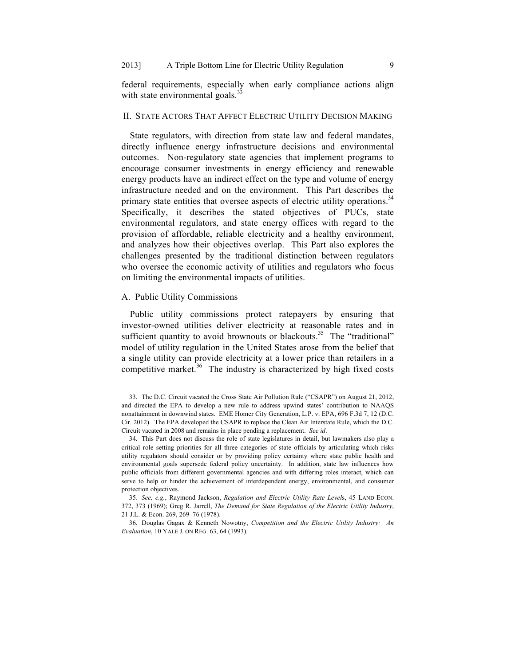federal requirements, especially when early compliance actions align with state environmental goals.<sup>33</sup>

# II. STATE ACTORS THAT AFFECT ELECTRIC UTILITY DECISION MAKING

State regulators, with direction from state law and federal mandates, directly influence energy infrastructure decisions and environmental outcomes. Non-regulatory state agencies that implement programs to encourage consumer investments in energy efficiency and renewable energy products have an indirect effect on the type and volume of energy infrastructure needed and on the environment. This Part describes the primary state entities that oversee aspects of electric utility operations.<sup>34</sup> Specifically, it describes the stated objectives of PUCs, state environmental regulators, and state energy offices with regard to the provision of affordable, reliable electricity and a healthy environment, and analyzes how their objectives overlap. This Part also explores the challenges presented by the traditional distinction between regulators who oversee the economic activity of utilities and regulators who focus on limiting the environmental impacts of utilities.

## A. Public Utility Commissions

Public utility commissions protect ratepayers by ensuring that investor-owned utilities deliver electricity at reasonable rates and in sufficient quantity to avoid brownouts or blackouts.<sup>35</sup> The "traditional" model of utility regulation in the United States arose from the belief that a single utility can provide electricity at a lower price than retailers in a competitive market. $36$  The industry is characterized by high fixed costs

34. This Part does not discuss the role of state legislatures in detail, but lawmakers also play a critical role setting priorities for all three categories of state officials by articulating which risks utility regulators should consider or by providing policy certainty where state public health and environmental goals supersede federal policy uncertainty. In addition, state law influences how public officials from different governmental agencies and with differing roles interact, which can serve to help or hinder the achievement of interdependent energy, environmental, and consumer protection objectives.

35*. See, e.g.*, Raymond Jackson, *Regulation and Electric Utility Rate Level*s, 45 LAND ECON. 372, 373 (1969); Greg R. Jarrell, *The Demand for State Regulation of the Electric Utility Industry*, 21 J.L. & Econ. 269, 269–76 (1978).

36. Douglas Gagax & Kenneth Nowotny, *Competition and the Electric Utility Industry: An Evaluation*, 10 YALE J. ON REG. 63, 64 (1993).

<sup>33.</sup> The D.C. Circuit vacated the Cross State Air Pollution Rule ("CSAPR") on August 21, 2012, and directed the EPA to develop a new rule to address upwind states' contribution to NAAQS nonattainment in downwind states. EME Homer City Generation, L.P. v. EPA, 696 F.3d 7, 12 (D.C. Cir. 2012). The EPA developed the CSAPR to replace the Clean Air Interstate Rule, which the D.C. Circuit vacated in 2008 and remains in place pending a replacement. *See id*.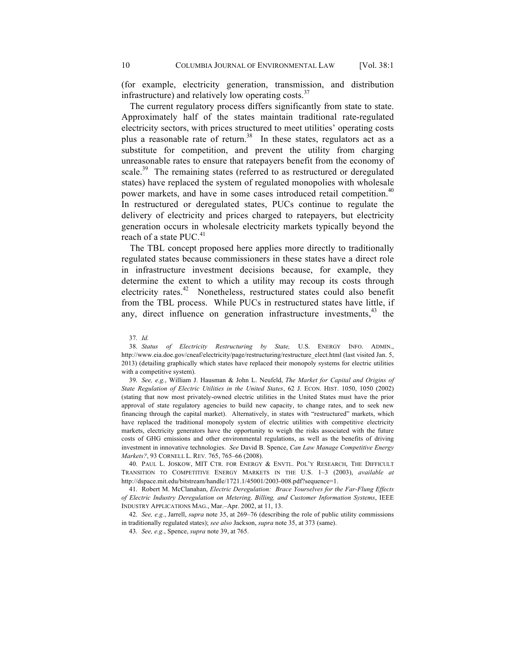(for example, electricity generation, transmission, and distribution infrastructure) and relatively low operating costs.<sup>37</sup>

The current regulatory process differs significantly from state to state. Approximately half of the states maintain traditional rate-regulated electricity sectors, with prices structured to meet utilities' operating costs plus a reasonable rate of return.<sup>38</sup> In these states, regulators act as a substitute for competition, and prevent the utility from charging unreasonable rates to ensure that ratepayers benefit from the economy of scale.<sup>39</sup> The remaining states (referred to as restructured or deregulated states) have replaced the system of regulated monopolies with wholesale power markets, and have in some cases introduced retail competition.<sup>40</sup> In restructured or deregulated states, PUCs continue to regulate the delivery of electricity and prices charged to ratepayers, but electricity generation occurs in wholesale electricity markets typically beyond the reach of a state  $PUC<sup>41</sup>$ 

The TBL concept proposed here applies more directly to traditionally regulated states because commissioners in these states have a direct role in infrastructure investment decisions because, for example, they determine the extent to which a utility may recoup its costs through electricity rates.<sup>42</sup> Nonetheless, restructured states could also benefit from the TBL process. While PUCs in restructured states have little, if any, direct influence on generation infrastructure investments,<sup>43</sup> the

38. *Status of Electricity Restructuring by State,* U.S. ENERGY INFO. ADMIN., http://www.eia.doe.gov/cneaf/electricity/page/restructuring/restructure\_elect.html (last visited Jan. 5, 2013) (detailing graphically which states have replaced their monopoly systems for electric utilities with a competitive system).

39. *See, e.g.*, William J. Hausman & John L. Neufeld, *The Market for Capital and Origins of State Regulation of Electric Utilities in the United States*, 62 J. ECON. HIST. 1050, 1050 (2002) (stating that now most privately-owned electric utilities in the United States must have the prior approval of state regulatory agencies to build new capacity, to change rates, and to seek new financing through the capital market). Alternatively, in states with "restructured" markets, which have replaced the traditional monopoly system of electric utilities with competitive electricity markets, electricity generators have the opportunity to weigh the risks associated with the future costs of GHG emissions and other environmental regulations, as well as the benefits of driving investment in innovative technologies. *See* David B. Spence, *Can Law Manage Competitive Energy Markets?*, 93 CORNELL L. REV. 765, 765–66 (2008).

40. PAUL L. JOSKOW, MIT CTR. FOR ENERGY & ENVTL. POL'Y RESEARCH, THE DIFFICULT TRANSITION TO COMPETITIVE ENERGY MARKETS IN THE U.S. 1–3 (2003), *available at*  http://dspace.mit.edu/bitstream/handle/1721.1/45001/2003-008.pdf?sequence=1.

41. Robert M. McClanahan, *Electric Deregulation: Brace Yourselves for the Far-Flung Effects of Electric Industry Deregulation on Metering, Billing, and Customer Information Systems*, IEEE INDUSTRY APPLICATIONS MAG., Mar.–Apr. 2002, at 11, 13.

42. *See, e.g.*, Jarrell, *supra* note 35, at 269–76 (describing the role of public utility commissions in traditionally regulated states); *see also* Jackson, *supra* note 35, at 373 (same).

43. *See, e.g.*, Spence, *supra* note 39, at 765.

<sup>37.</sup> *Id.*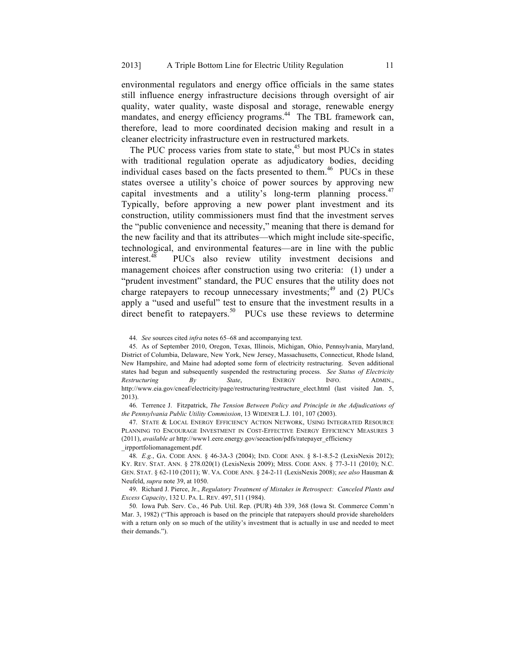environmental regulators and energy office officials in the same states still influence energy infrastructure decisions through oversight of air quality, water quality, waste disposal and storage, renewable energy mandates, and energy efficiency programs.<sup>44</sup> The TBL framework can, therefore, lead to more coordinated decision making and result in a cleaner electricity infrastructure even in restructured markets.

The PUC process varies from state to state,<sup>45</sup> but most PUCs in states with traditional regulation operate as adjudicatory bodies, deciding individual cases based on the facts presented to them.<sup>46</sup> PUCs in these states oversee a utility's choice of power sources by approving new capital investments and a utility's long-term planning process.<sup>47</sup> Typically, before approving a new power plant investment and its construction, utility commissioners must find that the investment serves the "public convenience and necessity," meaning that there is demand for the new facility and that its attributes—which might include site-specific, technological, and environmental features—are in line with the public interest.<sup>48</sup> PUCs also review utility investment decisions and management choices after construction using two criteria: (1) under a "prudent investment" standard, the PUC ensures that the utility does not charge ratepayers to recoup unnecessary investments;  $49$  and (2) PUCs apply a "used and useful" test to ensure that the investment results in a direct benefit to ratepayers.<sup>50</sup> PUCs use these reviews to determine

46. Terrence J. Fitzpatrick, *The Tension Between Policy and Principle in the Adjudications of the Pennsylvania Public Utility Commission*, 13 WIDENER L.J. 101, 107 (2003).

47. STATE & LOCAL ENERGY EFFICIENCY ACTION NETWORK, USING INTEGRATED RESOURCE PLANNING TO ENCOURAGE INVESTMENT IN COST-EFFECTIVE ENERGY EFFICIENCY MEASURES 3 (2011), *available at* http://www1.eere.energy.gov/seeaction/pdfs/ratepayer\_efficiency

\_irpportfoliomanagement.pdf.

48. *E.g.*, GA. CODE ANN. § 46-3A-3 (2004); IND. CODE ANN. § 8-1-8.5-2 (LexisNexis 2012); KY. REV. STAT. ANN. § 278.020(1) (LexisNexis 2009); MISS. CODE ANN. § 77-3-11 (2010); N.C. GEN. STAT. § 62-110 (2011); W. VA. CODE ANN. § 24-2-11 (LexisNexis 2008); *see also* Hausman & Neufeld, *supra* note 39, at 1050.

49. Richard J. Pierce, Jr., *Regulatory Treatment of Mistakes in Retrospect: Canceled Plants and Excess Capacity*, 132 U. PA. L. REV. 497, 511 (1984).

50. Iowa Pub. Serv. Co., 46 Pub. Util. Rep. (PUR) 4th 339, 368 (Iowa St. Commerce Comm'n Mar. 3, 1982) ("This approach is based on the principle that ratepayers should provide shareholders with a return only on so much of the utility's investment that is actually in use and needed to meet their demands.").

<sup>44.</sup> *See* sources cited *infra* notes 65–68 and accompanying text.

<sup>45.</sup> As of September 2010, Oregon, Texas, Illinois, Michigan, Ohio, Pennsylvania, Maryland, District of Columbia, Delaware, New York, New Jersey, Massachusetts, Connecticut, Rhode Island, New Hampshire, and Maine had adopted some form of electricity restructuring. Seven additional states had begun and subsequently suspended the restructuring process. *See Status of Electricity Restructuring By State*, ENERGY INFO. ADMIN., http://www.eia.gov/cneaf/electricity/page/restructuring/restructure\_elect.html (last visited Jan. 5, 2013).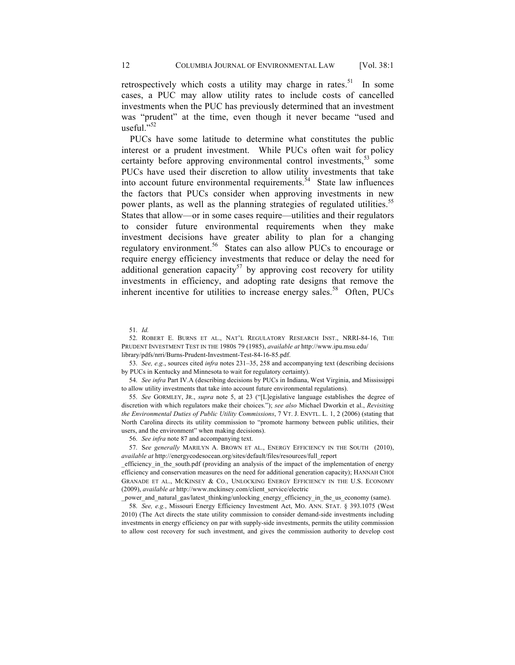retrospectively which costs a utility may charge in rates.<sup>51</sup> In some cases, a PUC may allow utility rates to include costs of cancelled investments when the PUC has previously determined that an investment was "prudent" at the time, even though it never became "used and useful."52

PUCs have some latitude to determine what constitutes the public interest or a prudent investment. While PUCs often wait for policy certainty before approving environmental control investments,<sup>53</sup> some PUCs have used their discretion to allow utility investments that take into account future environmental requirements.<sup>54</sup> State law influences the factors that PUCs consider when approving investments in new power plants, as well as the planning strategies of regulated utilities.<sup>55</sup> States that allow—or in some cases require—utilities and their regulators to consider future environmental requirements when they make investment decisions have greater ability to plan for a changing regulatory environment.<sup>56</sup> States can also allow PUCs to encourage or require energy efficiency investments that reduce or delay the need for additional generation capacity<sup>57</sup> by approving cost recovery for utility investments in efficiency, and adopting rate designs that remove the inherent incentive for utilities to increase energy sales.<sup>58</sup> Often, PUCs

51. *Id.*

52. ROBERT E. BURNS ET AL., NAT'L REGULATORY RESEARCH INST., NRRI-84-16, THE PRUDENT INVESTMENT TEST IN THE 1980S 79 (1985), *available at* http://www.ipu.msu.edu/ library/pdfs/nrri/Burns-Prudent-Investment-Test-84-16-85.pdf.

53. *See, e.g.*, sources cited *infra* notes 231–35, 258 and accompanying text (describing decisions by PUCs in Kentucky and Minnesota to wait for regulatory certainty).

54. *See infra* Part IV.A (describing decisions by PUCs in Indiana, West Virginia, and Mississippi to allow utility investments that take into account future environmental regulations).

55. *See* GORMLEY, JR., *supra* note 5, at 23 ("[L]egislative language establishes the degree of discretion with which regulators make their choices."); *see also* Michael Dworkin et al., *Revisiting the Environmental Duties of Public Utility Commissions*, 7 VT. J. ENVTL. L. 1, 2 (2006) (stating that North Carolina directs its utility commission to "promote harmony between public utilities, their users, and the environment" when making decisions).

56. *See infra* note 87 and accompanying text.

57. S*ee generally* MARILYN A. BROWN ET AL., ENERGY EFFICIENCY IN THE SOUTH (2010), *available at* http://energycodesocean.org/sites/default/files/resources/full\_report

\_efficiency\_in\_the\_south.pdf (providing an analysis of the impact of the implementation of energy efficiency and conservation measures on the need for additional generation capacity); HANNAH CHOI GRANADE ET AL., MCKINSEY & CO., UNLOCKING ENERGY EFFICIENCY IN THE U.S. ECONOMY (2009), *available at* http://www.mckinsey.com/client\_service/electric

\_power\_and\_natural\_gas/latest\_thinking/unlocking\_energy\_efficiency\_in\_the\_us\_economy (same).

58. *See, e.g.*, Missouri Energy Efficiency Investment Act, MO. ANN. STAT. § 393.1075 (West 2010) (The Act directs the state utility commission to consider demand-side investments including investments in energy efficiency on par with supply-side investments, permits the utility commission to allow cost recovery for such investment, and gives the commission authority to develop cost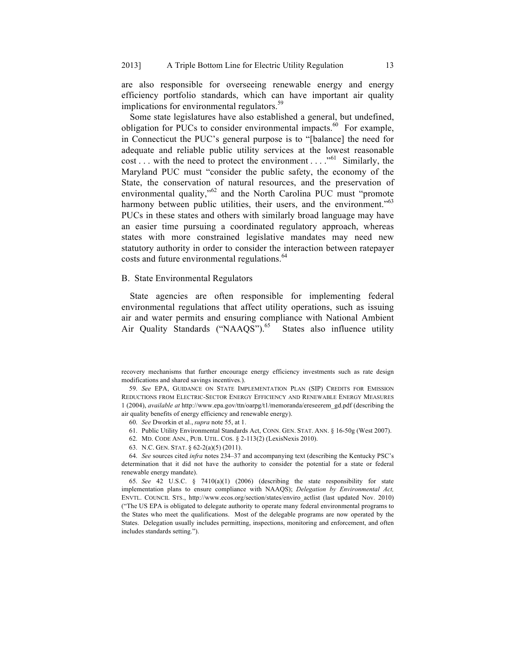are also responsible for overseeing renewable energy and energy efficiency portfolio standards, which can have important air quality implications for environmental regulators.<sup>59</sup>

Some state legislatures have also established a general, but undefined, obligation for PUCs to consider environmental impacts. $60$  For example, in Connecticut the PUC's general purpose is to "[balance] the need for adequate and reliable public utility services at the lowest reasonable cost . . . with the need to protect the environment . . . . "<sup>61</sup> Similarly, the Maryland PUC must "consider the public safety, the economy of the State, the conservation of natural resources, and the preservation of environmental quality,"<sup>62</sup> and the North Carolina PUC must "promote" harmony between public utilities, their users, and the environment."<sup>63</sup> PUCs in these states and others with similarly broad language may have an easier time pursuing a coordinated regulatory approach, whereas states with more constrained legislative mandates may need new statutory authority in order to consider the interaction between ratepayer costs and future environmental regulations.<sup>64</sup>

#### B. State Environmental Regulators

State agencies are often responsible for implementing federal environmental regulations that affect utility operations, such as issuing air and water permits and ensuring compliance with National Ambient Air Quality Standards ("NAAQS").<sup>65</sup> States also influence utility

- 61. Public Utility Environmental Standards Act, CONN. GEN. STAT. ANN. § 16-50g (West 2007).
- 62. MD. CODE ANN., PUB. UTIL. COS. § 2-113(2) (LexisNexis 2010).
- 63. N.C. GEN. STAT. § 62-2(a)(5) (2011).

64. *See* sources cited *infra* notes 234–37 and accompanying text (describing the Kentucky PSC's determination that it did not have the authority to consider the potential for a state or federal renewable energy mandate).

65. *See* 42 U.S.C. § 7410(a)(1) (2006) (describing the state responsibility for state implementation plans to ensure compliance with NAAQS); *Delegation by Environmental Act,*  ENVTL. COUNCIL STS., http://www.ecos.org/section/states/enviro\_actlist (last updated Nov. 2010) ("The US EPA is obligated to delegate authority to operate many federal environmental programs to the States who meet the qualifications. Most of the delegable programs are now operated by the States. Delegation usually includes permitting, inspections, monitoring and enforcement, and often includes standards setting.").

recovery mechanisms that further encourage energy efficiency investments such as rate design modifications and shared savings incentives.).

<sup>59.</sup> *See* EPA, GUIDANCE ON STATE IMPLEMENTATION PLAN (SIP) CREDITS FOR EMISSION REDUCTIONS FROM ELECTRIC-SECTOR ENERGY EFFICIENCY AND RENEWABLE ENERGY MEASURES 1 (2004), *available at* http://www.epa.gov/ttn/oarpg/t1/memoranda/ereseerem\_gd.pdf (describing the air quality benefits of energy efficiency and renewable energy).

<sup>60.</sup> *See* Dworkin et al., *supra* note 55, at 1.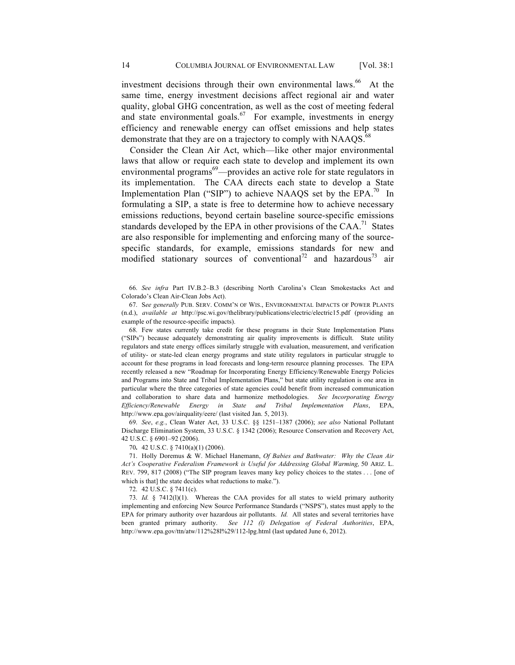investment decisions through their own environmental laws.<sup>66</sup> At the same time, energy investment decisions affect regional air and water quality, global GHG concentration, as well as the cost of meeting federal and state environmental goals. $67$  For example, investments in energy efficiency and renewable energy can offset emissions and help states demonstrate that they are on a trajectory to comply with NAAQS.<sup>68</sup>

Consider the Clean Air Act, which—like other major environmental laws that allow or require each state to develop and implement its own environmental programs<sup>69</sup>—provides an active role for state regulators in its implementation. The CAA directs each state to develop a State Implementation Plan ("SIP") to achieve NAAQS set by the  $EPA$ <sup>70</sup> In formulating a SIP, a state is free to determine how to achieve necessary emissions reductions, beyond certain baseline source-specific emissions standards developed by the EPA in other provisions of the  $CAA$ <sup>71</sup>. States are also responsible for implementing and enforcing many of the sourcespecific standards, for example, emissions standards for new and modified stationary sources of conventional<sup>72</sup> and hazardous<sup>73</sup> air

66. *See infra* Part IV.B.2–B.3 (describing North Carolina's Clean Smokestacks Act and Colorado's Clean Air-Clean Jobs Act).

67. S*ee generally* PUB. SERV. COMM'N OF WIS., ENVIRONMENTAL IMPACTS OF POWER PLANTS (n.d.), *available at* http://psc.wi.gov/thelibrary/publications/electric/electric15.pdf (providing an example of the resource-specific impacts).

68. Few states currently take credit for these programs in their State Implementation Plans ("SIPs") because adequately demonstrating air quality improvements is difficult. State utility regulators and state energy offices similarly struggle with evaluation, measurement, and verification of utility- or state-led clean energy programs and state utility regulators in particular struggle to account for these programs in load forecasts and long-term resource planning processes. The EPA recently released a new "Roadmap for Incorporating Energy Efficiency/Renewable Energy Policies and Programs into State and Tribal Implementation Plans," but state utility regulation is one area in particular where the three categories of state agencies could benefit from increased communication and collaboration to share data and harmonize methodologies. *See Incorporating Energy Efficiency/Renewable Energy in State and Tribal Implementation Plans*, EPA, http://www.epa.gov/airquality/eere/ (last visited Jan. 5, 2013).

69. *See*, *e.g.*, Clean Water Act, 33 U.S.C. §§ 1251–1387 (2006); *see also* National Pollutant Discharge Elimination System, 33 U.S.C. § 1342 (2006); Resource Conservation and Recovery Act, 42 U.S.C. § 6901–92 (2006).

70**.** 42 U.S.C. § 7410(a)(1) (2006).

71. Holly Doremus & W. Michael Hanemann, *Of Babies and Bathwater: Why the Clean Air Act's Cooperative Federalism Framework is Useful for Addressing Global Warming,* 50 ARIZ. L. REV. 799, 817 (2008) ("The SIP program leaves many key policy choices to the states . . . [one of which is that] the state decides what reductions to make.").

72. 42 U.S.C. § 7411(c).

73. *Id.* § 7412(l)(1). Whereas the CAA provides for all states to wield primary authority implementing and enforcing New Source Performance Standards ("NSPS"), states must apply to the EPA for primary authority over hazardous air pollutants. *Id.* All states and several territories have been granted primary authority. *See 112 (l) Delegation of Federal Authorities*, EPA, http://www.epa.gov/ttn/atw/112%28l%29/112-lpg.html (last updated June 6, 2012).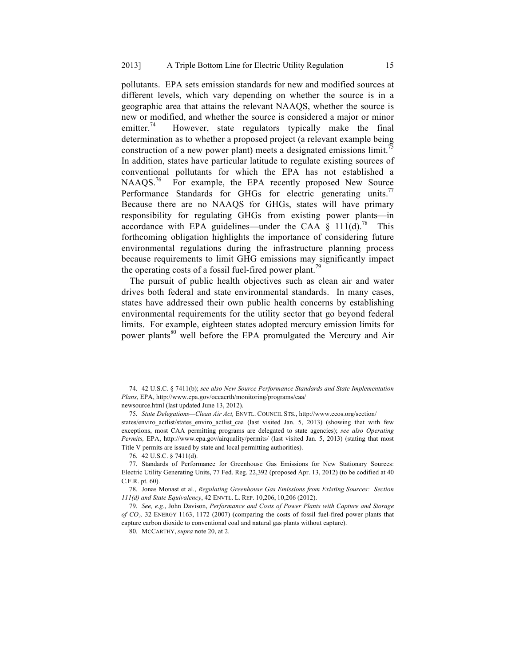pollutants. EPA sets emission standards for new and modified sources at different levels, which vary depending on whether the source is in a geographic area that attains the relevant NAAQS, whether the source is new or modified, and whether the source is considered a major or minor emitter.<sup>74</sup> However, state regulators typically make the final determination as to whether a proposed project (a relevant example being construction of a new power plant) meets a designated emissions limit.<sup> $\frac{75}{2}$ </sup> In addition, states have particular latitude to regulate existing sources of conventional pollutants for which the EPA has not established a NAAQS.<sup>76</sup> For example, the EPA recently proposed New Source Performance Standards for GHGs for electric generating units.<sup>77</sup> Because there are no NAAQS for GHGs, states will have primary responsibility for regulating GHGs from existing power plants—in accordance with EPA guidelines—under the CAA  $\S$  111(d).<sup>78</sup> This forthcoming obligation highlights the importance of considering future environmental regulations during the infrastructure planning process because requirements to limit GHG emissions may significantly impact the operating costs of a fossil fuel-fired power plant.<sup>79</sup>

The pursuit of public health objectives such as clean air and water drives both federal and state environmental standards. In many cases, states have addressed their own public health concerns by establishing environmental requirements for the utility sector that go beyond federal limits. For example, eighteen states adopted mercury emission limits for power plants<sup>80</sup> well before the EPA promulgated the Mercury and Air

newsource.html (last updated June 13, 2012).

75. *State Delegations—Clean Air Act,* ENVTL. COUNCIL STS., http://www.ecos.org/section/

states/enviro\_actlist/states\_enviro\_actlist\_caa (last visited Jan. 5, 2013) (showing that with few exceptions, most CAA permitting programs are delegated to state agencies); *see also Operating Permits,* EPA, http://www.epa.gov/airquality/permits/ (last visited Jan. 5, 2013) (stating that most Title V permits are issued by state and local permitting authorities).

76. 42 U.S.C. § 7411(d).

77. Standards of Performance for Greenhouse Gas Emissions for New Stationary Sources: Electric Utility Generating Units, 77 Fed. Reg. 22,392 (proposed Apr. 13, 2012) (to be codified at 40 C.F.R. pt. 60).

78. Jonas Monast et al., *Regulating Greenhouse Gas Emissions from Existing Sources: Section 111(d) and State Equivalency*, 42 ENVTL. L. REP. 10,206, 10,206 (2012).

79. *See, e.g.*, John Davison, *Performance and Costs of Power Plants with Capture and Storage of CO2,* 32 ENERGY 1163, 1172 (2007) (comparing the costs of fossil fuel-fired power plants that capture carbon dioxide to conventional coal and natural gas plants without capture).

80. MCCARTHY, *supra* note 20, at 2.

<sup>74.</sup> 42 U.S.C. § 7411(b); *see also New Source Performance Standards and State Implementation Plans*, EPA, http://www.epa.gov/oecaerth/monitoring/programs/caa/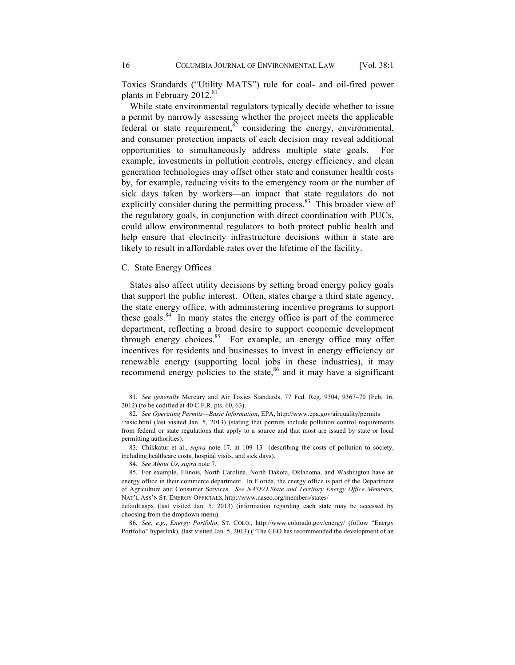Toxics Standards ("Utility MATS") rule for coal- and oil-fired power plants in February 2012.<sup>81</sup>

While state environmental regulators typically decide whether to issue a permit by narrowly assessing whether the project meets the applicable federal or state requirement, $82$  considering the energy, environmental, and consumer protection impacts of each decision may reveal additional opportunities to simultaneously address multiple state goals. For example, investments in pollution controls, energy efficiency, and clean generation technologies may offset other state and consumer health costs by, for example, reducing visits to the emergency room or the number of sick days taken by workers—an impact that state regulators do not explicitly consider during the permitting process.<sup>83</sup> This broader view of the regulatory goals, in conjunction with direct coordination with PUCs, could allow environmental regulators to both protect public health and help ensure that electricity infrastructure decisions within a state are likely to result in affordable rates over the lifetime of the facility.

# C. State Energy Offices

States also affect utility decisions by setting broad energy policy goals that support the public interest. Often, states charge a third state agency, the state energy office, with administering incentive programs to support these goals. $84$  In many states the energy office is part of the commerce department, reflecting a broad desire to support economic development through energy choices.<sup>85</sup> For example, an energy office may offer incentives for residents and businesses to invest in energy efficiency or renewable energy (supporting local jobs in these industries), it may recommend energy policies to the state,<sup>86</sup> and it may have a significant

83. Chikkatur et al., *supra* note 17, at 109–13 (describing the costs of pollution to society, including healthcare costs, hospital visits, and sick days).

84. *See About Us*, *supra* note 7.

default.aspx (last visited Jan. 5, 2013) (information regarding each state may be accessed by choosing from the dropdown menu).

86. *See, e.g.*, *Energy Portfolio*, ST. COLO., http://www.colorado.gov/energy/ (follow "Energy Portfolio" hyperlink), (last visited Jan. 5, 2013) ("The CEO has recommended the development of an

<sup>81.</sup> *See generally* Mercury and Air Toxics Standards, 77 Fed. Reg. 9304, 9367–70 (Feb, 16, 2012) (to be codified at 40 C.F.R. pts. 60, 63).

<sup>82.</sup> *See Operating Permits—Basic Information*, EPA, http://www.epa.gov/airquality/permits

<sup>/</sup>basic.html (last visited Jan. 5, 2013) (stating that permits include pollution control requirements from federal or state regulations that apply to a source and that most are issued by state or local permitting authorities).

<sup>85.</sup> For example, Illinois, North Carolina, North Dakota, Oklahoma, and Washington have an energy office in their commerce department. In Florida, the energy office is part of the Department of Agriculture and Consumer Services. *See NASEO State and Territory Energy Office Members,*  NAT'L ASS'N ST. ENERGY OFFICIALS, http://www.naseo.org/members/states/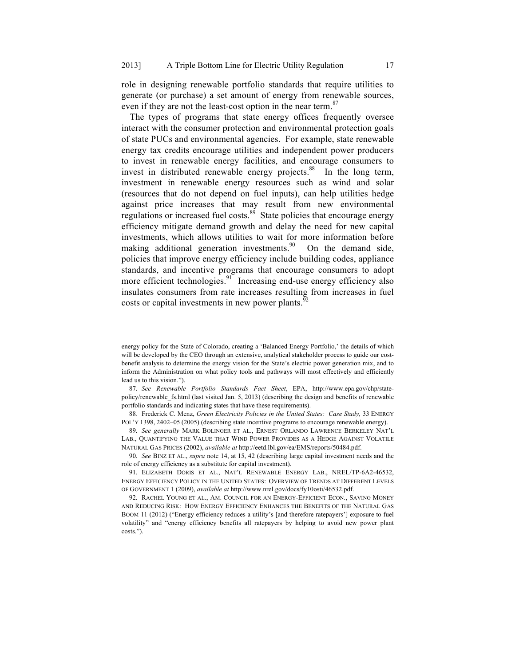role in designing renewable portfolio standards that require utilities to generate (or purchase) a set amount of energy from renewable sources, even if they are not the least-cost option in the near term.<sup>87</sup>

The types of programs that state energy offices frequently oversee interact with the consumer protection and environmental protection goals of state PUCs and environmental agencies. For example, state renewable energy tax credits encourage utilities and independent power producers to invest in renewable energy facilities, and encourage consumers to invest in distributed renewable energy projects.<sup>88</sup> In the long term, investment in renewable energy resources such as wind and solar (resources that do not depend on fuel inputs), can help utilities hedge against price increases that may result from new environmental regulations or increased fuel costs. $89$  State policies that encourage energy efficiency mitigate demand growth and delay the need for new capital investments, which allows utilities to wait for more information before making additional generation investments.<sup>90</sup> On the demand side, policies that improve energy efficiency include building codes, appliance standards, and incentive programs that encourage consumers to adopt more efficient technologies.<sup>91</sup> Increasing end-use energy efficiency also insulates consumers from rate increases resulting from increases in fuel costs or capital investments in new power plants.<sup>92</sup>

87. *See Renewable Portfolio Standards Fact Sheet*, EPA, http://www.epa.gov/chp/statepolicy/renewable\_fs.html (last visited Jan. 5, 2013) (describing the design and benefits of renewable portfolio standards and indicating states that have these requirements).

88*.* Frederick C. Menz, *Green Electricity Policies in the United States: Case Study,* 33 ENERGY POL'Y 1398, 2402–05 (2005) (describing state incentive programs to encourage renewable energy).

89. *See generally* MARK BOLINGER ET AL., ERNEST ORLANDO LAWRENCE BERKELEY NAT'L LAB., QUANTIFYING THE VALUE THAT WIND POWER PROVIDES AS A HEDGE AGAINST VOLATILE NATURAL GAS PRICES (2002), *available at* http://eetd.lbl.gov/ea/EMS/reports/50484.pdf.

90. *See* BINZ ET AL., *supra* note 14, at 15, 42 (describing large capital investment needs and the role of energy efficiency as a substitute for capital investment).

91. ELIZABETH DORIS ET AL., NAT'L RENEWABLE ENERGY LAB., NREL/TP-6A2-46532, ENERGY EFFICIENCY POLICY IN THE UNITED STATES: OVERVIEW OF TRENDS AT DIFFERENT LEVELS OF GOVERNMENT 1 (2009), *available at* http://www.nrel.gov/docs/fy10osti/46532.pdf.

92. RACHEL YOUNG ET AL., AM. COUNCIL FOR AN ENERGY-EFFICIENT ECON., SAVING MONEY AND REDUCING RISK: HOW ENERGY EFFICIENCY ENHANCES THE BENEFITS OF THE NATURAL GAS BOOM 11 (2012) ("Energy efficiency reduces a utility's [and therefore ratepayers'] exposure to fuel volatility" and "energy efficiency benefits all ratepayers by helping to avoid new power plant costs.").

energy policy for the State of Colorado, creating a 'Balanced Energy Portfolio,' the details of which will be developed by the CEO through an extensive, analytical stakeholder process to guide our costbenefit analysis to determine the energy vision for the State's electric power generation mix, and to inform the Administration on what policy tools and pathways will most effectively and efficiently lead us to this vision.").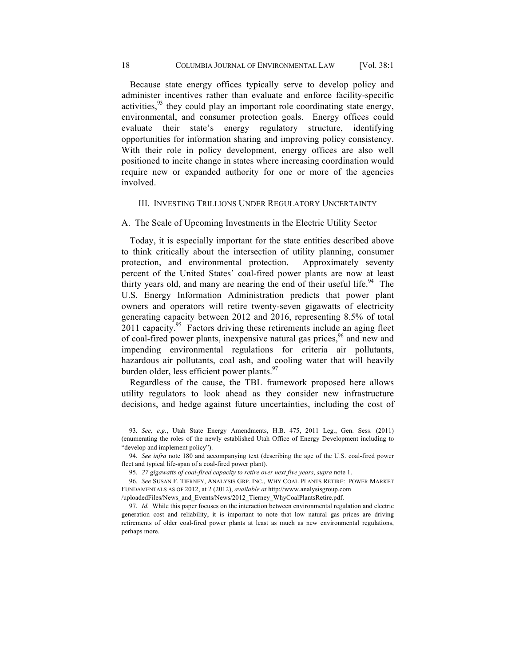Because state energy offices typically serve to develop policy and administer incentives rather than evaluate and enforce facility-specific activities,  $93$  they could play an important role coordinating state energy, environmental, and consumer protection goals. Energy offices could evaluate their state's energy regulatory structure, identifying opportunities for information sharing and improving policy consistency. With their role in policy development, energy offices are also well positioned to incite change in states where increasing coordination would require new or expanded authority for one or more of the agencies involved.

# III. INVESTING TRILLIONS UNDER REGULATORY UNCERTAINTY

#### A. The Scale of Upcoming Investments in the Electric Utility Sector

Today, it is especially important for the state entities described above to think critically about the intersection of utility planning, consumer protection, and environmental protection. Approximately seventy percent of the United States' coal-fired power plants are now at least thirty years old, and many are nearing the end of their useful life.<sup>94</sup> The U.S. Energy Information Administration predicts that power plant owners and operators will retire twenty-seven gigawatts of electricity generating capacity between 2012 and 2016, representing 8.5% of total 2011 capacity.<sup>95</sup> Factors driving these retirements include an aging fleet of coal-fired power plants, inexpensive natural gas prices,<sup>96</sup> and new and impending environmental regulations for criteria air pollutants, hazardous air pollutants, coal ash, and cooling water that will heavily burden older, less efficient power plants.<sup>97</sup>

Regardless of the cause, the TBL framework proposed here allows utility regulators to look ahead as they consider new infrastructure decisions, and hedge against future uncertainties, including the cost of

94. *See infra* note 180 and accompanying text (describing the age of the U.S. coal-fired power fleet and typical life-span of a coal-fired power plant).

95. *27 gigawatts of coal-fired capacity to retire over next five years*, *supra* note 1.

96. *See* SUSAN F. TIERNEY, ANALYSIS GRP. INC., WHY COAL PLANTS RETIRE: POWER MARKET FUNDAMENTALS AS OF 2012, at 2 (2012), *available at* http://www.analysisgroup.com

/uploadedFiles/News\_and\_Events/News/2012\_Tierney\_WhyCoalPlantsRetire.pdf.

97. *Id.* While this paper focuses on the interaction between environmental regulation and electric generation cost and reliability, it is important to note that low natural gas prices are driving retirements of older coal-fired power plants at least as much as new environmental regulations, perhaps more.

<sup>93.</sup> *See, e.g.*, Utah State Energy Amendments, H.B. 475, 2011 Leg., Gen. Sess. (2011) (enumerating the roles of the newly established Utah Office of Energy Development including to "develop and implement policy").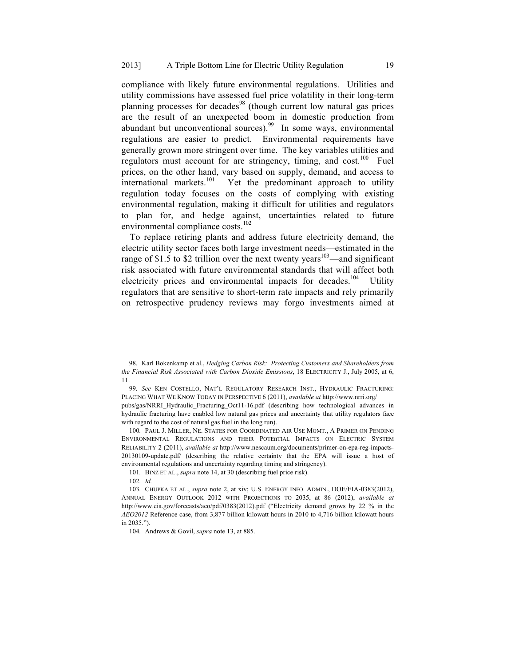compliance with likely future environmental regulations. Utilities and utility commissions have assessed fuel price volatility in their long-term planning processes for decades<sup>98</sup> (though current low natural gas prices are the result of an unexpected boom in domestic production from abundant but unconventional sources).<sup>99</sup> In some ways, environmental regulations are easier to predict. Environmental requirements have generally grown more stringent over time. The key variables utilities and regulators must account for are stringency, timing, and cost.<sup>100</sup> Fuel prices, on the other hand, vary based on supply, demand, and access to international markets.<sup>101</sup> Yet the predominant approach to utility regulation today focuses on the costs of complying with existing environmental regulation, making it difficult for utilities and regulators to plan for, and hedge against, uncertainties related to future environmental compliance costs.<sup>102</sup>

To replace retiring plants and address future electricity demand, the electric utility sector faces both large investment needs—estimated in the range of \$1.5 to \$2 trillion over the next twenty years<sup>103</sup>—and significant risk associated with future environmental standards that will affect both electricity prices and environmental impacts for decades.<sup>104</sup> Utility regulators that are sensitive to short-term rate impacts and rely primarily on retrospective prudency reviews may forgo investments aimed at

pubs/gas/NRRI\_Hydraulic\_Fracturing\_Oct11-16.pdf (describing how technological advances in hydraulic fracturing have enabled low natural gas prices and uncertainty that utility regulators face with regard to the cost of natural gas fuel in the long run).

100. PAUL J. MILLER, NE. STATES FOR COORDINATED AIR USE MGMT., A PRIMER ON PENDING ENVIRONMENTAL REGULATIONS AND THEIR POTEnTIAL IMPACTS ON ELECTRIC SYSTEM RELIABILITY 2 (2011), *available at* http://www.nescaum.org/documents/primer-on-epa-reg-impacts-20130109-update.pdf/ (describing the relative certainty that the EPA will issue a host of environmental regulations and uncertainty regarding timing and stringency).

101. BINZ ET AL., *supra* note 14, at 30 (describing fuel price risk).

102. *Id.*

103. CHUPKA ET AL., *supra* note 2, at xiv; U.S. ENERGY INFO. ADMIN., DOE/EIA-0383(2012), ANNUAL ENERGY OUTLOOK 2012 WITH PROJECTIONS TO 2035, at 86 (2012), *available at*  http://www.eia.gov/forecasts/aeo/pdf/0383(2012).pdf ("Electricity demand grows by 22 % in the *AEO2012* Reference case, from 3,877 billion kilowatt hours in 2010 to 4,716 billion kilowatt hours in 2035.").

104. Andrews & Govil, *supra* note 13, at 885.

<sup>98.</sup> Karl Bokenkamp et al., *Hedging Carbon Risk: Protecting Customers and Shareholders from the Financial Risk Associated with Carbon Dioxide Emissions*, 18 ELECTRICITY J., July 2005, at 6, 11.

<sup>99.</sup> *See* KEN COSTELLO, NAT'L REGULATORY RESEARCH INST., HYDRAULIC FRACTURING: PLACING WHAT WE KNOW TODAY IN PERSPECTIVE 6 (2011), *available at* http://www.nrri.org/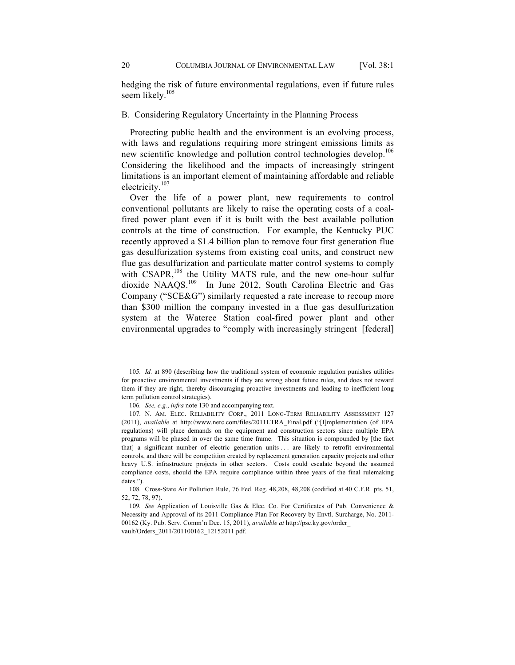hedging the risk of future environmental regulations, even if future rules seem likely.<sup>105</sup>

## B. Considering Regulatory Uncertainty in the Planning Process

Protecting public health and the environment is an evolving process, with laws and regulations requiring more stringent emissions limits as new scientific knowledge and pollution control technologies develop.<sup>106</sup> Considering the likelihood and the impacts of increasingly stringent limitations is an important element of maintaining affordable and reliable electricity.<sup>107</sup>

Over the life of a power plant, new requirements to control conventional pollutants are likely to raise the operating costs of a coalfired power plant even if it is built with the best available pollution controls at the time of construction. For example, the Kentucky PUC recently approved a \$1.4 billion plan to remove four first generation flue gas desulfurization systems from existing coal units, and construct new flue gas desulfurization and particulate matter control systems to comply with CSAPR,<sup>108</sup> the Utility MATS rule, and the new one-hour sulfur dioxide NAAQS.<sup>109</sup> In June 2012, South Carolina Electric and Gas Company ("SCE&G") similarly requested a rate increase to recoup more than \$300 million the company invested in a flue gas desulfurization system at the Wateree Station coal-fired power plant and other environmental upgrades to "comply with increasingly stringent [federal]

105. *Id.* at 890 (describing how the traditional system of economic regulation punishes utilities for proactive environmental investments if they are wrong about future rules, and does not reward them if they are right, thereby discouraging proactive investments and leading to inefficient long term pollution control strategies).

106. *See, e.g.*, *infra* note 130 and accompanying text.

107. N. AM. ELEC. RELIABILITY CORP., 2011 LONG-TERM RELIABILITY ASSESSMENT 127 (2011), *available* at http://www.nerc.com/files/2011LTRA\_Final.pdf ("[I]mplementation (of EPA regulations) will place demands on the equipment and construction sectors since multiple EPA programs will be phased in over the same time frame. This situation is compounded by [the fact that] a significant number of electric generation units . . . are likely to retrofit environmental controls, and there will be competition created by replacement generation capacity projects and other heavy U.S. infrastructure projects in other sectors. Costs could escalate beyond the assumed compliance costs, should the EPA require compliance within three years of the final rulemaking dates.").

108. Cross-State Air Pollution Rule, 76 Fed. Reg. 48,208, 48,208 (codified at 40 C.F.R. pts. 51, 52, 72, 78, 97).

109*. See* Application of Louisville Gas & Elec. Co. For Certificates of Pub. Convenience & Necessity and Approval of its 2011 Compliance Plan For Recovery by Envtl. Surcharge, No. 2011- 00162 (Ky. Pub. Serv. Comm'n Dec. 15, 2011), *available at* http://psc.ky.gov/order\_ vault/Orders\_2011/201100162\_12152011.pdf.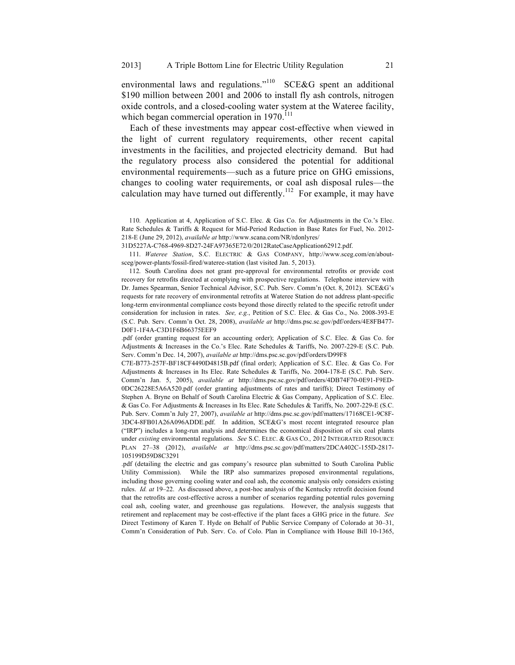environmental laws and regulations."<sup>110</sup> SCE&G spent an additional \$190 million between 2001 and 2006 to install fly ash controls, nitrogen oxide controls, and a closed-cooling water system at the Wateree facility, which began commercial operation in  $1970^{111}$ 

Each of these investments may appear cost-effective when viewed in the light of current regulatory requirements, other recent capital investments in the facilities, and projected electricity demand. But had the regulatory process also considered the potential for additional environmental requirements—such as a future price on GHG emissions, changes to cooling water requirements, or coal ash disposal rules—the calculation may have turned out differently.<sup>112</sup> For example, it may have

110. Application at 4, Application of S.C. Elec. & Gas Co. for Adjustments in the Co.'s Elec. Rate Schedules & Tariffs & Request for Mid-Period Reduction in Base Rates for Fuel, No. 2012- 218-E (June 29, 2012), *available at* http://www.scana.com/NR/rdonlyres/

31D5227A-C768-4969-8D27-24FA97365E72/0/2012RateCaseApplication62912.pdf.

111. *Wateree Station*, S.C. ELECTRIC & GAS COMPANY, http://www.sceg.com/en/aboutsceg/power-plants/fossil-fired/wateree-station (last visited Jan. 5, 2013).

112. South Carolina does not grant pre-approval for environmental retrofits or provide cost recovery for retrofits directed at complying with prospective regulations. Telephone interview with Dr. James Spearman, Senior Technical Advisor, S.C. Pub. Serv. Comm'n (Oct. 8, 2012). SCE&G's requests for rate recovery of environmental retrofits at Wateree Station do not address plant-specific long-term environmental compliance costs beyond those directly related to the specific retrofit under consideration for inclusion in rates. *See, e.g.*, Petition of S.C. Elec. & Gas Co., No. 2008-393-E (S.C. Pub. Serv. Comm'n Oct. 28, 2008), *available at* http://dms.psc.sc.gov/pdf/orders/4E8FB477- D0F1-1F4A-C3D1F6B66375EEF9

.pdf (order granting request for an accounting order); Application of S.C. Elec. & Gas Co. for Adjustments & Increases in the Co.'s Elec. Rate Schedules & Tariffs, No. 2007-229-E (S.C. Pub. Serv. Comm'n Dec. 14, 2007), *available at* http://dms.psc.sc.gov/pdf/orders/D99F8

C7E-B773-257F-BF18CF4490D4815B.pdf (final order); Application of S.C. Elec. & Gas Co. For Adjustments & Increases in Its Elec. Rate Schedules & Tariffs, No. 2004-178-E (S.C. Pub. Serv. Comm'n Jan. 5, 2005), *available at* http://dms.psc.sc.gov/pdf/orders/4DB74F70-0E91-F9ED-0DC26228E5A6A520.pdf (order granting adjustments of rates and tariffs); Direct Testimony of Stephen A. Bryne on Behalf of South Carolina Electric & Gas Company, Application of S.C. Elec. & Gas Co. For Adjustments & Increases in Its Elec. Rate Schedules & Tariffs, No. 2007-229-E (S.C. Pub. Serv. Comm'n July 27, 2007), *available at* http://dms.psc.sc.gov/pdf/matters/17168CE1-9C8F-3DC4-8FB01A26A096ADDE.pdf. In addition, SCE&G's most recent integrated resource plan ("IRP") includes a long-run analysis and determines the economical disposition of six coal plants under *existing* environmental regulations. *See* S.C. ELEC. & GAS CO.*,* 2012 INTEGRATED RESOURCE PLAN 27–38 (2012), *available at* http://dms.psc.sc.gov/pdf/matters/2DCA402C-155D-2817- 105199D59D8C3291

.pdf (detailing the electric and gas company's resource plan submitted to South Carolina Public Utility Commission). While the IRP also summarizes proposed environmental regulations, including those governing cooling water and coal ash, the economic analysis only considers existing rules. *Id. at* 19–22. As discussed above, a post-hoc analysis of the Kentucky retrofit decision found that the retrofits are cost-effective across a number of scenarios regarding potential rules governing coal ash, cooling water, and greenhouse gas regulations. However, the analysis suggests that retirement and replacement may be cost-effective if the plant faces a GHG price in the future. *See* Direct Testimony of Karen T. Hyde on Behalf of Public Service Company of Colorado at 30–31, Comm'n Consideration of Pub. Serv. Co. of Colo. Plan in Compliance with House Bill 10-1365,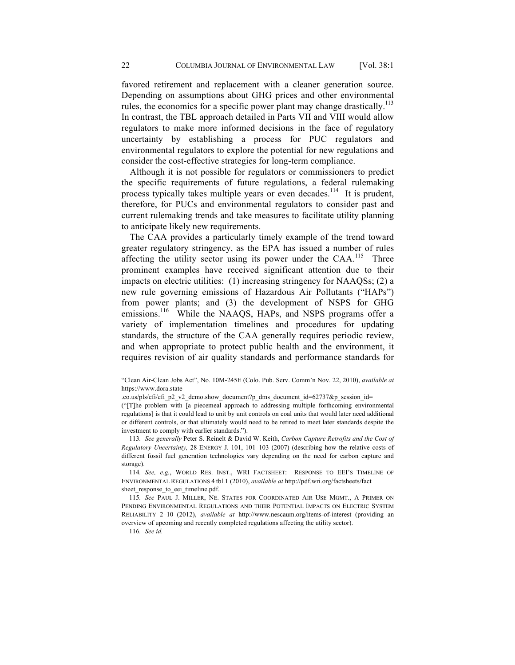favored retirement and replacement with a cleaner generation source. Depending on assumptions about GHG prices and other environmental rules, the economics for a specific power plant may change drastically.<sup>113</sup> In contrast, the TBL approach detailed in Parts VII and VIII would allow regulators to make more informed decisions in the face of regulatory uncertainty by establishing a process for PUC regulators and environmental regulators to explore the potential for new regulations and consider the cost-effective strategies for long-term compliance.

Although it is not possible for regulators or commissioners to predict the specific requirements of future regulations, a federal rulemaking process typically takes multiple years or even decades.<sup>114</sup> It is prudent, therefore, for PUCs and environmental regulators to consider past and current rulemaking trends and take measures to facilitate utility planning to anticipate likely new requirements.

The CAA provides a particularly timely example of the trend toward greater regulatory stringency, as the EPA has issued a number of rules affecting the utility sector using its power under the  $CAA$ .<sup>115</sup> Three prominent examples have received significant attention due to their impacts on electric utilities: (1) increasing stringency for NAAQSs; (2) a new rule governing emissions of Hazardous Air Pollutants ("HAPs") from power plants; and (3) the development of NSPS for GHG emissions.<sup>116</sup> While the NAAQS, HAPs, and NSPS programs offer a variety of implementation timelines and procedures for updating standards, the structure of the CAA generally requires periodic review, and when appropriate to protect public health and the environment, it requires revision of air quality standards and performance standards for

("[T]he problem with [a piecemeal approach to addressing multiple forthcoming environmental regulations] is that it could lead to unit by unit controls on coal units that would later need additional or different controls, or that ultimately would need to be retired to meet later standards despite the investment to comply with earlier standards.").

113. *See generally* Peter S. Reinelt & David W. Keith, *Carbon Capture Retrofits and the Cost of Regulatory Uncertainty,* 28 ENERGY J. 101, 101–103 (2007) (describing how the relative costs of different fossil fuel generation technologies vary depending on the need for carbon capture and storage).

114. *See, e.g.*, WORLD RES. INST., WRI FACTSHEET: RESPONSE TO EEI'S TIMELINE OF ENVIRONMENTAL REGULATIONS 4 tbl.1 (2010), *available at* http://pdf.wri.org/factsheets/fact sheet response to eei timeline.pdf.

115. *See* PAUL J. MILLER, NE. STATES FOR COORDINATED AIR USE MGMT., A PRIMER ON PENDING ENVIRONMENTAL REGULATIONS AND THEIR POTENTIAL IMPACTS ON ELECTRIC SYSTEM RELIABILITY 2–10 (2012), *available at* http://www.nescaum.org/items-of-interest (providing an overview of upcoming and recently completed regulations affecting the utility sector).

116. *See id.*

<sup>&</sup>quot;Clean Air-Clean Jobs Act", No. 10M-245E (Colo. Pub. Serv. Comm'n Nov. 22, 2010), *available at*  https://www.dora.state

<sup>.</sup>co.us/pls/efi/efi\_p2\_v2\_demo.show\_document?p\_dms\_document\_id=62737&p\_session\_id=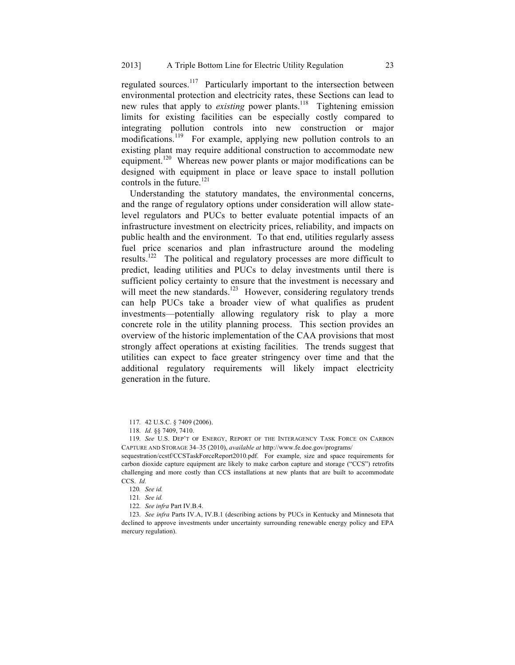regulated sources.117 Particularly important to the intersection between environmental protection and electricity rates, these Sections can lead to new rules that apply to *existing* power plants.<sup>118</sup> Tightening emission limits for existing facilities can be especially costly compared to integrating pollution controls into new construction or major modifications.<sup>119</sup> For example, applying new pollution controls to an existing plant may require additional construction to accommodate new equipment.<sup>120</sup> Whereas new power plants or major modifications can be designed with equipment in place or leave space to install pollution controls in the future. $^{121}$ 

Understanding the statutory mandates, the environmental concerns, and the range of regulatory options under consideration will allow statelevel regulators and PUCs to better evaluate potential impacts of an infrastructure investment on electricity prices, reliability, and impacts on public health and the environment. To that end, utilities regularly assess fuel price scenarios and plan infrastructure around the modeling results.122 The political and regulatory processes are more difficult to predict, leading utilities and PUCs to delay investments until there is sufficient policy certainty to ensure that the investment is necessary and will meet the new standards.<sup>123</sup> However, considering regulatory trends can help PUCs take a broader view of what qualifies as prudent investments—potentially allowing regulatory risk to play a more concrete role in the utility planning process. This section provides an overview of the historic implementation of the CAA provisions that most strongly affect operations at existing facilities. The trends suggest that utilities can expect to face greater stringency over time and that the additional regulatory requirements will likely impact electricity generation in the future.

122. *See infra* Part IV.B.4.

123. *See infra* Parts IV.A, IV.B.1 (describing actions by PUCs in Kentucky and Minnesota that declined to approve investments under uncertainty surrounding renewable energy policy and EPA mercury regulation).

<sup>117.</sup> 42 U.S.C. § 7409 (2006).

<sup>118.</sup> *Id.* §§ 7409, 7410.

<sup>119.</sup> *See* U.S. DEP'T OF ENERGY, REPORT OF THE INTERAGENCY TASK FORCE ON CARBON CAPTURE AND STORAGE 34–35 (2010), *available at* http://www.fe.doe.gov/programs/

sequestration/ccstf/CCSTaskForceReport2010.pdf. For example, size and space requirements for carbon dioxide capture equipment are likely to make carbon capture and storage ("CCS") retrofits challenging and more costly than CCS installations at new plants that are built to accommodate CCS. *Id.*

<sup>120</sup>*. See id.*

<sup>121</sup>*. See id.*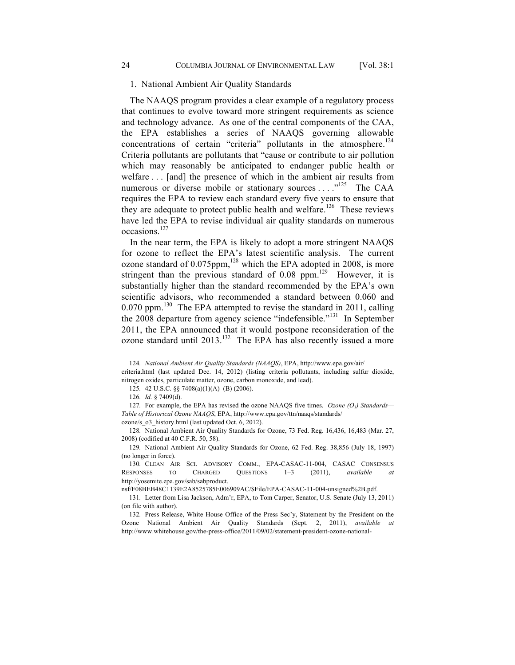## 1. National Ambient Air Quality Standards

The NAAQS program provides a clear example of a regulatory process that continues to evolve toward more stringent requirements as science and technology advance. As one of the central components of the CAA, the EPA establishes a series of NAAQS governing allowable concentrations of certain "criteria" pollutants in the atmosphere.<sup>124</sup> Criteria pollutants are pollutants that "cause or contribute to air pollution which may reasonably be anticipated to endanger public health or welfare . . . [and] the presence of which in the ambient air results from numerous or diverse mobile or stationary sources . . . .<sup>"125</sup> The CAA requires the EPA to review each standard every five years to ensure that they are adequate to protect public health and welfare.<sup>126</sup> These reviews have led the EPA to revise individual air quality standards on numerous occasions.<sup>127</sup>

In the near term, the EPA is likely to adopt a more stringent NAAQS for ozone to reflect the EPA's latest scientific analysis. The current ozone standard of  $0.075$ ppm, $^{128}$  which the EPA adopted in 2008, is more stringent than the previous standard of  $0.08$  ppm.<sup>129</sup> However, it is substantially higher than the standard recommended by the EPA's own scientific advisors, who recommended a standard between 0.060 and  $0.070$  ppm.<sup>130</sup> The EPA attempted to revise the standard in 2011, calling the 2008 departure from agency science "indefensible."<sup>131</sup> In September 2011, the EPA announced that it would postpone reconsideration of the ozone standard until  $2013$ .<sup>132</sup> The EPA has also recently issued a more

124. *National Ambient Air Quality Standards (NAAQS)*, EPA, http://www.epa.gov/air/ criteria.html (last updated Dec. 14, 2012) (listing criteria pollutants, including sulfur dioxide, nitrogen oxides, particulate matter, ozone, carbon monoxide, and lead).

125. 42 U.S.C. §§ 7408(a)(1)(A)–(B) (2006).

126. *Id.* § 7409(d).

127. For example, the EPA has revised the ozone NAAQS five times. *Ozone (O3) Standards— Table of Historical Ozone NAAQS*, EPA, http://www.epa.gov/ttn/naaqs/standards/ ozone/s\_o3\_history.html (last updated Oct. 6, 2012).

128. National Ambient Air Quality Standards for Ozone, 73 Fed. Reg. 16,436, 16,483 (Mar. 27, 2008) (codified at 40 C.F.R. 50, 58).

129. National Ambient Air Quality Standards for Ozone, 62 Fed. Reg. 38,856 (July 18, 1997) (no longer in force).

130. CLEAN AIR SCI. ADVISORY COMM., EPA-CASAC-11-004, CASAC CONSENSUS RESPONSES TO CHARGED QUESTIONS 1–3 (2011), *available at* http://yosemite.epa.gov/sab/sabproduct.

nsf/F08BEB48C1139E2A8525785E006909AC/\$File/EPA-CASAC-11-004-unsigned%2B.pdf.

131. Letter from Lisa Jackson, Adm'r, EPA, to Tom Carper, Senator, U.S. Senate (July 13, 2011) (on file with author).

132. Press Release, White House Office of the Press Sec'y, Statement by the President on the Ozone National Ambient Air Quality Standards (Sept. 2, 2011), *available at*  http://www.whitehouse.gov/the-press-office/2011/09/02/statement-president-ozone-national-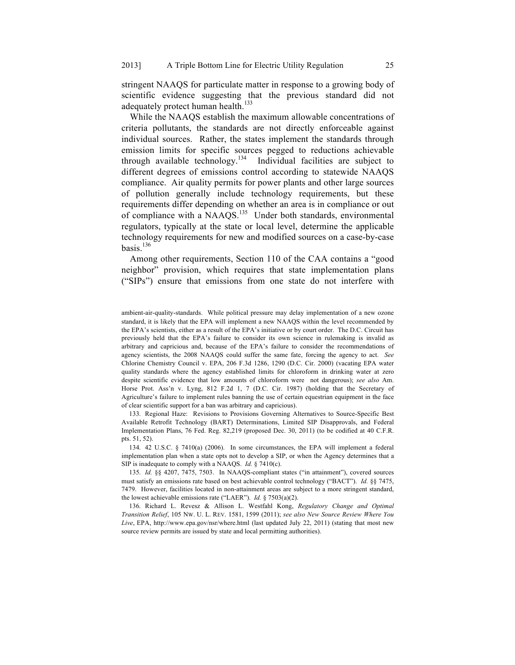stringent NAAQS for particulate matter in response to a growing body of scientific evidence suggesting that the previous standard did not adequately protect human health.<sup>133</sup>

While the NAAQS establish the maximum allowable concentrations of criteria pollutants, the standards are not directly enforceable against individual sources. Rather, the states implement the standards through emission limits for specific sources pegged to reductions achievable through available technology.<sup>134</sup> Individual facilities are subject to different degrees of emissions control according to statewide NAAQS compliance. Air quality permits for power plants and other large sources of pollution generally include technology requirements, but these requirements differ depending on whether an area is in compliance or out of compliance with a NAAQS.135 Under both standards, environmental regulators, typically at the state or local level, determine the applicable technology requirements for new and modified sources on a case-by-case basis. $136$ 

Among other requirements, Section 110 of the CAA contains a "good neighbor" provision, which requires that state implementation plans ("SIPs") ensure that emissions from one state do not interfere with

133. Regional Haze: Revisions to Provisions Governing Alternatives to Source-Specific Best Available Retrofit Technology (BART) Determinations, Limited SIP Disapprovals, and Federal Implementation Plans, 76 Fed. Reg. 82,219 (proposed Dec. 30, 2011) (to be codified at 40 C.F.R. pts. 51, 52).

134. 42 U.S.C. § 7410(a) (2006). In some circumstances, the EPA will implement a federal implementation plan when a state opts not to develop a SIP, or when the Agency determines that a SIP is inadequate to comply with a NAAQS. *Id.* § 7410(c).

135. *Id.* §§ 4207, 7475, 7503. In NAAQS-compliant states ("in attainment"), covered sources must satisfy an emissions rate based on best achievable control technology ("BACT"). *Id.* §§ 7475, 7479. However, facilities located in non-attainment areas are subject to a more stringent standard, the lowest achievable emissions rate ("LAER"). *Id.* § 7503(a)(2).

136. Richard L. Revesz & Allison L. Westfahl Kong, *Regulatory Change and Optimal Transition Relief*, 105 NW. U. L. REV. 1581, 1599 (2011); *see also New Source Review Where You Live*, EPA, http://www.epa.gov/nsr/where.html (last updated July 22, 2011) (stating that most new source review permits are issued by state and local permitting authorities).

ambient-air-quality-standards. While political pressure may delay implementation of a new ozone standard, it is likely that the EPA will implement a new NAAQS within the level recommended by the EPA's scientists, either as a result of the EPA's initiative or by court order. The D.C. Circuit has previously held that the EPA's failure to consider its own science in rulemaking is invalid as arbitrary and capricious and, because of the EPA's failure to consider the recommendations of agency scientists, the 2008 NAAQS could suffer the same fate, forcing the agency to act. *See*  Chlorine Chemistry Council v. EPA, 206 F.3d 1286, 1290 (D.C. Cir. 2000) (vacating EPA water quality standards where the agency established limits for chloroform in drinking water at zero despite scientific evidence that low amounts of chloroform were not dangerous); *see also* Am. Horse Prot. Ass'n v. Lyng, 812 F.2d 1, 7 (D.C. Cir. 1987) (holding that the Secretary of Agriculture's failure to implement rules banning the use of certain equestrian equipment in the face of clear scientific support for a ban was arbitrary and capricious).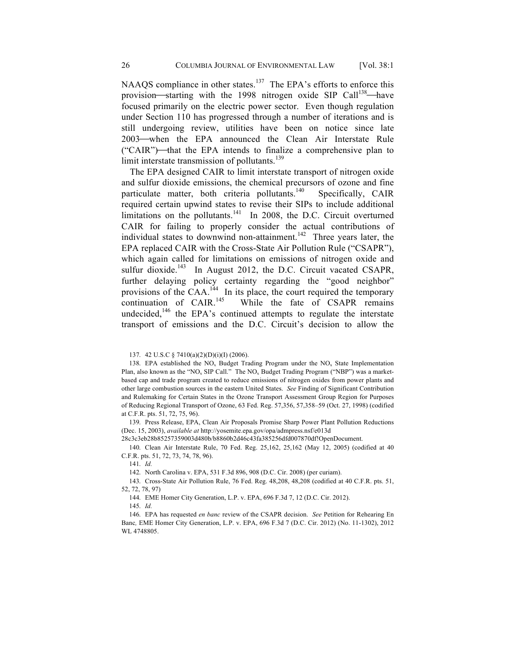NAAQS compliance in other states.<sup>137</sup> The EPA's efforts to enforce this provision—starting with the 1998 nitrogen oxide SIP Call<sup>138</sup>—have focused primarily on the electric power sector. Even though regulation under Section 110 has progressed through a number of iterations and is still undergoing review, utilities have been on notice since late 2003—when the EPA announced the Clean Air Interstate Rule ("CAIR")—that the EPA intends to finalize a comprehensive plan to limit interstate transmission of pollutants.<sup>139</sup>

The EPA designed CAIR to limit interstate transport of nitrogen oxide and sulfur dioxide emissions, the chemical precursors of ozone and fine particulate matter, both criteria pollutants.<sup>140</sup> Specifically, CAIR required certain upwind states to revise their SIPs to include additional limitations on the pollutants. $\frac{141}{10}$  In 2008, the D.C. Circuit overturned CAIR for failing to properly consider the actual contributions of individual states to downwind non-attainment.<sup>142</sup> Three years later, the EPA replaced CAIR with the Cross-State Air Pollution Rule ("CSAPR"), which again called for limitations on emissions of nitrogen oxide and sulfur dioxide.<sup>143</sup> In August 2012, the D.C. Circuit vacated CSAPR, further delaying policy certainty regarding the "good neighbor" provisions of the CAA.<sup>144</sup> In its place, the court required the temporary continuation of  $CAIR$ <sup>145</sup> While the fate of CSAPR remains undecided, $146$  the EPA's continued attempts to regulate the interstate transport of emissions and the D.C. Circuit's decision to allow the

138. EPA established the  $NO<sub>x</sub>$  Budget Trading Program under the  $NO<sub>x</sub>$  State Implementation Plan, also known as the "NO<sub>x</sub> SIP Call." The NO<sub>x</sub> Budget Trading Program ("NBP") was a marketbased cap and trade program created to reduce emissions of nitrogen oxides from power plants and other large combustion sources in the eastern United States. *See* Finding of Significant Contribution and Rulemaking for Certain States in the Ozone Transport Assessment Group Region for Purposes of Reducing Regional Transport of Ozone, 63 Fed. Reg. 57,356, 57,358–59 (Oct. 27, 1998) (codified at C.F.R. pts. 51, 72, 75, 96).

139. Press Release, EPA, Clean Air Proposals Promise Sharp Power Plant Pollution Reductions (Dec. 15, 2003), *available at* http://yosemite.epa.gov/opa/admpress.nsf/e013d

28c3c3eb28b85257359003d480b/b8860b2d46c43fa385256dfd007870df!OpenDocument.

140. Clean Air Interstate Rule, 70 Fed. Reg. 25,162, 25,162 (May 12, 2005) (codified at 40 C.F.R. pts. 51, 72, 73, 74, 78, 96).

141. *Id.*

142. North Carolina v. EPA, 531 F.3d 896, 908 (D.C. Cir. 2008) (per curiam).

143. Cross-State Air Pollution Rule, 76 Fed. Reg. 48,208, 48,208 (codified at 40 C.F.R. pts. 51, 52, 72, 78, 97)

144. EME Homer City Generation, L.P. v. EPA, 696 F.3d 7, 12 (D.C. Cir. 2012).

145. *Id.*

146. EPA has requested *en banc* review of the CSAPR decision. *See* Petition for Rehearing En Banc*,* EME Homer City Generation, L.P. v. EPA, 696 F.3d 7 (D.C. Cir. 2012) (No. 11-1302), 2012 WL 4748805.

<sup>137.</sup> 42 U.S.C § 7410(a)(2)(D)(i)(I) (2006).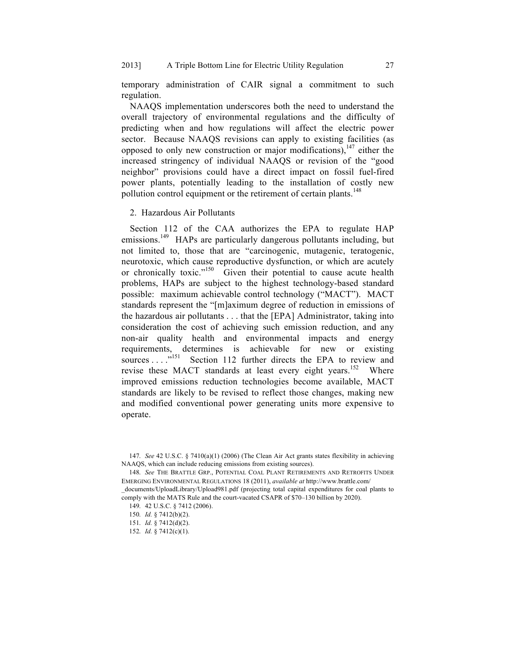temporary administration of CAIR signal a commitment to such regulation.

NAAQS implementation underscores both the need to understand the overall trajectory of environmental regulations and the difficulty of predicting when and how regulations will affect the electric power sector. Because NAAQS revisions can apply to existing facilities (as opposed to only new construction or major modifications),  $147$  either the increased stringency of individual NAAQS or revision of the "good neighbor" provisions could have a direct impact on fossil fuel-fired power plants, potentially leading to the installation of costly new pollution control equipment or the retirement of certain plants.<sup>148</sup>

2. Hazardous Air Pollutants

Section 112 of the CAA authorizes the EPA to regulate HAP emissions.<sup>149</sup> HAPs are particularly dangerous pollutants including, but not limited to, those that are "carcinogenic, mutagenic, teratogenic, neurotoxic, which cause reproductive dysfunction, or which are acutely or chronically toxic."<sup>150</sup> Given their potential to cause acute health problems, HAPs are subject to the highest technology-based standard possible: maximum achievable control technology ("MACT"). MACT standards represent the "[m]aximum degree of reduction in emissions of the hazardous air pollutants . . . that the [EPA] Administrator, taking into consideration the cost of achieving such emission reduction, and any non-air quality health and environmental impacts and energy requirements, determines is achievable for new or existing sources . . . ...<sup>151</sup> Section 112 further directs the EPA to review and Section 112 further directs the EPA to review and revise these MACT standards at least every eight years.<sup>152</sup> Where improved emissions reduction technologies become available, MACT standards are likely to be revised to reflect those changes, making new and modified conventional power generating units more expensive to operate.

<sup>147.</sup> *See* 42 U.S.C. § 7410(a)(1) (2006) (The Clean Air Act grants states flexibility in achieving NAAQS, which can include reducing emissions from existing sources).

<sup>148.</sup> *See* THE BRATTLE GRP., POTENTIAL COAL PLANT RETIREMENTS AND RETROFITS UNDER EMERGING ENVIRONMENTAL REGULATIONS 18 (2011), *available at* http://www.brattle.com/

\_documents/UploadLibrary/Upload981.pdf (projecting total capital expenditures for coal plants to comply with the MATS Rule and the court-vacated CSAPR of \$70–130 billion by 2020).

<sup>149.</sup> 42 U.S.C. § 7412 (2006).

<sup>150.</sup> *Id.* § 7412(b)(2).

<sup>151.</sup> *Id.* § 7412(d)(2).

<sup>152.</sup> *Id.* § 7412(c)(1).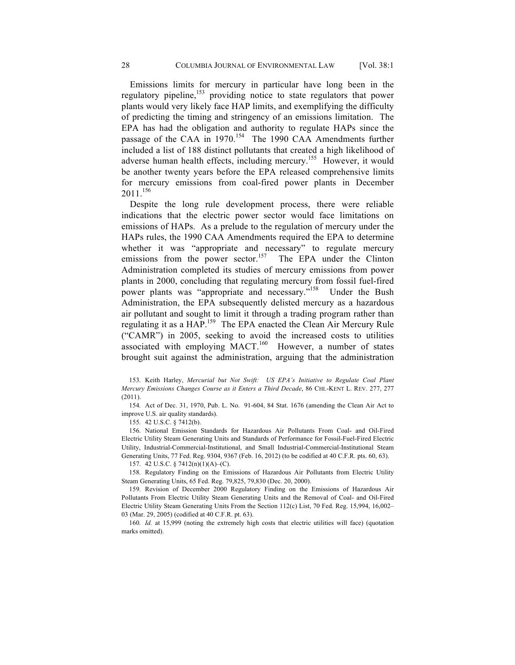Emissions limits for mercury in particular have long been in the regulatory pipeline,<sup>153</sup> providing notice to state regulators that power plants would very likely face HAP limits, and exemplifying the difficulty of predicting the timing and stringency of an emissions limitation. The EPA has had the obligation and authority to regulate HAPs since the passage of the CAA in 1970.<sup>154</sup> The 1990 CAA Amendments further included a list of 188 distinct pollutants that created a high likelihood of adverse human health effects, including mercury.155 However, it would be another twenty years before the EPA released comprehensive limits for mercury emissions from coal-fired power plants in December  $2011.<sup>156</sup>$ 

Despite the long rule development process, there were reliable indications that the electric power sector would face limitations on emissions of HAPs. As a prelude to the regulation of mercury under the HAPs rules, the 1990 CAA Amendments required the EPA to determine whether it was "appropriate and necessary" to regulate mercury emissions from the power sector.<sup>157</sup> The EPA under the Clinton Administration completed its studies of mercury emissions from power plants in 2000, concluding that regulating mercury from fossil fuel-fired power plants was "appropriate and necessary."<sup>158</sup> Under the Bush Administration, the EPA subsequently delisted mercury as a hazardous air pollutant and sought to limit it through a trading program rather than regulating it as a HAP.159 The EPA enacted the Clean Air Mercury Rule ("CAMR") in 2005, seeking to avoid the increased costs to utilities associated with employing MACT.<sup>160</sup> However, a number of states brought suit against the administration, arguing that the administration

153. Keith Harley, *Mercurial but Not Swift: US EPA's Initiative to Regulate Coal Plant Mercury Emissions Changes Course as it Enters a Third Decade*, 86 CHI.-KENT L. REV. 277, 277 (2011).

154. Act of Dec. 31, 1970, Pub. L. No. 91-604, 84 Stat. 1676 (amending the Clean Air Act to improve U.S. air quality standards).

155. 42 U.S.C. § 7412(b).

156. National Emission Standards for Hazardous Air Pollutants From Coal- and Oil-Fired Electric Utility Steam Generating Units and Standards of Performance for Fossil-Fuel-Fired Electric Utility, Industrial-Commercial-Institutional, and Small Industrial-Commercial-Institutional Steam Generating Units, 77 Fed. Reg. 9304, 9367 (Feb. 16, 2012) (to be codified at 40 C.F.R. pts. 60, 63).

157. 42 U.S.C. § 7412(n)(1)(A)–(C).

158. Regulatory Finding on the Emissions of Hazardous Air Pollutants from Electric Utility Steam Generating Units, 65 Fed. Reg. 79,825, 79,830 (Dec. 20, 2000).

159. Revision of December 2000 Regulatory Finding on the Emissions of Hazardous Air Pollutants From Electric Utility Steam Generating Units and the Removal of Coal- and Oil-Fired Electric Utility Steam Generating Units From the Section 112(c) List, 70 Fed. Reg. 15,994, 16,002– 03 (Mar. 29, 2005) (codified at 40 C.F.R. pt. 63).

160. *Id.* at 15,999 (noting the extremely high costs that electric utilities will face) (quotation marks omitted).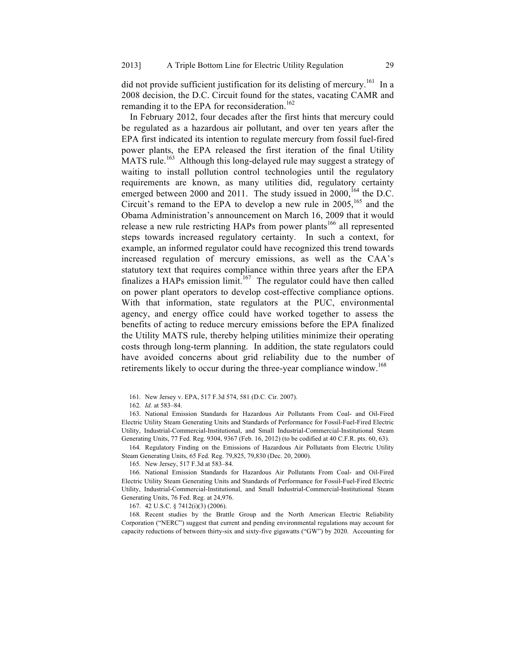did not provide sufficient justification for its delisting of mercury.<sup>161</sup> In a 2008 decision, the D.C. Circuit found for the states, vacating CAMR and remanding it to the EPA for reconsideration.<sup>162</sup>

In February 2012, four decades after the first hints that mercury could be regulated as a hazardous air pollutant, and over ten years after the EPA first indicated its intention to regulate mercury from fossil fuel-fired power plants, the EPA released the first iteration of the final Utility  $MATS$  rule.<sup>163</sup> Although this long-delayed rule may suggest a strategy of waiting to install pollution control technologies until the regulatory requirements are known, as many utilities did, regulatory certainty emerged between 2000 and 2011. The study issued in 2000,<sup>164</sup> the D.C. Circuit's remand to the EPA to develop a new rule in  $2005$ , <sup>165</sup> and the Obama Administration's announcement on March 16, 2009 that it would release a new rule restricting HAPs from power plants<sup>166</sup> all represented steps towards increased regulatory certainty. In such a context, for example, an informed regulator could have recognized this trend towards increased regulation of mercury emissions, as well as the CAA's statutory text that requires compliance within three years after the EPA finalizes a HAPs emission limit.<sup>167</sup> The regulator could have then called on power plant operators to develop cost-effective compliance options. With that information, state regulators at the PUC, environmental agency, and energy office could have worked together to assess the benefits of acting to reduce mercury emissions before the EPA finalized the Utility MATS rule, thereby helping utilities minimize their operating costs through long-term planning. In addition, the state regulators could have avoided concerns about grid reliability due to the number of retirements likely to occur during the three-year compliance window.<sup>168</sup>

163. National Emission Standards for Hazardous Air Pollutants From Coal- and Oil-Fired Electric Utility Steam Generating Units and Standards of Performance for Fossil-Fuel-Fired Electric Utility, Industrial-Commercial-Institutional, and Small Industrial-Commercial-Institutional Steam Generating Units, 77 Fed. Reg. 9304, 9367 (Feb. 16, 2012) (to be codified at 40 C.F.R. pts. 60, 63).

164. Regulatory Finding on the Emissions of Hazardous Air Pollutants from Electric Utility Steam Generating Units, 65 Fed. Reg. 79,825, 79,830 (Dec. 20, 2000).

165. New Jersey, 517 F.3d at 583–84.

166. National Emission Standards for Hazardous Air Pollutants From Coal- and Oil-Fired Electric Utility Steam Generating Units and Standards of Performance for Fossil-Fuel-Fired Electric Utility, Industrial-Commercial-Institutional, and Small Industrial-Commercial-Institutional Steam Generating Units, 76 Fed. Reg. at 24,976.

167. 42 U.S.C. § 7412(i)(3) (2006).

168. Recent studies by the Brattle Group and the North American Electric Reliability Corporation ("NERC") suggest that current and pending environmental regulations may account for capacity reductions of between thirty-six and sixty-five gigawatts ("GW") by 2020. Accounting for

<sup>161.</sup> New Jersey v. EPA, 517 F.3d 574, 581 (D.C. Cir. 2007).

<sup>162.</sup> *Id.* at 583–84.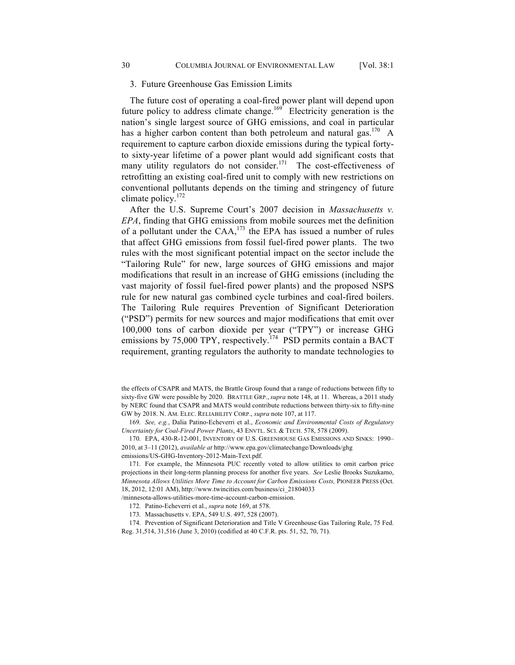The future cost of operating a coal-fired power plant will depend upon future policy to address climate change.<sup>169</sup> Electricity generation is the nation's single largest source of GHG emissions, and coal in particular has a higher carbon content than both petroleum and natural gas.<sup>170</sup> A requirement to capture carbon dioxide emissions during the typical fortyto sixty-year lifetime of a power plant would add significant costs that many utility regulators do not consider.<sup>171</sup> The cost-effectiveness of retrofitting an existing coal-fired unit to comply with new restrictions on conventional pollutants depends on the timing and stringency of future climate policy.172

After the U.S. Supreme Court's 2007 decision in *Massachusetts v. EPA*, finding that GHG emissions from mobile sources met the definition of a pollutant under the  $CAA$ ,<sup>173</sup> the EPA has issued a number of rules that affect GHG emissions from fossil fuel-fired power plants. The two rules with the most significant potential impact on the sector include the "Tailoring Rule" for new, large sources of GHG emissions and major modifications that result in an increase of GHG emissions (including the vast majority of fossil fuel-fired power plants) and the proposed NSPS rule for new natural gas combined cycle turbines and coal-fired boilers. The Tailoring Rule requires Prevention of Significant Deterioration ("PSD") permits for new sources and major modifications that emit over 100,000 tons of carbon dioxide per year ("TPY") or increase GHG emissions by 75,000 TPY, respectively.<sup>174</sup> PSD permits contain a BACT requirement, granting regulators the authority to mandate technologies to

169. *See, e.g.*, Dalia Patino-Echeverri et al., *Economic and Environmental Costs of Regulatory Uncertainty for Coal-Fired Power Plants*, 43 ENVTL. SCI. & TECH. 578, 578 (2009).

170. EPA, 430-R-12-001, INVENTORY OF U.S. GREENHOUSE GAS EMISSIONS AND SINKS: 1990– 2010, at 3–11 (2012), *available at* http://www.epa.gov/climatechange/Downloads/ghg

emissions/US-GHG-Inventory-2012-Main-Text.pdf.

171. For example, the Minnesota PUC recently voted to allow utilities to omit carbon price projections in their long-term planning process for another five years. *See* Leslie Brooks Suzukamo, *Minnesota Allows Utilities More Time to Account for Carbon Emissions Costs,* PIONEER PRESS (Oct. 18, 2012, 12:01 AM), http://www.twincities.com/business/ci\_21804033

/minnesota-allows-utilities-more-time-account-carbon-emission.

174. Prevention of Significant Deterioration and Title V Greenhouse Gas Tailoring Rule, 75 Fed. Reg. 31,514, 31,516 (June 3, 2010) (codified at 40 C.F.R. pts. 51, 52, 70, 71).

the effects of CSAPR and MATS, the Brattle Group found that a range of reductions between fifty to sixty-five GW were possible by 2020. BRATTLE GRP., *supra* note 148, at 11. Whereas, a 2011 study by NERC found that CSAPR and MATS would contribute reductions between thirty-six to fifty-nine GW by 2018. N. AM. ELEC. RELIABILITY CORP., *supra* note 107, at 117.

<sup>172.</sup> Patino-Echeverri et al., *supra* note 169, at 578.

<sup>173.</sup> Massachusetts v. EPA, 549 U.S. 497, 528 (2007).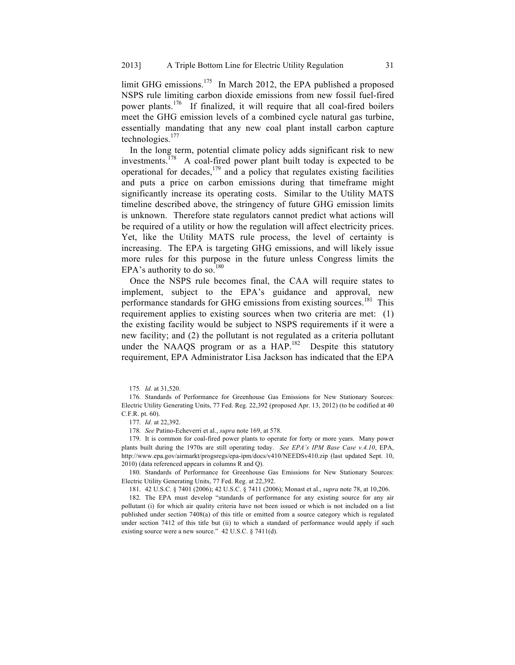limit GHG emissions.<sup>175</sup> In March 2012, the EPA published a proposed NSPS rule limiting carbon dioxide emissions from new fossil fuel-fired power plants.<sup>176</sup> If finalized, it will require that all coal-fired boilers meet the GHG emission levels of a combined cycle natural gas turbine, essentially mandating that any new coal plant install carbon capture technologies.<sup>177</sup>

In the long term, potential climate policy adds significant risk to new investments.<sup> $178$ </sup> A coal-fired power plant built today is expected to be operational for decades, $179$  and a policy that regulates existing facilities and puts a price on carbon emissions during that timeframe might significantly increase its operating costs. Similar to the Utility MATS timeline described above, the stringency of future GHG emission limits is unknown. Therefore state regulators cannot predict what actions will be required of a utility or how the regulation will affect electricity prices. Yet, like the Utility MATS rule process, the level of certainty is increasing. The EPA is targeting GHG emissions, and will likely issue more rules for this purpose in the future unless Congress limits the EPA's authority to do so.<sup>180</sup>

Once the NSPS rule becomes final, the CAA will require states to implement, subject to the EPA's guidance and approval, new performance standards for GHG emissions from existing sources.<sup>181</sup> This requirement applies to existing sources when two criteria are met: (1) the existing facility would be subject to NSPS requirements if it were a new facility; and (2) the pollutant is not regulated as a criteria pollutant under the NAAQS program or as a HAP.<sup>182</sup> Despite this statutory requirement, EPA Administrator Lisa Jackson has indicated that the EPA

177. *Id.* at 22,392.

178. *See* Patino-Echeverri et al., *supra* note 169, at 578.

179. It is common for coal-fired power plants to operate for forty or more years. Many power plants built during the 1970s are still operating today. *See EPA's IPM Base Case v.4.10*, EPA, http://www.epa.gov/airmarkt/progsregs/epa-ipm/docs/v410/NEEDSv410.zip (last updated Sept. 10, 2010) (data referenced appears in columns R and Q).

180. Standards of Performance for Greenhouse Gas Emissions for New Stationary Sources: Electric Utility Generating Units, 77 Fed. Reg. at 22,392.

181. 42 U.S.C. § 7401 (2006); 42 U.S.C. § 7411 (2006); Monast et al., *supra* note 78, at 10,206.

182. The EPA must develop "standards of performance for any existing source for any air pollutant (i) for which air quality criteria have not been issued or which is not included on a list published under section 7408(a) of this title or emitted from a source category which is regulated under section 7412 of this title but (ii) to which a standard of performance would apply if such existing source were a new source." 42 U.S.C. § 7411(d).

<sup>175</sup>*. Id.* at 31,520.

<sup>176.</sup> Standards of Performance for Greenhouse Gas Emissions for New Stationary Sources: Electric Utility Generating Units, 77 Fed. Reg. 22,392 (proposed Apr. 13, 2012) (to be codified at 40 C.F.R. pt. 60).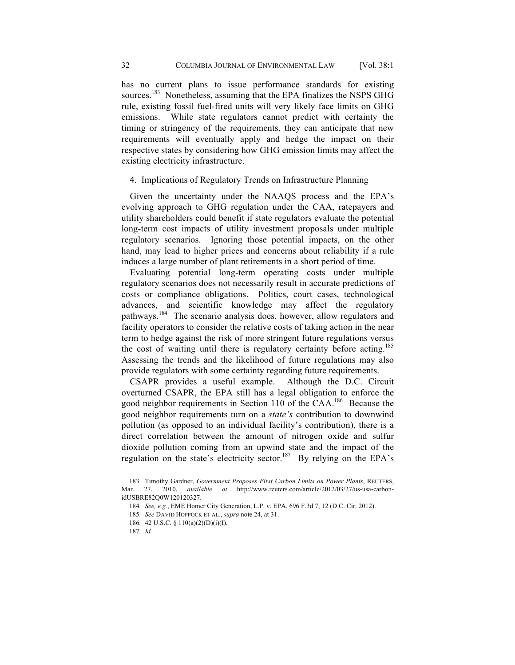has no current plans to issue performance standards for existing sources.<sup>183</sup> Nonetheless, assuming that the EPA finalizes the NSPS GHG rule, existing fossil fuel-fired units will very likely face limits on GHG emissions. While state regulators cannot predict with certainty the timing or stringency of the requirements, they can anticipate that new requirements will eventually apply and hedge the impact on their respective states by considering how GHG emission limits may affect the existing electricity infrastructure.

## 4. Implications of Regulatory Trends on Infrastructure Planning

Given the uncertainty under the NAAQS process and the EPA's evolving approach to GHG regulation under the CAA, ratepayers and utility shareholders could benefit if state regulators evaluate the potential long-term cost impacts of utility investment proposals under multiple regulatory scenarios. Ignoring those potential impacts, on the other hand, may lead to higher prices and concerns about reliability if a rule induces a large number of plant retirements in a short period of time.

Evaluating potential long-term operating costs under multiple regulatory scenarios does not necessarily result in accurate predictions of costs or compliance obligations. Politics, court cases, technological advances, and scientific knowledge may affect the regulatory pathways.<sup>184</sup> The scenario analysis does, however, allow regulators and facility operators to consider the relative costs of taking action in the near term to hedge against the risk of more stringent future regulations versus the cost of waiting until there is regulatory certainty before acting.<sup>185</sup> Assessing the trends and the likelihood of future regulations may also provide regulators with some certainty regarding future requirements.

CSAPR provides a useful example. Although the D.C. Circuit overturned CSAPR, the EPA still has a legal obligation to enforce the good neighbor requirements in Section 110 of the CAA.<sup>186</sup> Because the good neighbor requirements turn on a *state's* contribution to downwind pollution (as opposed to an individual facility's contribution), there is a direct correlation between the amount of nitrogen oxide and sulfur dioxide pollution coming from an upwind state and the impact of the regulation on the state's electricity sector.<sup>187</sup> By relying on the EPA's

- 185. *See* DAVID HOPPOCK ET AL., *supra* note 24, at 31.
- 186. 42 U.S.C. § 110(a)(2)(D)(i)(I).

<sup>183.</sup> Timothy Gardner, *Government Proposes First Carbon Limits on Power Plants*, REUTERS, Mar. 27, 2010, *available at* http://www.reuters.com/article/2012/03/27/us-usa-carbonidUSBRE82Q0W120120327.

<sup>184.</sup> *See, e.g.*, EME Homer City Generation, L.P. v. EPA, 696 F.3d 7, 12 (D.C. Cir. 2012).

<sup>187.</sup> *Id.*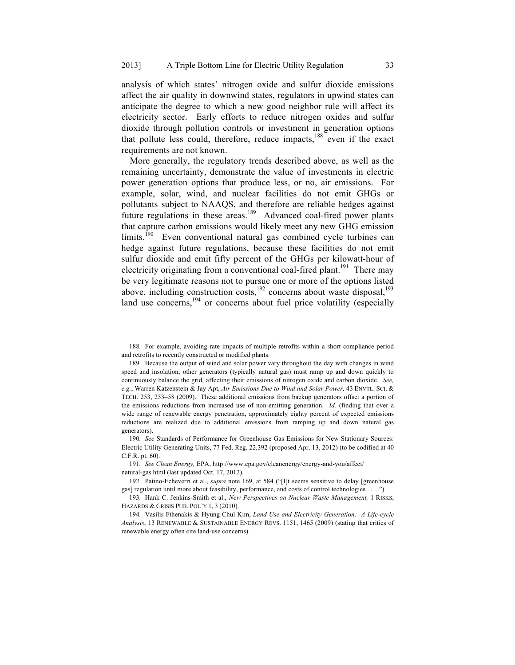analysis of which states' nitrogen oxide and sulfur dioxide emissions affect the air quality in downwind states, regulators in upwind states can anticipate the degree to which a new good neighbor rule will affect its electricity sector. Early efforts to reduce nitrogen oxides and sulfur dioxide through pollution controls or investment in generation options that pollute less could, therefore, reduce impacts,<sup>188</sup> even if the exact requirements are not known.

More generally, the regulatory trends described above, as well as the remaining uncertainty, demonstrate the value of investments in electric power generation options that produce less, or no, air emissions. For example, solar, wind, and nuclear facilities do not emit GHGs or pollutants subject to NAAQS, and therefore are reliable hedges against future regulations in these areas.<sup>189</sup> Advanced coal-fired power plants that capture carbon emissions would likely meet any new GHG emission  $\lim$  limits.<sup>190</sup> Even conventional natural gas combined cycle turbines can hedge against future regulations, because these facilities do not emit sulfur dioxide and emit fifty percent of the GHGs per kilowatt-hour of electricity originating from a conventional coal-fired plant.<sup>191</sup> There may be very legitimate reasons not to pursue one or more of the options listed above, including construction costs, $\frac{192}{192}$  concerns about waste disposal, $^{193}$ land use concerns,<sup>194</sup> or concerns about fuel price volatility (especially

188. For example, avoiding rate impacts of multiple retrofits within a short compliance period and retrofits to recently constructed or modified plants.

189. Because the output of wind and solar power vary throughout the day with changes in wind speed and insolation, other generators (typically natural gas) must ramp up and down quickly to continuously balance the grid, affecting their emissions of nitrogen oxide and carbon dioxide. *See, e.g.*, Warren Katzenstein & Jay Apt, *Air Emissions Due to Wind and Solar Power,* 43 ENVTL. SCI. & TECH. 253, 253–58 (2009). These additional emissions from backup generators offset a portion of the emissions reductions from increased use of non-emitting generation. *Id.* (finding that over a wide range of renewable energy penetration, approximately eighty percent of expected emissions reductions are realized due to additional emissions from ramping up and down natural gas generators).

190. *See* Standards of Performance for Greenhouse Gas Emissions for New Stationary Sources: Electric Utility Generating Units, 77 Fed. Reg. 22,392 (proposed Apr. 13, 2012) (to be codified at 40 C.F.R. pt. 60).

191. *See Clean Energy,* EPA, http://www.epa.gov/cleanenergy/energy-and-you/affect/ natural-gas.html (last updated Oct. 17, 2012).

192. Patino-Echeverri et al., *supra* note 169, at 584 ("[I]t seems sensitive to delay [greenhouse gas] regulation until more about feasibility, performance, and costs of control technologies . . . .").

193. Hank C. Jenkins-Smith et al., *New Perspectives on Nuclear Waste Management,* 1 RISKS, HAZARDS & CRISIS PUB. POL'Y 1, 3 (2010).

194. Vasilis Fthenakis & Hyung Chul Kim, *Land Use and Electricity Generation: A Life-cycle Analysis*, 13 RENEWABLE & SUSTAINABLE ENERGY REVS. 1151, 1465 (2009) (stating that critics of renewable energy often cite land-use concerns).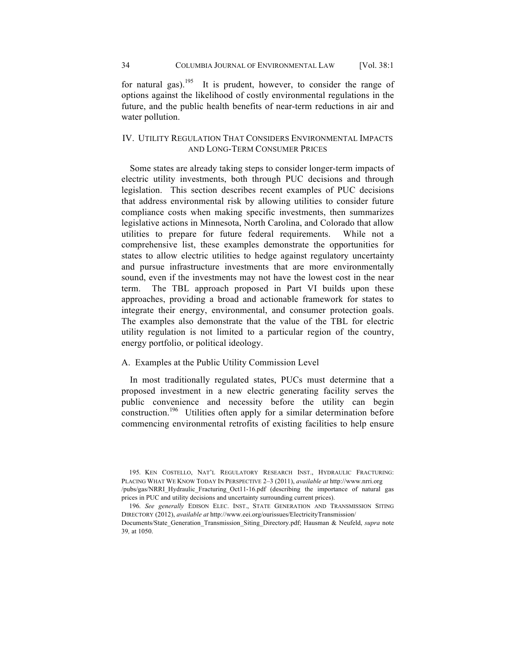for natural gas).<sup>195</sup> It is prudent, however, to consider the range of options against the likelihood of costly environmental regulations in the future, and the public health benefits of near-term reductions in air and water pollution.

# IV. UTILITY REGULATION THAT CONSIDERS ENVIRONMENTAL IMPACTS AND LONG-TERM CONSUMER PRICES

Some states are already taking steps to consider longer-term impacts of electric utility investments, both through PUC decisions and through legislation. This section describes recent examples of PUC decisions that address environmental risk by allowing utilities to consider future compliance costs when making specific investments, then summarizes legislative actions in Minnesota, North Carolina, and Colorado that allow utilities to prepare for future federal requirements. While not a comprehensive list, these examples demonstrate the opportunities for states to allow electric utilities to hedge against regulatory uncertainty and pursue infrastructure investments that are more environmentally sound, even if the investments may not have the lowest cost in the near term. The TBL approach proposed in Part VI builds upon these approaches, providing a broad and actionable framework for states to integrate their energy, environmental, and consumer protection goals. The examples also demonstrate that the value of the TBL for electric utility regulation is not limited to a particular region of the country, energy portfolio, or political ideology.

# A. Examples at the Public Utility Commission Level

In most traditionally regulated states, PUCs must determine that a proposed investment in a new electric generating facility serves the public convenience and necessity before the utility can begin construction.<sup>196</sup> Utilities often apply for a similar determination before commencing environmental retrofits of existing facilities to help ensure

195. KEN COSTELLO, NAT'L REGULATORY RESEARCH INST., HYDRAULIC FRACTURING: PLACING WHAT WE KNOW TODAY IN PERSPECTIVE 2–3 (2011), *available at* http://www.nrri.org /pubs/gas/NRRI\_Hydraulic\_Fracturing\_Oct11-16.pdf (describing the importance of natural gas prices in PUC and utility decisions and uncertainty surrounding current prices).

<sup>196.</sup> *See generally* EDISON ELEC. INST., STATE GENERATION AND TRANSMISSION SITING DIRECTORY (2012), *available at* http://www.eei.org/ourissues/ElectricityTransmission/ Documents/State\_Generation\_Transmission\_Siting\_Directory.pdf; Hausman & Neufeld, *supra* note 39*,* at 1050.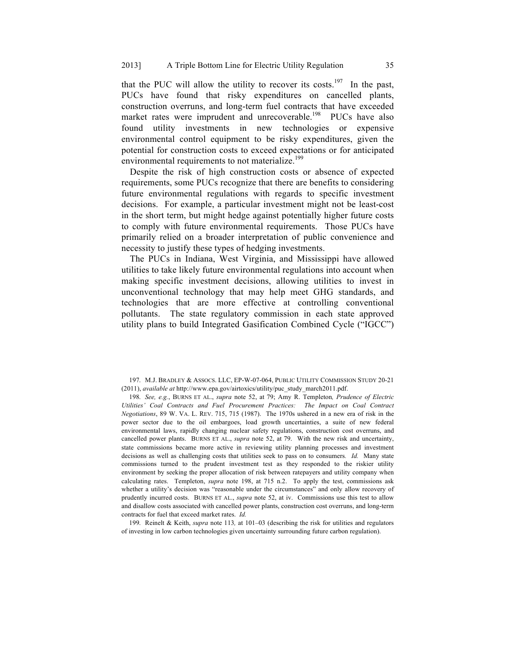that the PUC will allow the utility to recover its costs.<sup>197</sup> In the past, PUCs have found that risky expenditures on cancelled plants, construction overruns, and long-term fuel contracts that have exceeded market rates were imprudent and unrecoverable.<sup>198</sup> PUCs have also found utility investments in new technologies or expensive environmental control equipment to be risky expenditures, given the potential for construction costs to exceed expectations or for anticipated environmental requirements to not materialize.<sup>199</sup>

Despite the risk of high construction costs or absence of expected requirements, some PUCs recognize that there are benefits to considering future environmental regulations with regards to specific investment decisions. For example, a particular investment might not be least-cost in the short term, but might hedge against potentially higher future costs to comply with future environmental requirements. Those PUCs have primarily relied on a broader interpretation of public convenience and necessity to justify these types of hedging investments.

The PUCs in Indiana, West Virginia, and Mississippi have allowed utilities to take likely future environmental regulations into account when making specific investment decisions, allowing utilities to invest in unconventional technology that may help meet GHG standards, and technologies that are more effective at controlling conventional pollutants. The state regulatory commission in each state approved utility plans to build Integrated Gasification Combined Cycle ("IGCC")

199. Reinelt & Keith, *supra* note 113*,* at 101–03 (describing the risk for utilities and regulators of investing in low carbon technologies given uncertainty surrounding future carbon regulation).

<sup>197.</sup> M.J. BRADLEY & ASSOCS. LLC, EP-W-07-064, PUBLIC UTILITY COMMISSION STUDY 20-21 (2011), *available at* http://www.epa.gov/airtoxics/utility/puc\_study\_march2011.pdf.

<sup>198.</sup> *See, e.g.*, BURNS ET AL., *supra* note 52, at 79; Amy R. Templeton*, Prudence of Electric Utilities' Coal Contracts and Fuel Procurement Practices: The Impact on Coal Contract Negotiations*, 89 W. VA. L. REV. 715, 715 (1987). The 1970s ushered in a new era of risk in the power sector due to the oil embargoes, load growth uncertainties, a suite of new federal environmental laws, rapidly changing nuclear safety regulations, construction cost overruns, and cancelled power plants. BURNS ET AL., *supra* note 52, at 79.With the new risk and uncertainty, state commissions became more active in reviewing utility planning processes and investment decisions as well as challenging costs that utilities seek to pass on to consumers*. Id.* Many state commissions turned to the prudent investment test as they responded to the riskier utility environment by seeking the proper allocation of risk between ratepayers and utility company when calculating rates. Templeton, *supra* note 198, at 715 n.2. To apply the test, commissions ask whether a utility's decision was "reasonable under the circumstances" and only allow recovery of prudently incurred costs. BURNS ET AL., *supra* note 52, at iv. Commissions use this test to allow and disallow costs associated with cancelled power plants, construction cost overruns, and long-term contracts for fuel that exceed market rates. *Id.*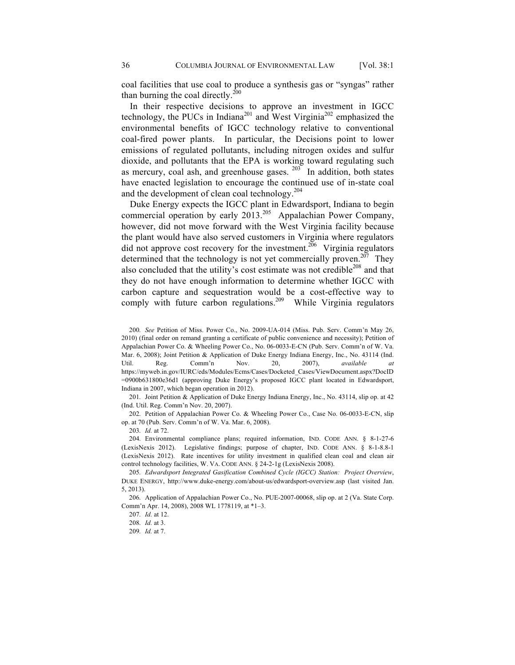coal facilities that use coal to produce a synthesis gas or "syngas" rather than burning the coal directly. $^{200}$ 

In their respective decisions to approve an investment in IGCC technology, the PUCs in Indiana<sup>201</sup> and West Virginia<sup>202</sup> emphasized the environmental benefits of IGCC technology relative to conventional coal-fired power plants. In particular, the Decisions point to lower emissions of regulated pollutants, including nitrogen oxides and sulfur dioxide, and pollutants that the EPA is working toward regulating such as mercury, coal ash, and greenhouse gases.  $203$  In addition, both states have enacted legislation to encourage the continued use of in-state coal and the development of clean coal technology.<sup>204</sup>

Duke Energy expects the IGCC plant in Edwardsport, Indiana to begin commercial operation by early 2013.<sup>205</sup> Appalachian Power Company, however, did not move forward with the West Virginia facility because the plant would have also served customers in Virginia where regulators did not approve cost recovery for the investment.<sup>206</sup> Virginia regulators determined that the technology is not yet commercially proven.<sup>207</sup> They also concluded that the utility's cost estimate was not credible<sup>208</sup> and that they do not have enough information to determine whether IGCC with carbon capture and sequestration would be a cost-effective way to comply with future carbon regulations.<sup>209</sup> While Virginia regulators

201. Joint Petition & Application of Duke Energy Indiana Energy, Inc., No. 43114, slip op. at 42 (Ind. Util. Reg. Comm'n Nov. 20, 2007).

202. Petition of Appalachian Power Co. & Wheeling Power Co., Case No. 06-0033-E-CN, slip op. at 70 (Pub. Serv. Comm'n of W. Va. Mar. 6, 2008).

203. *Id.* at 72.

204. Environmental compliance plans; required information, IND. CODE ANN. § 8-1-27-6 (LexisNexis 2012). Legislative findings; purpose of chapter, IND. CODE ANN. § 8-1-8.8-1 (LexisNexis 2012). Rate incentives for utility investment in qualified clean coal and clean air control technology facilities, W. VA. CODE ANN. § 24-2-1g (LexisNexis 2008).

205. *Edwardsport Integrated Gasification Combined Cycle (IGCC) Station: Project Overview*, DUKE ENERGY, http://www.duke-energy.com/about-us/edwardsport-overview.asp (last visited Jan. 5, 2013).

206. Application of Appalachian Power Co., No. PUE-2007-00068, slip op. at 2 (Va. State Corp. Comm'n Apr. 14, 2008), 2008 WL 1778119, at \*1–3.

209. *Id.* at 7.

<sup>200.</sup> *See* Petition of Miss. Power Co., No. 2009-UA-014 (Miss. Pub. Serv. Comm'n May 26, 2010) (final order on remand granting a certificate of public convenience and necessity); Petition of Appalachian Power Co. & Wheeling Power Co., No. 06-0033-E-CN (Pub. Serv. Comm'n of W. Va. Mar. 6, 2008); Joint Petition & Application of Duke Energy Indiana Energy, Inc., No. 43114 (Ind. Util. Reg. Comm'n Nov. 20, 2007), *available at*  https://myweb.in.gov/IURC/eds/Modules/Ecms/Cases/Docketed\_Cases/ViewDocument.aspx?DocID =0900b631800e36d1 (approving Duke Energy's proposed IGCC plant located in Edwardsport, Indiana in 2007, which began operation in 2012).

<sup>207.</sup> *Id.* at 12.

<sup>208.</sup> *Id.* at 3.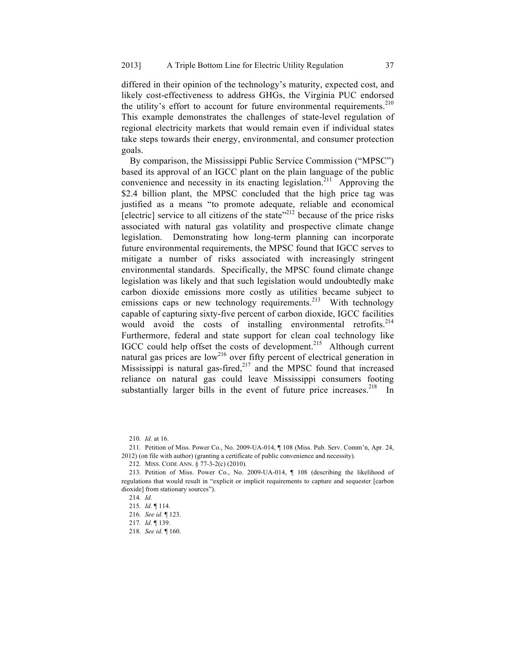differed in their opinion of the technology's maturity, expected cost, and likely cost-effectiveness to address GHGs, the Virginia PUC endorsed the utility's effort to account for future environmental requirements. $210$ This example demonstrates the challenges of state-level regulation of regional electricity markets that would remain even if individual states take steps towards their energy, environmental, and consumer protection goals.

By comparison, the Mississippi Public Service Commission ("MPSC") based its approval of an IGCC plant on the plain language of the public convenience and necessity in its enacting legislation.<sup>211</sup> Approving the \$2.4 billion plant, the MPSC concluded that the high price tag was justified as a means "to promote adequate, reliable and economical  $\left[$  electric $\right]$  service to all citizens of the state<sup> $222$ </sup> because of the price risks associated with natural gas volatility and prospective climate change legislation. Demonstrating how long-term planning can incorporate future environmental requirements, the MPSC found that IGCC serves to mitigate a number of risks associated with increasingly stringent environmental standards. Specifically, the MPSC found climate change legislation was likely and that such legislation would undoubtedly make carbon dioxide emissions more costly as utilities became subject to emissions caps or new technology requirements.<sup>213</sup> With technology capable of capturing sixty-five percent of carbon dioxide, IGCC facilities would avoid the costs of installing environmental retrofits.<sup>214</sup> Furthermore, federal and state support for clean coal technology like IGCC could help offset the costs of development.<sup>215</sup> Although current natural gas prices are low<sup>216</sup> over fifty percent of electrical generation in Mississippi is natural gas-fired, $^{217}$  and the MPSC found that increased reliance on natural gas could leave Mississippi consumers footing substantially larger bills in the event of future price increases.<sup>218</sup> In

<sup>210.</sup> *Id.* at 16.

<sup>211.</sup> Petition of Miss. Power Co., No. 2009-UA-014, ¶ 108 (Miss. Pub. Serv. Comm'n, Apr. 24, 2012) (on file with author) (granting a certificate of public convenience and necessity).

<sup>212.</sup> MISS. CODE ANN. § 77-3-2(c) (2010).

<sup>213.</sup> Petition of Miss. Power Co., No. 2009-UA-014, ¶ 108 (describing the likelihood of regulations that would result in "explicit or implicit requirements to capture and sequester [carbon dioxide] from stationary sources").

<sup>214.</sup> *Id.*

<sup>215.</sup> *Id.* ¶ 114.

<sup>216.</sup> *See id.* ¶ 123.

<sup>217.</sup> *Id.* ¶ 139.

<sup>218.</sup> *See id.* ¶ 160.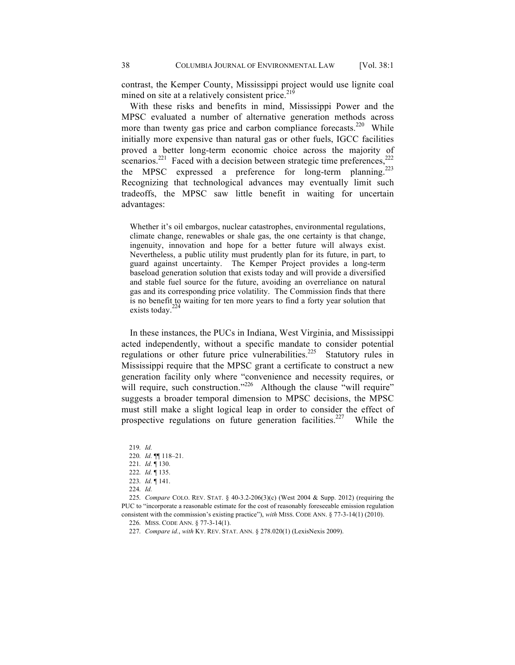contrast, the Kemper County, Mississippi project would use lignite coal mined on site at a relatively consistent price.<sup>219</sup>

With these risks and benefits in mind, Mississippi Power and the MPSC evaluated a number of alternative generation methods across more than twenty gas price and carbon compliance forecasts.<sup>220</sup> While initially more expensive than natural gas or other fuels, IGCC facilities proved a better long-term economic choice across the majority of scenarios.<sup>221</sup> Faced with a decision between strategic time preferences,<sup>2</sup> the MPSC expressed a preference for long-term planning.<sup>223</sup> Recognizing that technological advances may eventually limit such tradeoffs, the MPSC saw little benefit in waiting for uncertain advantages:

Whether it's oil embargos, nuclear catastrophes, environmental regulations, climate change, renewables or shale gas, the one certainty is that change, ingenuity, innovation and hope for a better future will always exist. Nevertheless, a public utility must prudently plan for its future, in part, to guard against uncertainty. The Kemper Project provides a long-term baseload generation solution that exists today and will provide a diversified and stable fuel source for the future, avoiding an overreliance on natural gas and its corresponding price volatility. The Commission finds that there is no benefit to waiting for ten more years to find a forty year solution that exists today.<sup>224</sup>

In these instances, the PUCs in Indiana, West Virginia, and Mississippi acted independently, without a specific mandate to consider potential regulations or other future price vulnerabilities.<sup>225</sup> Statutory rules in Mississippi require that the MPSC grant a certificate to construct a new generation facility only where "convenience and necessity requires, or will require, such construction."<sup>226</sup> Although the clause "will require" suggests a broader temporal dimension to MPSC decisions, the MPSC must still make a slight logical leap in order to consider the effect of prospective regulations on future generation facilities.<sup>227</sup> While the

219. *Id.*  220. *Id.* ¶¶ 118–21. 221. *Id.* ¶ 130. 222. *Id.* ¶ 135. 223. *Id.* ¶ 141. 224. *Id.* 225. *Compare* COLO. REV. STAT. § 40-3.2-206(3)(c) (West 2004 & Supp. 2012) (requiring the

PUC to "incorporate a reasonable estimate for the cost of reasonably foreseeable emission regulation consistent with the commission's existing practice"), *with* MISS. CODE ANN. § 77-3-14(1) (2010).

226. MISS. CODE ANN. § 77-3-14(1).

227. *Compare id.*, *with* KY. REV. STAT. ANN. § 278.020(1) (LexisNexis 2009).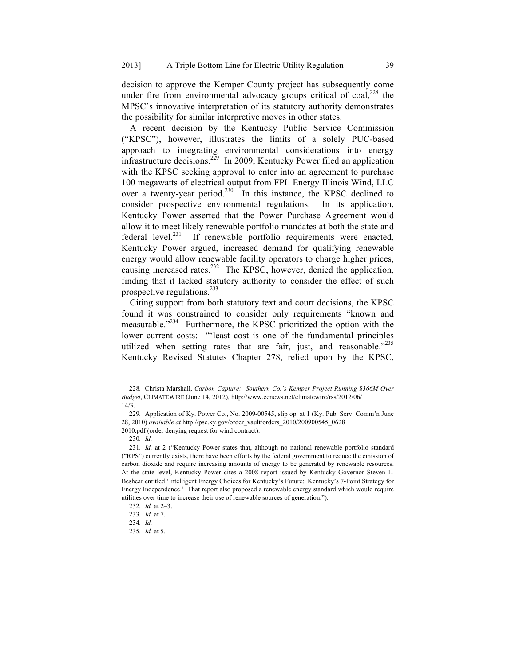decision to approve the Kemper County project has subsequently come under fire from environmental advocacy groups critical of coal, $^{228}$  the MPSC's innovative interpretation of its statutory authority demonstrates the possibility for similar interpretive moves in other states.

A recent decision by the Kentucky Public Service Commission ("KPSC"), however, illustrates the limits of a solely PUC-based approach to integrating environmental considerations into energy infrastructure decisions.<sup>229</sup> In 2009, Kentucky Power filed an application with the KPSC seeking approval to enter into an agreement to purchase 100 megawatts of electrical output from FPL Energy Illinois Wind, LLC over a twenty-year period.<sup>230</sup> In this instance, the KPSC declined to consider prospective environmental regulations. In its application, Kentucky Power asserted that the Power Purchase Agreement would allow it to meet likely renewable portfolio mandates at both the state and federal level. $^{231}$  If renewable portfolio requirements were enacted, Kentucky Power argued, increased demand for qualifying renewable energy would allow renewable facility operators to charge higher prices, causing increased rates.<sup>232</sup> The KPSC, however, denied the application, finding that it lacked statutory authority to consider the effect of such prospective regulations. $^{233}$ 

Citing support from both statutory text and court decisions, the KPSC found it was constrained to consider only requirements "known and measurable."<sup>234</sup> Furthermore, the KPSC prioritized the option with the lower current costs: "'least cost is one of the fundamental principles utilized when setting rates that are fair, just, and reasonable."<sup>235</sup> Kentucky Revised Statutes Chapter 278, relied upon by the KPSC,

229. Application of Ky. Power Co., No. 2009-00545, slip op. at 1 (Ky. Pub. Serv. Comm'n June 28, 2010) *available at* http://psc.ky.gov/order\_vault/orders\_2010/200900545\_0628 2010.pdf (order denying request for wind contract).

230. *Id.*

231. *Id.* at 2 ("Kentucky Power states that, although no national renewable portfolio standard ("RPS") currently exists, there have been efforts by the federal government to reduce the emission of carbon dioxide and require increasing amounts of energy to be generated by renewable resources. At the state level, Kentucky Power cites a 2008 report issued by Kentucky Governor Steven L. Beshear entitled 'Intelligent Energy Choices for Kentucky's Future: Kentucky's 7-Point Strategy for Energy Independence.' That report also proposed a renewable energy standard which would require utilities over time to increase their use of renewable sources of generation.").

235. *Id.* at 5.

<sup>228.</sup> Christa Marshall, *Carbon Capture: Southern Co.'s Kemper Project Running \$366M Over Budget*, CLIMATEWIRE (June 14, 2012), http://www.eenews.net/climatewire/rss/2012/06/ 14/3.

<sup>232.</sup> *Id.* at 2–3.

<sup>233.</sup> *Id.* at 7.

<sup>234.</sup> *Id.*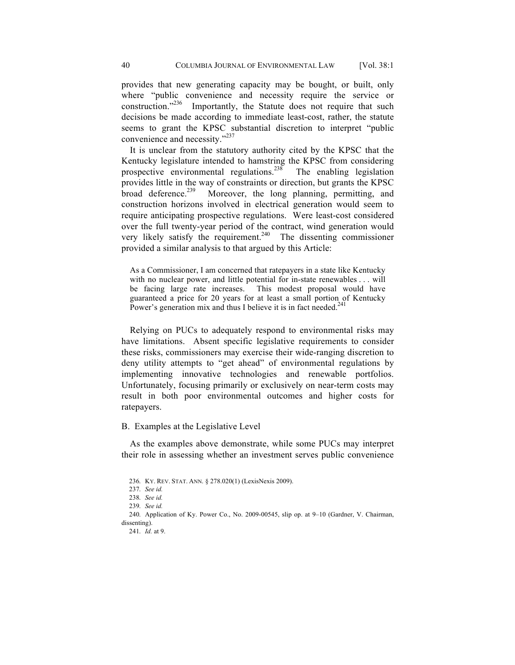provides that new generating capacity may be bought, or built, only where "public convenience and necessity require the service or construction."<sup>236</sup> Importantly, the Statute does not require that such decisions be made according to immediate least-cost, rather, the statute seems to grant the KPSC substantial discretion to interpret "public convenience and necessity."<sup>237</sup>

It is unclear from the statutory authority cited by the KPSC that the Kentucky legislature intended to hamstring the KPSC from considering prospective environmental regulations.<sup>238</sup> The enabling legislation provides little in the way of constraints or direction, but grants the KPSC<br>broad deference.<sup>239</sup> Moreover, the long planning, permitting and Moreover, the long planning, permitting, and construction horizons involved in electrical generation would seem to require anticipating prospective regulations. Were least-cost considered over the full twenty-year period of the contract, wind generation would very likely satisfy the requirement.<sup>240</sup> The dissenting commissioner provided a similar analysis to that argued by this Article:

As a Commissioner, I am concerned that ratepayers in a state like Kentucky with no nuclear power, and little potential for in-state renewables . . . will be facing large rate increases. This modest proposal would have guaranteed a price for 20 years for at least a small portion of Kentucky Power's generation mix and thus I believe it is in fact needed.<sup>241</sup>

Relying on PUCs to adequately respond to environmental risks may have limitations. Absent specific legislative requirements to consider these risks, commissioners may exercise their wide-ranging discretion to deny utility attempts to "get ahead" of environmental regulations by implementing innovative technologies and renewable portfolios. Unfortunately, focusing primarily or exclusively on near-term costs may result in both poor environmental outcomes and higher costs for ratepayers.

## B. Examples at the Legislative Level

As the examples above demonstrate, while some PUCs may interpret their role in assessing whether an investment serves public convenience

<sup>236.</sup> KY. REV. STAT. ANN. § 278.020(1) (LexisNexis 2009).

<sup>237.</sup> *See id.*

<sup>238.</sup> *See id.*

<sup>239.</sup> *See id.*

<sup>240.</sup> Application of Ky. Power Co., No. 2009-00545, slip op. at 9–10 (Gardner, V. Chairman, dissenting).

<sup>241.</sup> *Id.* at 9.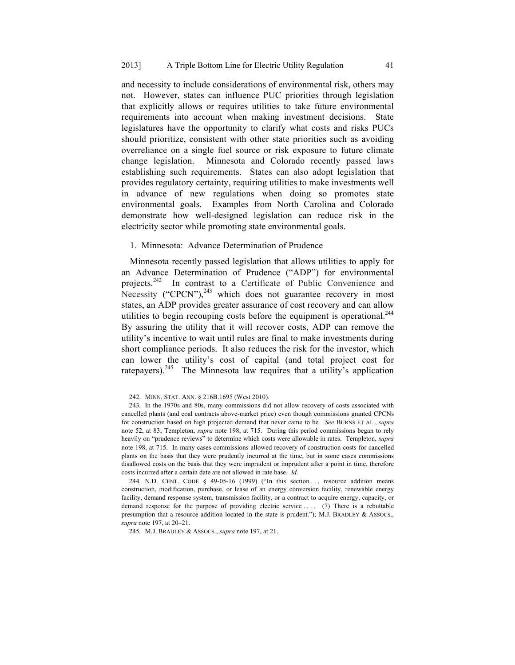and necessity to include considerations of environmental risk, others may not. However, states can influence PUC priorities through legislation that explicitly allows or requires utilities to take future environmental requirements into account when making investment decisions. State legislatures have the opportunity to clarify what costs and risks PUCs should prioritize, consistent with other state priorities such as avoiding overreliance on a single fuel source or risk exposure to future climate change legislation. Minnesota and Colorado recently passed laws establishing such requirements. States can also adopt legislation that provides regulatory certainty, requiring utilities to make investments well in advance of new regulations when doing so promotes state environmental goals. Examples from North Carolina and Colorado demonstrate how well-designed legislation can reduce risk in the electricity sector while promoting state environmental goals.

## 1. Minnesota: Advance Determination of Prudence

Minnesota recently passed legislation that allows utilities to apply for an Advance Determination of Prudence ("ADP") for environmental projects.242 In contrast to a Certificate of Public Convenience and Necessity ("CPCN"), $^{243}$  which does not guarantee recovery in most states, an ADP provides greater assurance of cost recovery and can allow utilities to begin recouping costs before the equipment is operational.<sup>244</sup> By assuring the utility that it will recover costs, ADP can remove the utility's incentive to wait until rules are final to make investments during short compliance periods. It also reduces the risk for the investor, which can lower the utility's cost of capital (and total project cost for ratepayers).<sup>245</sup> The Minnesota law requires that a utility's application

244. N.D. CENT. CODE § 49-05-16 (1999) ("In this section ... resource addition means construction, modification, purchase, or lease of an energy conversion facility, renewable energy facility, demand response system, transmission facility, or a contract to acquire energy, capacity, or demand response for the purpose of providing electric service .... (7) There is a rebuttable presumption that a resource addition located in the state is prudent."); M.J. BRADLEY & ASSOCS., *supra* note 197, at 20–21.

245. M.J. BRADLEY & ASSOCS., *supra* note 197, at 21.

<sup>242.</sup> MINN. STAT. ANN. § 216B.1695 (West 2010).

<sup>243.</sup> In the 1970s and 80s, many commissions did not allow recovery of costs associated with cancelled plants (and coal contracts above-market price) even though commissions granted CPCNs for construction based on high projected demand that never came to be. *See* BURNS ET AL., *supra* note 52, at 83; Templeton, *supra* note 198, at 715. During this period commissions began to rely heavily on "prudence reviews" to determine which costs were allowable in rates. Templeton, *supra* note 198, at 715.In many cases commissions allowed recovery of construction costs for cancelled plants on the basis that they were prudently incurred at the time, but in some cases commissions disallowed costs on the basis that they were imprudent or imprudent after a point in time, therefore costs incurred after a certain date are not allowed in rate base. *Id.*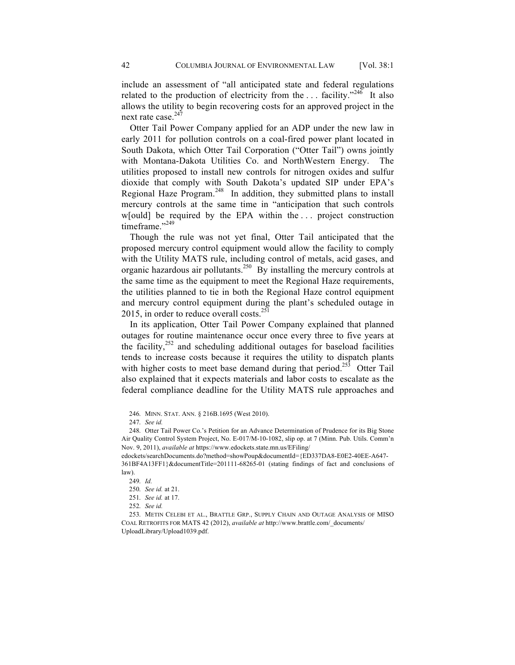include an assessment of "all anticipated state and federal regulations related to the production of electricity from the  $\dots$  facility."<sup>246</sup> It also allows the utility to begin recovering costs for an approved project in the next rate case.<sup>247</sup>

Otter Tail Power Company applied for an ADP under the new law in early 2011 for pollution controls on a coal-fired power plant located in South Dakota, which Otter Tail Corporation ("Otter Tail") owns jointly with Montana-Dakota Utilities Co. and NorthWestern Energy. The utilities proposed to install new controls for nitrogen oxides and sulfur dioxide that comply with South Dakota's updated SIP under EPA's Regional Haze Program.<sup>248</sup> In addition, they submitted plans to install mercury controls at the same time in "anticipation that such controls w[ould] be required by the EPA within the . . . project construction timeframe."249

Though the rule was not yet final, Otter Tail anticipated that the proposed mercury control equipment would allow the facility to comply with the Utility MATS rule, including control of metals, acid gases, and organic hazardous air pollutants.<sup>250</sup> By installing the mercury controls at the same time as the equipment to meet the Regional Haze requirements, the utilities planned to tie in both the Regional Haze control equipment and mercury control equipment during the plant's scheduled outage in 2015, in order to reduce overall costs. $^{251}$ 

In its application, Otter Tail Power Company explained that planned outages for routine maintenance occur once every three to five years at the facility, $252$  and scheduling additional outages for baseload facilities tends to increase costs because it requires the utility to dispatch plants with higher costs to meet base demand during that period.<sup>253</sup> Otter Tail also explained that it expects materials and labor costs to escalate as the federal compliance deadline for the Utility MATS rule approaches and

247. *See id.*

<sup>246.</sup> MINN. STAT. ANN. § 216B.1695 (West 2010).

<sup>248.</sup> Otter Tail Power Co.'s Petition for an Advance Determination of Prudence for its Big Stone Air Quality Control System Project, No. E-017/M-10-1082, slip op. at 7 (Minn. Pub. Utils. Comm'n Nov. 9, 2011), *available at* https://www.edockets.state.mn.us/EFiling/

edockets/searchDocuments.do?method=showPoup&documentId={ED337DA8-E0E2-40EE-A647- 361BF4A13FF1}&documentTitle=201111-68265-01 (stating findings of fact and conclusions of law).

<sup>249.</sup> *Id.*

<sup>250.</sup> *See id.* at 21.

<sup>251.</sup> *See id.* at 17.

<sup>252.</sup> *See id.*

<sup>253.</sup> METIN CELEBI ET AL., BRATTLE GRP., SUPPLY CHAIN AND OUTAGE ANALYSIS OF MISO COAL RETROFITS FOR MATS 42 (2012), *available at* http://www.brattle.com/\_documents/ UploadLibrary/Upload1039.pdf.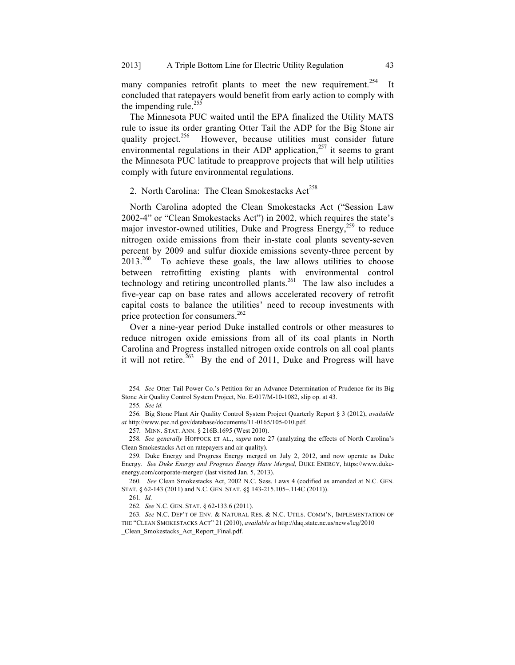many companies retrofit plants to meet the new requirement.<sup>254</sup> It concluded that ratepayers would benefit from early action to comply with the impending rule. $255$ 

The Minnesota PUC waited until the EPA finalized the Utility MATS rule to issue its order granting Otter Tail the ADP for the Big Stone air quality project. $256$  However, because utilities must consider future environmental regulations in their ADP application, $257$  it seems to grant the Minnesota PUC latitude to preapprove projects that will help utilities comply with future environmental regulations.

# 2. North Carolina: The Clean Smokestacks  $Act^{258}$

North Carolina adopted the Clean Smokestacks Act ("Session Law 2002-4" or "Clean Smokestacks Act") in 2002, which requires the state's major investor-owned utilities, Duke and Progress Energy,<sup>259</sup> to reduce nitrogen oxide emissions from their in-state coal plants seventy-seven percent by 2009 and sulfur dioxide emissions seventy-three percent by  $2013.<sup>260</sup>$  To achieve these goals, the law allows utilities to choose between retrofitting existing plants with environmental control technology and retiring uncontrolled plants.<sup>261</sup> The law also includes a five-year cap on base rates and allows accelerated recovery of retrofit capital costs to balance the utilities' need to recoup investments with price protection for consumers.<sup>262</sup>

Over a nine-year period Duke installed controls or other measures to reduce nitrogen oxide emissions from all of its coal plants in North Carolina and Progress installed nitrogen oxide controls on all coal plants it will not retire.<sup>263</sup> By the end of 2011, Duke and Progress will have

255. *See id.*

256. Big Stone Plant Air Quality Control System Project Quarterly Report § 3 (2012), *available at* http://www.psc.nd.gov/database/documents/11-0165/105-010.pdf.

257. MINN. STAT. ANN. § 216B.1695 (West 2010).

258. *See generally* HOPPOCK ET AL., *supra* note 27 (analyzing the effects of North Carolina's Clean Smokestacks Act on ratepayers and air quality).

259. Duke Energy and Progress Energy merged on July 2, 2012, and now operate as Duke Energy. *See Duke Energy and Progress Energy Have Merged*, DUKE ENERGY, https://www.dukeenergy.com/corporate-merger/ (last visited Jan. 5, 2013).

260. *See* Clean Smokestacks Act, 2002 N.C. Sess. Laws 4 (codified as amended at N.C. GEN. STAT. § 62-143 (2011) and N.C. GEN. STAT. §§ 143-215.105–.114C (2011)).

261. *Id.*

262. *See* N.C. GEN. STAT. § 62-133.6 (2011).

263. *See* N.C. DEP'T OF ENV. & NATURAL RES. & N.C. UTILS. COMM'N, IMPLEMENTATION OF THE "CLEAN SMOKESTACKS ACT" 21 (2010), *available at* http://daq.state.nc.us/news/leg/2010 \_Clean\_Smokestacks\_Act\_Report\_Final.pdf.

<sup>254.</sup> *See* Otter Tail Power Co.'s Petition for an Advance Determination of Prudence for its Big Stone Air Quality Control System Project, No. E-017/M-10-1082, slip op. at 43.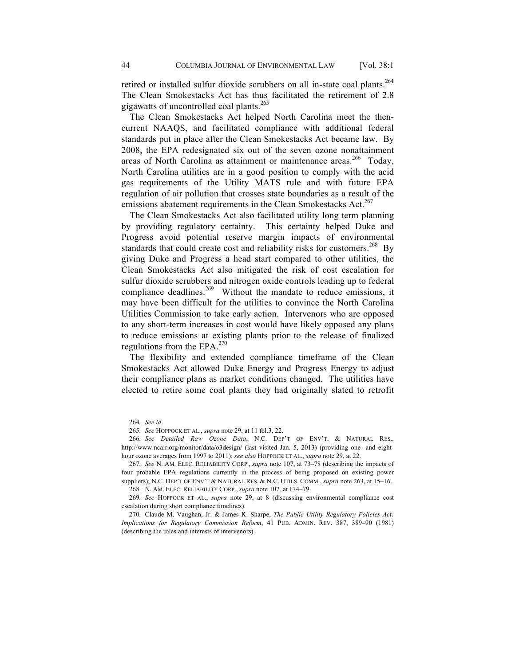retired or installed sulfur dioxide scrubbers on all in-state coal plants.<sup>264</sup> The Clean Smokestacks Act has thus facilitated the retirement of 2.8 gigawatts of uncontrolled coal plants.<sup>265</sup>

The Clean Smokestacks Act helped North Carolina meet the thencurrent NAAQS, and facilitated compliance with additional federal standards put in place after the Clean Smokestacks Act became law. By 2008, the EPA redesignated six out of the seven ozone nonattainment areas of North Carolina as attainment or maintenance areas.<sup>266</sup> Today, North Carolina utilities are in a good position to comply with the acid gas requirements of the Utility MATS rule and with future EPA regulation of air pollution that crosses state boundaries as a result of the emissions abatement requirements in the Clean Smokestacks Act.<sup>267</sup>

The Clean Smokestacks Act also facilitated utility long term planning by providing regulatory certainty. This certainty helped Duke and Progress avoid potential reserve margin impacts of environmental standards that could create cost and reliability risks for customers.<sup>268</sup> By giving Duke and Progress a head start compared to other utilities, the Clean Smokestacks Act also mitigated the risk of cost escalation for sulfur dioxide scrubbers and nitrogen oxide controls leading up to federal compliance deadlines.<sup>269</sup> Without the mandate to reduce emissions, it may have been difficult for the utilities to convince the North Carolina Utilities Commission to take early action. Intervenors who are opposed to any short-term increases in cost would have likely opposed any plans to reduce emissions at existing plants prior to the release of finalized regulations from the EPA. $270$ 

The flexibility and extended compliance timeframe of the Clean Smokestacks Act allowed Duke Energy and Progress Energy to adjust their compliance plans as market conditions changed. The utilities have elected to retire some coal plants they had originally slated to retrofit

266. *See Detailed Raw Ozone Data*, N.C. DEP'T OF ENV'T. & NATURAL RES., http://www.ncair.org/monitor/data/o3design/ (last visited Jan. 5, 2013) (providing one- and eighthour ozone averages from 1997 to 2011); *see also* HOPPOCK ET AL., *supra* note 29, at 22.

267. *See* N. AM. ELEC. RELIABILITY CORP., *supra* note 107, at 73–78 (describing the impacts of four probable EPA regulations currently in the process of being proposed on existing power suppliers); N.C. DEP'T OF ENV'T & NATURAL RES. & N.C. UTILS. COMM., *supra* note 263, at 15–16.

268. N. AM. ELEC. RELIABILITY CORP., *supra* note 107, at 174–79.

269. *See* HOPPOCK ET AL., *supra* note 29, at 8 (discussing environmental compliance cost escalation during short compliance timelines).

270. Claude M. Vaughan, Jr. & James K. Sharpe, *The Public Utility Regulatory Policies Act: Implications for Regulatory Commission Reform*, 41 PUB. ADMIN. REV. 387, 389–90 (1981) (describing the roles and interests of intervenors).

<sup>264</sup>*. See id.*

<sup>265.</sup> *See* HOPPOCK ET AL., *supra* note 29, at 11 tbl.3, 22.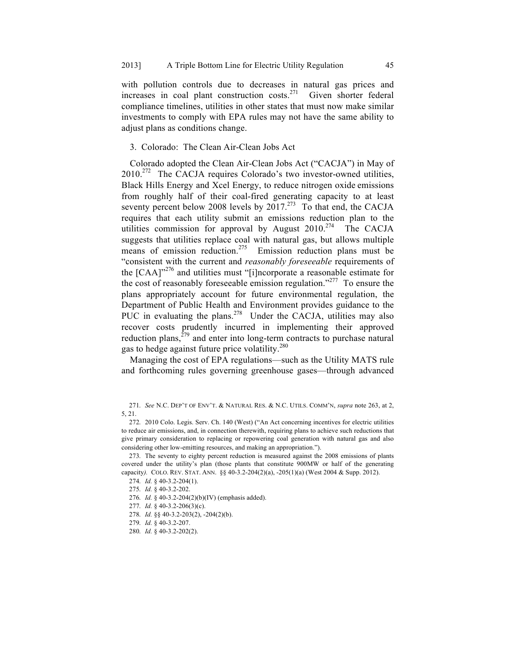with pollution controls due to decreases in natural gas prices and increases in coal plant construction costs.<sup>271</sup> Given shorter federal compliance timelines, utilities in other states that must now make similar investments to comply with EPA rules may not have the same ability to adjust plans as conditions change.

# 3. Colorado: The Clean Air-Clean Jobs Act

Colorado adopted the Clean Air-Clean Jobs Act ("CACJA") in May of  $2010^{272}$  The CACJA requires Colorado's two investor-owned utilities, Black Hills Energy and Xcel Energy, to reduce nitrogen oxide emissions from roughly half of their coal-fired generating capacity to at least seventy percent below 2008 levels by 2017.<sup>273</sup> To that end, the CACJA requires that each utility submit an emissions reduction plan to the utilities commission for approval by August  $2010$ .<sup>274</sup> The CACJA suggests that utilities replace coal with natural gas, but allows multiple means of emission reduction.<sup>275</sup> Emission reduction plans must be "consistent with the current and *reasonably foreseeable* requirements of the  $[CAA]^{276}$  and utilities must "[i]ncorporate a reasonable estimate for the cost of reasonably foreseeable emission regulation."277 To ensure the plans appropriately account for future environmental regulation, the Department of Public Health and Environment provides guidance to the PUC in evaluating the plans.<sup>278</sup> Under the CACJA, utilities may also recover costs prudently incurred in implementing their approved reduction plans, $279$  and enter into long-term contracts to purchase natural gas to hedge against future price volatility.<sup>280</sup>

Managing the cost of EPA regulations—such as the Utility MATS rule and forthcoming rules governing greenhouse gases—through advanced

<sup>271.</sup> *See* N.C. DEP'T OF ENV'T. & NATURAL RES. & N.C. UTILS. COMM'N, *supra* note 263, at 2, 5, 21.

<sup>272.</sup> 2010 Colo. Legis. Serv. Ch. 140 (West) ("An Act concerning incentives for electric utilities to reduce air emissions, and, in connection therewith, requiring plans to achieve such reductions that give primary consideration to replacing or repowering coal generation with natural gas and also considering other low-emitting resources, and making an appropriation.").

<sup>273.</sup> The seventy to eighty percent reduction is measured against the 2008 emissions of plants covered under the utility's plan (those plants that constitute 900MW or half of the generating capacity*).* COLO. REV. STAT. ANN. §§ 40-3.2-204(2)(a), -205(1)(a) (West 2004 & Supp. 2012).

<sup>274.</sup> *Id.* § 40-3.2-204(1).

<sup>275.</sup> *Id.* § 40-3.2-202.

<sup>276.</sup> *Id.* § 40-3.2-204(2)(b)(IV) (emphasis added).

<sup>277.</sup> *Id.* § 40-3.2-206(3)(c).

<sup>278.</sup> *Id.* §§ 40-3.2-203(2), -204(2)(b).

<sup>279.</sup> *Id.* § 40-3.2-207.

<sup>280.</sup> *Id.* § 40-3.2-202(2).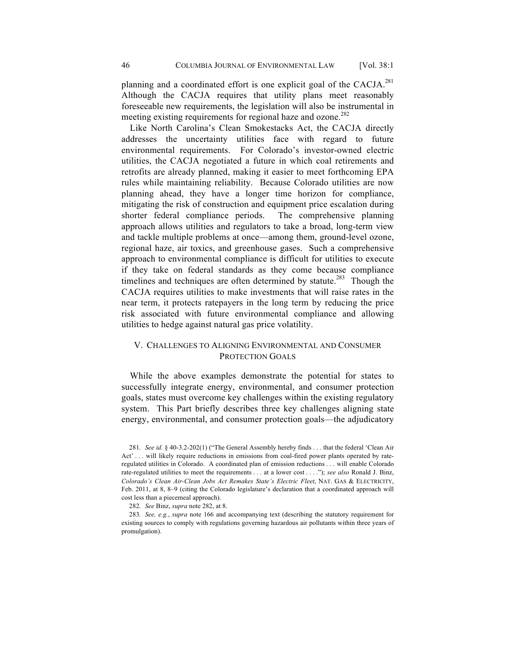planning and a coordinated effort is one explicit goal of the CACJA.<sup>281</sup> Although the CACJA requires that utility plans meet reasonably foreseeable new requirements, the legislation will also be instrumental in meeting existing requirements for regional haze and ozone.<sup>282</sup>

Like North Carolina's Clean Smokestacks Act, the CACJA directly addresses the uncertainty utilities face with regard to future environmental requirements. For Colorado's investor-owned electric utilities, the CACJA negotiated a future in which coal retirements and retrofits are already planned, making it easier to meet forthcoming EPA rules while maintaining reliability. Because Colorado utilities are now planning ahead, they have a longer time horizon for compliance, mitigating the risk of construction and equipment price escalation during shorter federal compliance periods. The comprehensive planning approach allows utilities and regulators to take a broad, long-term view and tackle multiple problems at once—among them, ground-level ozone, regional haze, air toxics, and greenhouse gases. Such a comprehensive approach to environmental compliance is difficult for utilities to execute if they take on federal standards as they come because compliance timelines and techniques are often determined by statute.<sup>283</sup> Though the CACJA requires utilities to make investments that will raise rates in the near term, it protects ratepayers in the long term by reducing the price risk associated with future environmental compliance and allowing utilities to hedge against natural gas price volatility.

# V. CHALLENGES TO ALIGNING ENVIRONMENTAL AND CONSUMER PROTECTION GOALS

While the above examples demonstrate the potential for states to successfully integrate energy, environmental, and consumer protection goals, states must overcome key challenges within the existing regulatory system. This Part briefly describes three key challenges aligning state energy, environmental, and consumer protection goals—the adjudicatory

<sup>281.</sup> *See id.* § 40-3.2-202(1) ("The General Assembly hereby finds . . . that the federal 'Clean Air Act' . . . will likely require reductions in emissions from coal-fired power plants operated by rateregulated utilities in Colorado. A coordinated plan of emission reductions . . . will enable Colorado rate-regulated utilities to meet the requirements . . . at a lower cost . . . ."); *see also* Ronald J. Binz, *Colorado's Clean Air-Clean Jobs Act Remakes State's Electric Fleet*, NAT. GAS & ELECTRICITY, Feb. 2011, at 8, 8–9 (citing the Colorado legislature's declaration that a coordinated approach will cost less than a piecemeal approach).

<sup>282.</sup> *See* Binz, *supra* note 282, at 8.

<sup>283.</sup> *See, e.g.*, *supra* note 166 and accompanying text (describing the statutory requirement for existing sources to comply with regulations governing hazardous air pollutants within three years of promulgation).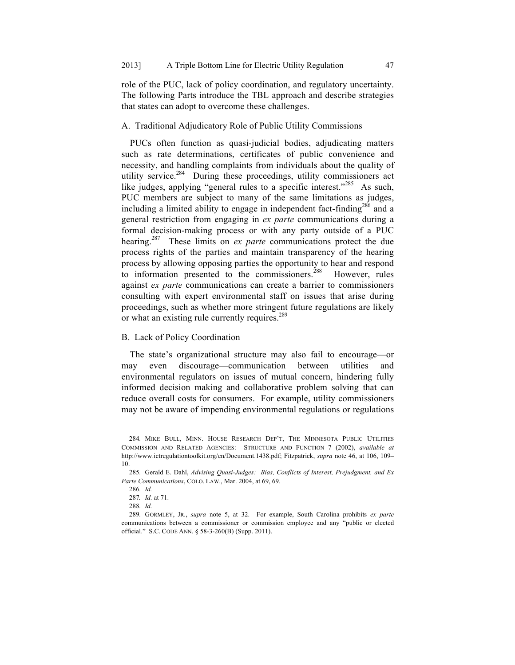role of the PUC, lack of policy coordination, and regulatory uncertainty. The following Parts introduce the TBL approach and describe strategies that states can adopt to overcome these challenges.

## A. Traditional Adjudicatory Role of Public Utility Commissions

PUCs often function as quasi-judicial bodies, adjudicating matters such as rate determinations, certificates of public convenience and necessity, and handling complaints from individuals about the quality of utility service.<sup>284</sup> During these proceedings, utility commissioners act like judges, applying "general rules to a specific interest."<sup>285</sup> As such, PUC members are subject to many of the same limitations as judges, including a limited ability to engage in independent fact-finding<sup>286</sup> and a general restriction from engaging in *ex parte* communications during a formal decision-making process or with any party outside of a PUC hearing.<sup>287</sup> These limits on *ex parte* communications protect the due process rights of the parties and maintain transparency of the hearing process by allowing opposing parties the opportunity to hear and respond to information presented to the commissioners.<sup>288</sup> However, rules against *ex parte* communications can create a barrier to commissioners consulting with expert environmental staff on issues that arise during proceedings, such as whether more stringent future regulations are likely or what an existing rule currently requires.<sup>289</sup>

# B. Lack of Policy Coordination

The state's organizational structure may also fail to encourage—or may even discourage—communication between utilities and environmental regulators on issues of mutual concern, hindering fully informed decision making and collaborative problem solving that can reduce overall costs for consumers. For example, utility commissioners may not be aware of impending environmental regulations or regulations

<sup>284.</sup> MIKE BULL, MINN. HOUSE RESEARCH DEP'T, THE MINNESOTA PUBLIC UTILITIES COMMISSION AND RELATED AGENCIES: STRUCTURE AND FUNCTION 7 (2002), *available at*  http://www.ictregulationtoolkit.org/en/Document.1438.pdf; Fitzpatrick, *supra* note 46, at 106, 109– 10.

<sup>285.</sup> Gerald E. Dahl, *Advising Quasi-Judges: Bias, Conflicts of Interest, Prejudgment, and Ex Parte Communications*, COLO. LAW., Mar. 2004, at 69, 69.

<sup>286.</sup> *Id.*

<sup>287</sup>*. Id.* at 71.

<sup>288.</sup> *Id.*

<sup>289.</sup> GORMLEY, JR., *supra* note 5, at 32. For example, South Carolina prohibits *ex parte* communications between a commissioner or commission employee and any "public or elected official." S.C. CODE ANN. § 58-3-260(B) (Supp. 2011).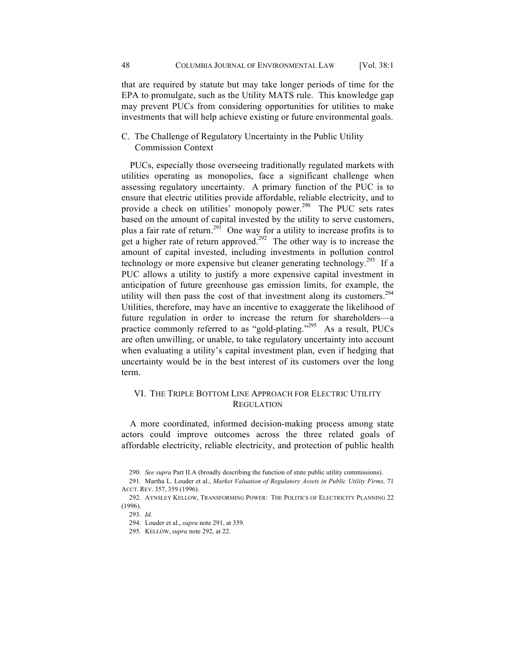that are required by statute but may take longer periods of time for the EPA to promulgate, such as the Utility MATS rule. This knowledge gap may prevent PUCs from considering opportunities for utilities to make investments that will help achieve existing or future environmental goals.

C. The Challenge of Regulatory Uncertainty in the Public Utility Commission Context

PUCs, especially those overseeing traditionally regulated markets with utilities operating as monopolies, face a significant challenge when assessing regulatory uncertainty. A primary function of the PUC is to ensure that electric utilities provide affordable, reliable electricity, and to provide a check on utilities' monopoly power.<sup>290</sup> The PUC sets rates based on the amount of capital invested by the utility to serve customers, plus a fair rate of return.<sup>291</sup> One way for a utility to increase profits is to get a higher rate of return approved.<sup>292</sup> The other way is to increase the amount of capital invested, including investments in pollution control technology or more expensive but cleaner generating technology.<sup>293</sup> If a PUC allows a utility to justify a more expensive capital investment in anticipation of future greenhouse gas emission limits, for example, the utility will then pass the cost of that investment along its customers.<sup>294</sup> Utilities, therefore, may have an incentive to exaggerate the likelihood of future regulation in order to increase the return for shareholders—a practice commonly referred to as "gold-plating."<sup>295</sup> As a result, PUCs are often unwilling, or unable, to take regulatory uncertainty into account when evaluating a utility's capital investment plan, even if hedging that uncertainty would be in the best interest of its customers over the long term.

# VI. THE TRIPLE BOTTOM LINE APPROACH FOR ELECTRIC UTILITY **REGULATION**

A more coordinated, informed decision-making process among state actors could improve outcomes across the three related goals of affordable electricity, reliable electricity, and protection of public health

<sup>290.</sup> *See supra* Part II.A (broadly describing the function of state public utility commissions).

<sup>291.</sup> Martha L. Louder et al., *Market Valuation of Regulatory Assets in Public Utility Firms,* 71 ACCT. REV. 357, 359 (1996).

<sup>292.</sup> AYNSLEY KELLOW, TRANSFORMING POWER: THE POLITICS OF ELECTRICITY PLANNING 22 (1996).

<sup>293.</sup> *Id.*

<sup>294.</sup> Louder et al., *supra* note 291, at 359.

<sup>295.</sup> KELLOW, *supra* note 292, at 22.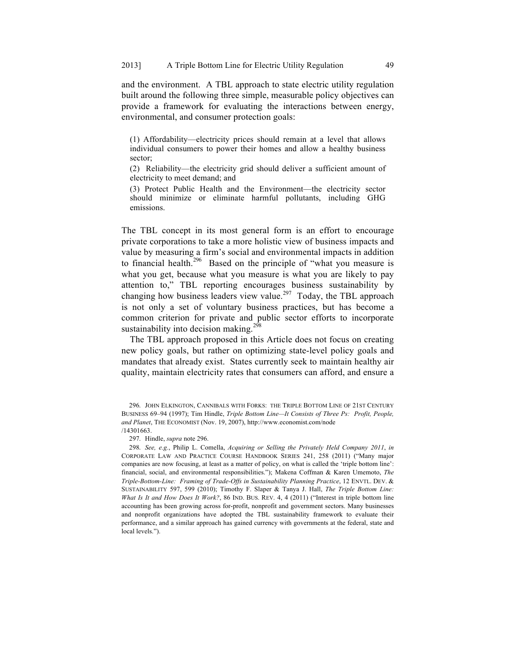and the environment. A TBL approach to state electric utility regulation built around the following three simple, measurable policy objectives can provide a framework for evaluating the interactions between energy, environmental, and consumer protection goals:

(1) Affordability—electricity prices should remain at a level that allows individual consumers to power their homes and allow a healthy business sector;

(2) Reliability—the electricity grid should deliver a sufficient amount of electricity to meet demand; and

(3) Protect Public Health and the Environment—the electricity sector should minimize or eliminate harmful pollutants, including GHG emissions.

The TBL concept in its most general form is an effort to encourage private corporations to take a more holistic view of business impacts and value by measuring a firm's social and environmental impacts in addition to financial health.<sup>296</sup> Based on the principle of "what you measure is what you get, because what you measure is what you are likely to pay attention to," TBL reporting encourages business sustainability by changing how business leaders view value.<sup>297</sup> Today, the TBL approach is not only a set of voluntary business practices, but has become a common criterion for private and public sector efforts to incorporate sustainability into decision making. $298$ 

The TBL approach proposed in this Article does not focus on creating new policy goals, but rather on optimizing state-level policy goals and mandates that already exist. States currently seek to maintain healthy air quality, maintain electricity rates that consumers can afford, and ensure a

297. Hindle, *supra* note 296.

298. *See, e.g.*, Philip L. Comella, *Acquiring or Selling the Privately Held Company 2011*, *in* CORPORATE LAW AND PRACTICE COURSE HANDBOOK SERIES 241, 258 (2011) ("Many major companies are now focusing, at least as a matter of policy, on what is called the 'triple bottom line': financial, social, and environmental responsibilities."); Makena Coffman & Karen Umemoto, *The Triple-Bottom-Line: Framing of Trade-Offs in Sustainability Planning Practice*, 12 ENVTL. DEV. & SUSTAINABILITY 597, 599 (2010); Timothy F. Slaper & Tanya J. Hall, *The Triple Bottom Line: What Is It and How Does It Work?*, 86 IND. BUS. REV. 4, 4 (2011) ("Interest in triple bottom line accounting has been growing across for-profit, nonprofit and government sectors. Many businesses and nonprofit organizations have adopted the TBL sustainability framework to evaluate their performance, and a similar approach has gained currency with governments at the federal, state and local levels.").

<sup>296.</sup> JOHN ELKINGTON, CANNIBALS WITH FORKS: THE TRIPLE BOTTOM LINE OF 21ST CENTURY BUSINESS 69–94 (1997); Tim Hindle, *Triple Bottom Line—It Consists of Three Ps: Profit, People, and Planet*, THE ECONOMIST (Nov. 19, 2007), http://www.economist.com/node /14301663.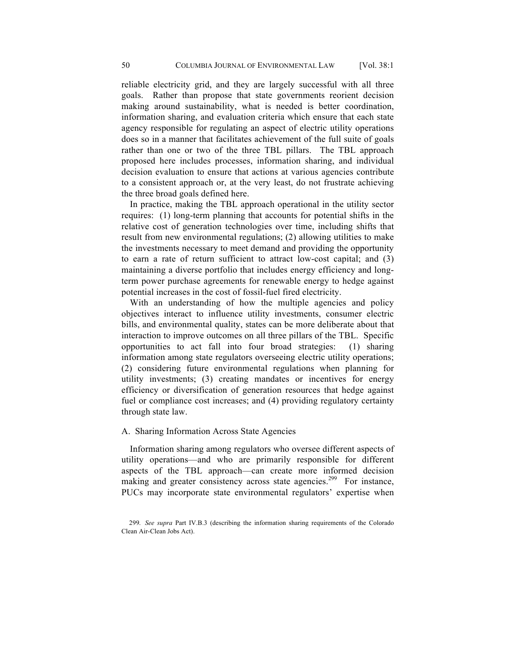reliable electricity grid, and they are largely successful with all three goals. Rather than propose that state governments reorient decision making around sustainability, what is needed is better coordination, information sharing, and evaluation criteria which ensure that each state agency responsible for regulating an aspect of electric utility operations does so in a manner that facilitates achievement of the full suite of goals rather than one or two of the three TBL pillars. The TBL approach proposed here includes processes, information sharing, and individual decision evaluation to ensure that actions at various agencies contribute to a consistent approach or, at the very least, do not frustrate achieving the three broad goals defined here.

In practice, making the TBL approach operational in the utility sector requires: (1) long-term planning that accounts for potential shifts in the relative cost of generation technologies over time, including shifts that result from new environmental regulations; (2) allowing utilities to make the investments necessary to meet demand and providing the opportunity to earn a rate of return sufficient to attract low-cost capital; and (3) maintaining a diverse portfolio that includes energy efficiency and longterm power purchase agreements for renewable energy to hedge against potential increases in the cost of fossil-fuel fired electricity.

With an understanding of how the multiple agencies and policy objectives interact to influence utility investments, consumer electric bills, and environmental quality, states can be more deliberate about that interaction to improve outcomes on all three pillars of the TBL. Specific opportunities to act fall into four broad strategies: (1) sharing information among state regulators overseeing electric utility operations; (2) considering future environmental regulations when planning for utility investments; (3) creating mandates or incentives for energy efficiency or diversification of generation resources that hedge against fuel or compliance cost increases; and (4) providing regulatory certainty through state law.

## A. Sharing Information Across State Agencies

Information sharing among regulators who oversee different aspects of utility operations—and who are primarily responsible for different aspects of the TBL approach—can create more informed decision making and greater consistency across state agencies.<sup>299</sup> For instance, PUCs may incorporate state environmental regulators' expertise when

<sup>299.</sup> *See supra* Part IV.B.3 (describing the information sharing requirements of the Colorado Clean Air-Clean Jobs Act).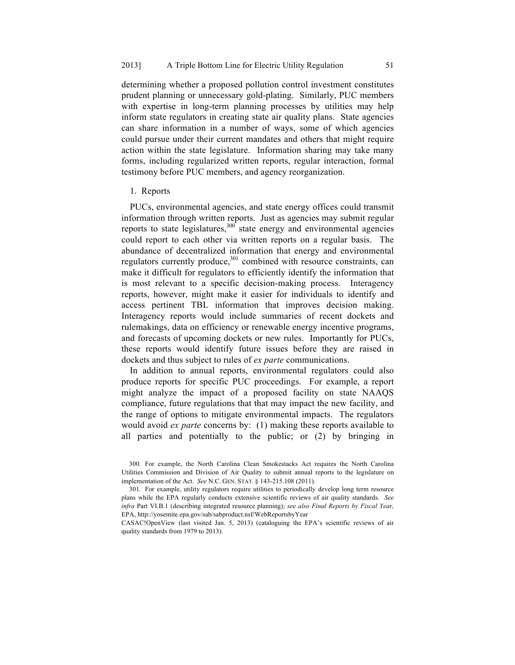determining whether a proposed pollution control investment constitutes prudent planning or unnecessary gold-plating. Similarly, PUC members with expertise in long-term planning processes by utilities may help inform state regulators in creating state air quality plans. State agencies can share information in a number of ways, some of which agencies could pursue under their current mandates and others that might require action within the state legislature. Information sharing may take many forms, including regularized written reports, regular interaction, formal testimony before PUC members, and agency reorganization.

#### 1. Reports

PUCs, environmental agencies, and state energy offices could transmit information through written reports. Just as agencies may submit regular reports to state legislatures,  $300^\circ$  state energy and environmental agencies could report to each other via written reports on a regular basis. The abundance of decentralized information that energy and environmental regulators currently produce,<sup>301</sup> combined with resource constraints, can make it difficult for regulators to efficiently identify the information that is most relevant to a specific decision-making process. Interagency reports, however, might make it easier for individuals to identify and access pertinent TBL information that improves decision making. Interagency reports would include summaries of recent dockets and rulemakings, data on efficiency or renewable energy incentive programs, and forecasts of upcoming dockets or new rules. Importantly for PUCs, these reports would identify future issues before they are raised in dockets and thus subject to rules of *ex parte* communications.

In addition to annual reports, environmental regulators could also produce reports for specific PUC proceedings. For example, a report might analyze the impact of a proposed facility on state NAAQS compliance, future regulations that that may impact the new facility, and the range of options to mitigate environmental impacts. The regulators would avoid *ex parte* concerns by: (1) making these reports available to all parties and potentially to the public; or (2) by bringing in

<sup>300.</sup> For example, the North Carolina Clean Smokestacks Act requires the North Carolina Utilities Commission and Division of Air Quality to submit annual reports to the legislature on implementation of the Act. *See* N.C. GEN. STAT. § 143-215.108 (2011).

<sup>301.</sup> For example, utility regulators require utilities to periodically develop long term resource plans while the EPA regularly conducts extensive scientific reviews of air quality standards. *See infra* Part VI.B.1 (describing integrated resource planning); *see also Final Reports by Fiscal Year,*  EPA, http://yosemite.epa.gov/sab/sabproduct.nsf/WebReportsbyYear

CASAC!OpenView (last visited Jan. 5, 2013) (cataloguing the EPA's scientific reviews of air quality standards from 1979 to 2013).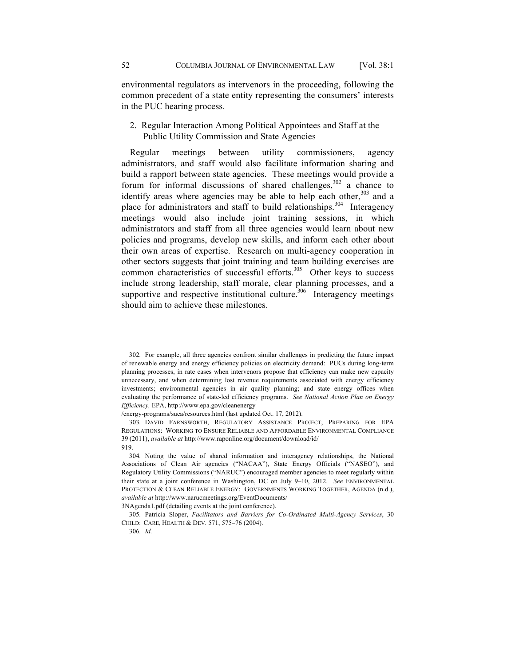environmental regulators as intervenors in the proceeding, following the common precedent of a state entity representing the consumers' interests in the PUC hearing process.

2. Regular Interaction Among Political Appointees and Staff at the Public Utility Commission and State Agencies

Regular meetings between utility commissioners, agency administrators, and staff would also facilitate information sharing and build a rapport between state agencies. These meetings would provide a forum for informal discussions of shared challenges,  $302$  a chance to identify areas where agencies may be able to help each other,  $303$  and a place for administrators and staff to build relationships.<sup>304</sup> Interagency meetings would also include joint training sessions, in which administrators and staff from all three agencies would learn about new policies and programs, develop new skills, and inform each other about their own areas of expertise. Research on multi-agency cooperation in other sectors suggests that joint training and team building exercises are common characteristics of successful efforts. $305$  Other keys to success include strong leadership, staff morale, clear planning processes, and a supportive and respective institutional culture.<sup>306</sup> Interagency meetings should aim to achieve these milestones.

302. For example, all three agencies confront similar challenges in predicting the future impact of renewable energy and energy efficiency policies on electricity demand: PUCs during long-term planning processes, in rate cases when intervenors propose that efficiency can make new capacity unnecessary, and when determining lost revenue requirements associated with energy efficiency investments; environmental agencies in air quality planning; and state energy offices when evaluating the performance of state-led efficiency programs. *See National Action Plan on Energy Efficiency,* EPA, http://www.epa.gov/cleanenergy

/energy-programs/suca/resources.html (last updated Oct. 17, 2012).

303. DAVID FARNSWORTH, REGULATORY ASSISTANCE PROJECT, PREPARING FOR EPA REGULATIONS: WORKING TO ENSURE RELIABLE AND AFFORDABLE ENVIRONMENTAL COMPLIANCE 39 (2011), *available at* http://www.raponline.org/document/download/id/ 919.

304. Noting the value of shared information and interagency relationships, the National Associations of Clean Air agencies ("NACAA"), State Energy Officials ("NASEO"), and Regulatory Utility Commissions ("NARUC") encouraged member agencies to meet regularly within their state at a joint conference in Washington, DC on July 9–10, 2012. *See* ENVIRONMENTAL PROTECTION & CLEAN RELIABLE ENERGY: GOVERNMENTS WORKING TOGETHER, AGENDA (n.d.), *available at* http://www.narucmeetings.org/EventDocuments/

3NAgenda1.pdf (detailing events at the joint conference).

305. Patricia Sloper, *Facilitators and Barriers for Co-Ordinated Multi-Agency Services*, 30 CHILD: CARE, HEALTH & DEV. 571, 575–76 (2004).

306. *Id.*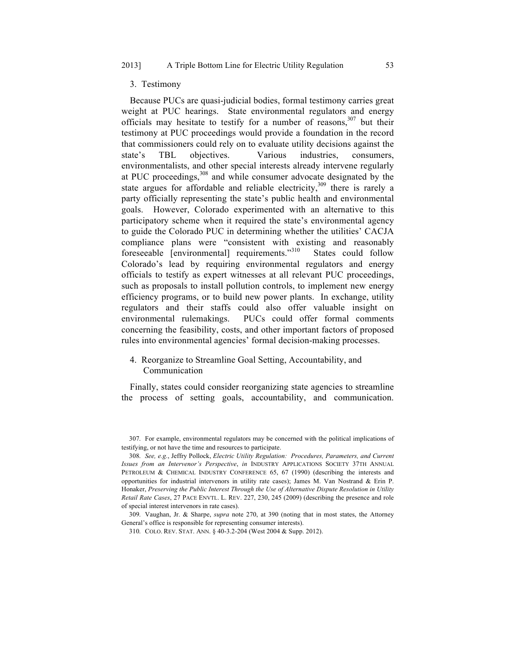## 3. Testimony

Because PUCs are quasi-judicial bodies, formal testimony carries great weight at PUC hearings. State environmental regulators and energy officials may hesitate to testify for a number of reasons, $307$  but their testimony at PUC proceedings would provide a foundation in the record that commissioners could rely on to evaluate utility decisions against the state's TBL objectives. Various industries, consumers, environmentalists, and other special interests already intervene regularly at PUC proceedings,<sup>308</sup> and while consumer advocate designated by the state argues for affordable and reliable electricity,  $309$  there is rarely a party officially representing the state's public health and environmental goals. However, Colorado experimented with an alternative to this participatory scheme when it required the state's environmental agency to guide the Colorado PUC in determining whether the utilities' CACJA compliance plans were "consistent with existing and reasonably foreseeable [environmental] requirements."310 States could follow Colorado's lead by requiring environmental regulators and energy officials to testify as expert witnesses at all relevant PUC proceedings, such as proposals to install pollution controls, to implement new energy efficiency programs, or to build new power plants. In exchange, utility regulators and their staffs could also offer valuable insight on environmental rulemakings. PUCs could offer formal comments concerning the feasibility, costs, and other important factors of proposed rules into environmental agencies' formal decision-making processes.

4. Reorganize to Streamline Goal Setting, Accountability, and Communication

Finally, states could consider reorganizing state agencies to streamline the process of setting goals, accountability, and communication.

<sup>307.</sup> For example, environmental regulators may be concerned with the political implications of testifying, or not have the time and resources to participate.

<sup>308.</sup> *See, e.g.*, Jeffry Pollock, *Electric Utility Regulation: Procedures, Parameters, and Current Issues from an Intervenor's Perspective*, *in* INDUSTRY APPLICATIONS SOCIETY 37TH ANNUAL PETROLEUM & CHEMICAL INDUSTRY CONFERENCE 65, 67 (1990) (describing the interests and opportunities for industrial intervenors in utility rate cases); James M. Van Nostrand & Erin P. Honaker, *Preserving the Public Interest Through the Use of Alternative Dispute Resolution in Utility Retail Rate Cases*, 27 PACE ENVTL. L. REV. 227, 230, 245 (2009) (describing the presence and role of special interest intervenors in rate cases).

<sup>309.</sup> Vaughan, Jr. & Sharpe, *supra* note 270, at 390 (noting that in most states, the Attorney General's office is responsible for representing consumer interests).

<sup>310.</sup> COLO. REV. STAT. ANN. § 40-3.2-204 (West 2004 & Supp. 2012).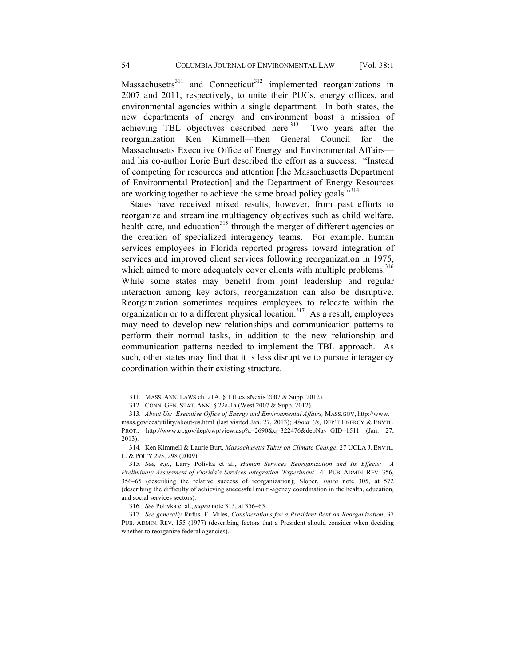Massachusetts<sup>311</sup> and Connecticut<sup>312</sup> implemented reorganizations in 2007 and 2011, respectively, to unite their PUCs, energy offices, and environmental agencies within a single department. In both states, the new departments of energy and environment boast a mission of achieving TBL objectives described here.<sup>313</sup> Two years after the reorganization Ken Kimmell—then General Council for the Massachusetts Executive Office of Energy and Environmental Affairs and his co-author Lorie Burt described the effort as a success: "Instead of competing for resources and attention [the Massachusetts Department of Environmental Protection] and the Department of Energy Resources are working together to achieve the same broad policy goals."<sup>314</sup>

States have received mixed results, however, from past efforts to reorganize and streamline multiagency objectives such as child welfare, health care, and education<sup>315</sup> through the merger of different agencies or the creation of specialized interagency teams. For example, human services employees in Florida reported progress toward integration of services and improved client services following reorganization in 1975, which aimed to more adequately cover clients with multiple problems.<sup>316</sup> While some states may benefit from joint leadership and regular interaction among key actors, reorganization can also be disruptive. Reorganization sometimes requires employees to relocate within the organization or to a different physical location.<sup>317</sup> As a result, employees may need to develop new relationships and communication patterns to perform their normal tasks, in addition to the new relationship and communication patterns needed to implement the TBL approach. As such, other states may find that it is less disruptive to pursue interagency coordination within their existing structure.

314. Ken Kimmell & Laurie Burt, *Massachusetts Takes on Climate Change,* 27 UCLA J. ENVTL. L. & POL'Y 295, 298 (2009).

315. *See, e.g.*, Larry Polivka et al., *Human Services Reorganization and Its Effects: A Preliminary Assessment of Florida's Services Integration 'Experiment'*, 41 PUB. ADMIN. REV*.* 356, 356–65 (describing the relative success of reorganization); Sloper, *supra* note 305, at 572 (describing the difficulty of achieving successful multi-agency coordination in the health, education, and social services sectors).

316. *See* Polivka et al., *supra* note 315, at 356–65.

317. *See generally* Rufus. E. Miles, *Considerations for a President Bent on Reorganization*, 37 PUB. ADMIN. REV. 155 (1977) (describing factors that a President should consider when deciding whether to reorganize federal agencies).

<sup>311.</sup> MASS. ANN. LAWS ch. 21A, § 1 (LexisNexis 2007 & Supp. 2012).

<sup>312.</sup> CONN. GEN. STAT. ANN. § 22a-1a (West 2007 & Supp. 2012).

<sup>313.</sup> *About Us: Executive Office of Energy and Environmental Affairs,* MASS.GOV, http://www. mass.gov/eea/utility/about-us.html (last visited Jan. 27, 2013); *About Us*, DEP'T ENERGY & ENVTL. PROT., http://www.ct.gov/dep/cwp/view.asp?a=2690&q=322476&depNav GID=1511 (Jan. 27, 2013).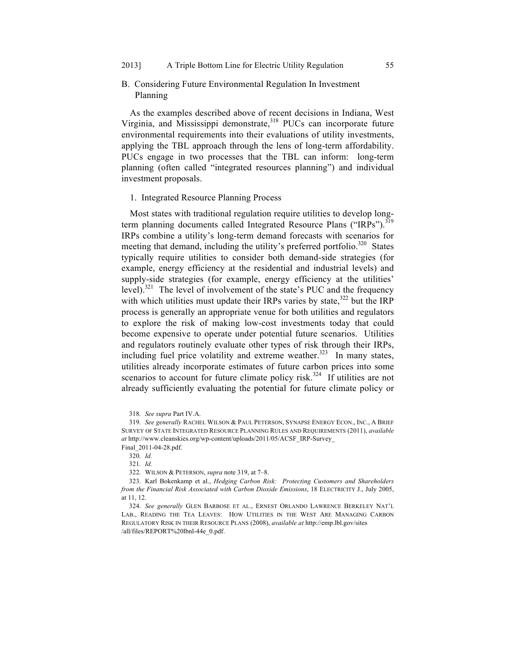# B. Considering Future Environmental Regulation In Investment Planning

As the examples described above of recent decisions in Indiana, West Virginia, and Mississippi demonstrate,  $318$  PUCs can incorporate future environmental requirements into their evaluations of utility investments, applying the TBL approach through the lens of long-term affordability. PUCs engage in two processes that the TBL can inform: long-term planning (often called "integrated resources planning") and individual investment proposals.

## 1. Integrated Resource Planning Process

Most states with traditional regulation require utilities to develop longterm planning documents called Integrated Resource Plans ("IRPs").<sup>319</sup> IRPs combine a utility's long-term demand forecasts with scenarios for meeting that demand, including the utility's preferred portfolio.<sup>320</sup> States typically require utilities to consider both demand-side strategies (for example, energy efficiency at the residential and industrial levels) and supply-side strategies (for example, energy efficiency at the utilities' level).<sup>321</sup> The level of involvement of the state's PUC and the frequency with which utilities must update their IRPs varies by state, $322$  but the IRP process is generally an appropriate venue for both utilities and regulators to explore the risk of making low-cost investments today that could become expensive to operate under potential future scenarios. Utilities and regulators routinely evaluate other types of risk through their IRPs, including fuel price volatility and extreme weather.<sup>323</sup> In many states, utilities already incorporate estimates of future carbon prices into some scenarios to account for future climate policy risk.<sup>324</sup> If utilities are not already sufficiently evaluating the potential for future climate policy or

<sup>318.</sup> *See supra* Part IV.A.

<sup>319.</sup> *See generally* RACHEL WILSON & PAUL PETERSON, SYNAPSE ENERGY ECON., INC., A BRIEF SURVEY OF STATE INTEGRATED RESOURCE PLANNING RULES AND REQUIREMENTS (2011), *available at* http://www.cleanskies.org/wp-content/uploads/2011/05/ACSF\_IRP-Survey\_

Final\_2011-04-28.pdf.

<sup>320.</sup> *Id.*

<sup>321.</sup> *Id.*

<sup>322.</sup> WILSON & PETERSON, *supra* note 319, at 7–8.

<sup>323.</sup> Karl Bokenkamp et al., *Hedging Carbon Risk: Protecting Customers and Shareholders from the Financial Risk Associated with Carbon Dioxide Emissions*, 18 ELECTRICITY J., July 2005, at 11, 12.

<sup>324.</sup> *See generally* GLEN BARBOSE ET AL., ERNEST ORLANDO LAWRENCE BERKELEY NAT'L LAB., READING THE TEA LEAVES: HOW UTILITIES IN THE WEST ARE MANAGING CARBON REGULATORY RISK IN THEIR RESOURCE PLANS (2008), *available at* http://emp.lbl.gov/sites /all/files/REPORT%20lbnl-44e\_0.pdf.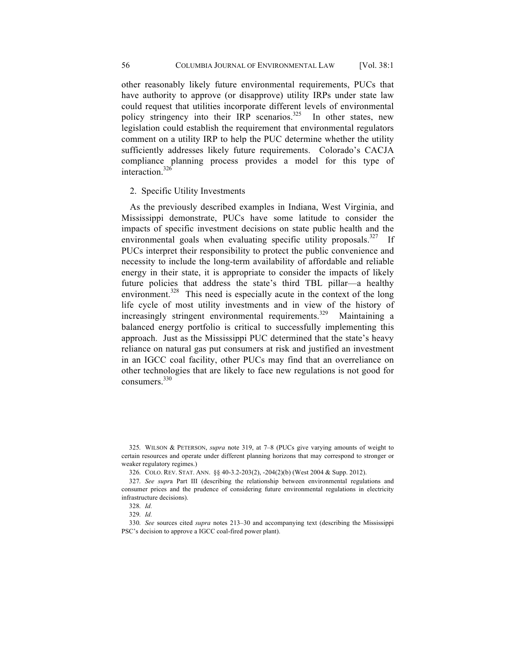other reasonably likely future environmental requirements, PUCs that have authority to approve (or disapprove) utility IRPs under state law could request that utilities incorporate different levels of environmental policy stringency into their IRP scenarios.<sup>325</sup> In other states, new legislation could establish the requirement that environmental regulators comment on a utility IRP to help the PUC determine whether the utility sufficiently addresses likely future requirements. Colorado's CACJA compliance planning process provides a model for this type of interaction.<sup>326</sup>

## 2. Specific Utility Investments

As the previously described examples in Indiana, West Virginia, and Mississippi demonstrate, PUCs have some latitude to consider the impacts of specific investment decisions on state public health and the environmental goals when evaluating specific utility proposals.<sup>327</sup> If PUCs interpret their responsibility to protect the public convenience and necessity to include the long-term availability of affordable and reliable energy in their state, it is appropriate to consider the impacts of likely future policies that address the state's third TBL pillar—a healthy environment.<sup>328</sup> This need is especially acute in the context of the long life cycle of most utility investments and in view of the history of increasingly stringent environmental requirements.<sup>329</sup> Maintaining a balanced energy portfolio is critical to successfully implementing this approach. Just as the Mississippi PUC determined that the state's heavy reliance on natural gas put consumers at risk and justified an investment in an IGCC coal facility, other PUCs may find that an overreliance on other technologies that are likely to face new regulations is not good for consumers.<sup>330</sup>

<sup>325.</sup> WILSON & PETERSON, *supra* note 319, at 7–8 (PUCs give varying amounts of weight to certain resources and operate under different planning horizons that may correspond to stronger or weaker regulatory regimes.)

<sup>326.</sup> COLO. REV. STAT. ANN. §§ 40-3.2-203(2), -204(2)(b) (West 2004 & Supp. 2012).

<sup>327.</sup> *See supr*a Part III (describing the relationship between environmental regulations and consumer prices and the prudence of considering future environmental regulations in electricity infrastructure decisions).

<sup>328.</sup> *Id.*

<sup>329.</sup> *Id.*

<sup>330.</sup> *See* sources cited *supra* notes 213–30 and accompanying text (describing the Mississippi PSC's decision to approve a IGCC coal-fired power plant).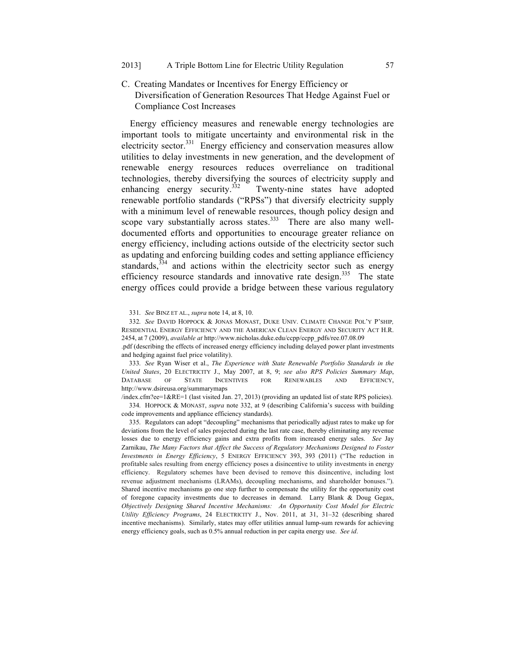C. Creating Mandates or Incentives for Energy Efficiency or Diversification of Generation Resources That Hedge Against Fuel or Compliance Cost Increases

Energy efficiency measures and renewable energy technologies are important tools to mitigate uncertainty and environmental risk in the electricity sector.<sup>331</sup> Energy efficiency and conservation measures allow utilities to delay investments in new generation, and the development of renewable energy resources reduces overreliance on traditional technologies, thereby diversifying the sources of electricity supply and enhancing energy security.<sup>332</sup> Twenty-nine states have adopted renewable portfolio standards ("RPSs") that diversify electricity supply with a minimum level of renewable resources, though policy design and scope vary substantially across states. $333$  There are also many welldocumented efforts and opportunities to encourage greater reliance on energy efficiency, including actions outside of the electricity sector such as updating and enforcing building codes and setting appliance efficiency standards,  $334$  and actions within the electricity sector such as energy efficiency resource standards and innovative rate design.<sup>335</sup> The state energy offices could provide a bridge between these various regulatory

332. *See* DAVID HOPPOCK & JONAS MONAST, DUKE UNIV. CLIMATE CHANGE POL'Y P'SHIP*,* RESIDENTIAL ENERGY EFFICIENCY AND THE AMERICAN CLEAN ENERGY AND SECURITY ACT H.R. 2454, at 7 (2009), *available at* http://www.nicholas.duke.edu/ccpp/ccpp\_pdfs/ree.07.08.09

.pdf (describing the effects of increased energy efficiency including delayed power plant investments and hedging against fuel price volatility).

333. *See* Ryan Wiser et al., *The Experience with State Renewable Portfolio Standards in the United States*, 20 ELECTRICITY J., May 2007, at 8, 9; *see also RPS Policies Summary Map*, DATABASE OF STATE INCENTIVES FOR RENEWABLES AND EFFICIENCY, http://www.dsireusa.org/summarymaps

/index.cfm?ee=1&RE=1 (last visited Jan. 27, 2013) (providing an updated list of state RPS policies). 334. HOPPOCK & MONAST, *supra* note 332, at 9 (describing California's success with building code improvements and appliance efficiency standards).

335. Regulators can adopt "decoupling" mechanisms that periodically adjust rates to make up for deviations from the level of sales projected during the last rate case, thereby eliminating any revenue losses due to energy efficiency gains and extra profits from increased energy sales. *See* Jay Zarnikau, *The Many Factors that Affect the Success of Regulatory Mechanisms Designed to Foster Investments in Energy Efficiency*, 5 ENERGY EFFICIENCY 393, 393 (2011) ("The reduction in profitable sales resulting from energy efficiency poses a disincentive to utility investments in energy efficiency. Regulatory schemes have been devised to remove this disincentive, including lost revenue adjustment mechanisms (LRAMs), decoupling mechanisms, and shareholder bonuses."). Shared incentive mechanisms go one step further to compensate the utility for the opportunity cost of foregone capacity investments due to decreases in demand. Larry Blank & Doug Gegax, *Objectively Designing Shared Incentive Mechanisms: An Opportunity Cost Model for Electric Utility Efficiency Programs*, 24 ELECTRICITY J., Nov. 2011, at 31, 31–32 (describing shared incentive mechanisms). Similarly, states may offer utilities annual lump-sum rewards for achieving energy efficiency goals, such as 0.5% annual reduction in per capita energy use. *See id*.

<sup>331.</sup> *See* BINZ ET AL., *supra* note 14, at 8, 10.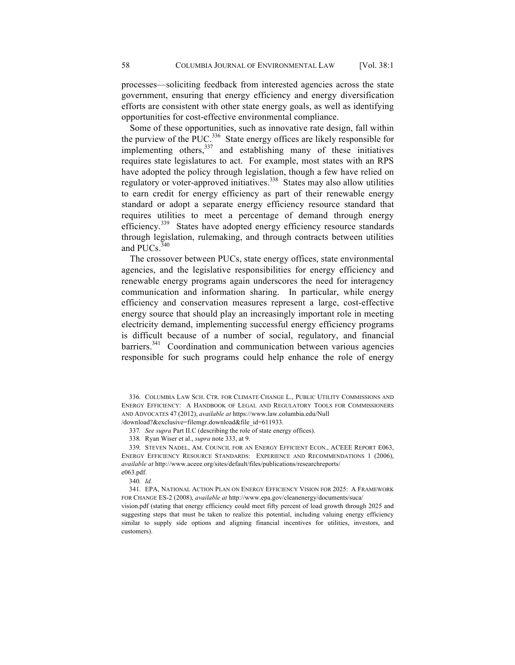processes—soliciting feedback from interested agencies across the state government, ensuring that energy efficiency and energy diversification efforts are consistent with other state energy goals, as well as identifying opportunities for cost-effective environmental compliance.

Some of these opportunities, such as innovative rate design, fall within the purview of the PUC. $^{336}$  State energy offices are likely responsible for implementing others,<sup>337</sup> and establishing many of these initiatives requires state legislatures to act. For example, most states with an RPS have adopted the policy through legislation, though a few have relied on regulatory or voter-approved initiatives.<sup>338</sup> States may also allow utilities to earn credit for energy efficiency as part of their renewable energy standard or adopt a separate energy efficiency resource standard that requires utilities to meet a percentage of demand through energy efficiency.<sup>339</sup> States have adopted energy efficiency resource standards through legislation, rulemaking, and through contracts between utilities and PUCs.<sup>340</sup>

The crossover between PUCs, state energy offices, state environmental agencies, and the legislative responsibilities for energy efficiency and renewable energy programs again underscores the need for interagency communication and information sharing. In particular, while energy efficiency and conservation measures represent a large, cost-effective energy source that should play an increasingly important role in meeting electricity demand, implementing successful energy efficiency programs is difficult because of a number of social, regulatory, and financial  $barrier$ <sup>341</sup> Coordination and communication between various agencies responsible for such programs could help enhance the role of energy

338. Ryan Wiser et al., *supra* note 333, at 9.

339. STEVEN NADEL, AM. COUNCIL FOR AN ENERGY EFFICIENT ECON., ACEEE REPORT E063, ENERGY EFFICIENCY RESOURCE STANDARDS: EXPERIENCE AND RECOMMENDATIONS 1 (2006), *available at* http://www.aceee.org/sites/default/files/publications/researchreports/ e063.pdf.

340. *Id.*

341. EPA, NATIONAL ACTION PLAN ON ENERGY EFFICIENCY VISION FOR 2025: A FRAMEWORK FOR CHANGE ES-2 (2008), *available at* http://www.epa.gov/cleanenergy/documents/suca/

vision.pdf (stating that energy efficiency could meet fifty percent of load growth through 2025 and suggesting steps that must be taken to realize this potential, including valuing energy efficiency similar to supply side options and aligning financial incentives for utilities, investors, and customers).

<sup>336.</sup> COLUMBIA LAW SCH. CTR. FOR CLIMATE CHANGE L., PUBLIC UTILITY COMMISSIONS AND ENERGY EFFICIENCY: A HANDBOOK OF LEGAL AND REGULATORY TOOLS FOR COMMISSIONERS AND ADVOCATES 47 (2012), *available at* https://www.law.columbia.edu/Null /download?&exclusive=filemgr.download&file\_id=611933.

<sup>337</sup>*. See supra* Part II.C (describing the role of state energy offices).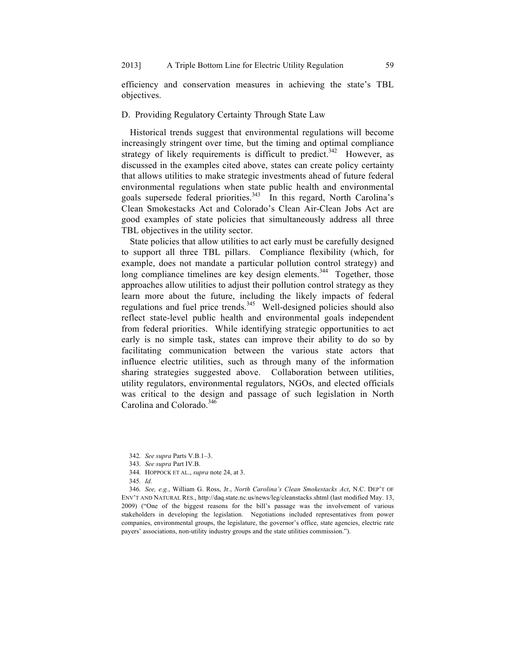efficiency and conservation measures in achieving the state's TBL objectives.

# D. Providing Regulatory Certainty Through State Law

Historical trends suggest that environmental regulations will become increasingly stringent over time, but the timing and optimal compliance strategy of likely requirements is difficult to predict.<sup>342</sup> However, as discussed in the examples cited above, states can create policy certainty that allows utilities to make strategic investments ahead of future federal environmental regulations when state public health and environmental goals supersede federal priorities.<sup>343</sup> In this regard, North Carolina's Clean Smokestacks Act and Colorado's Clean Air-Clean Jobs Act are good examples of state policies that simultaneously address all three TBL objectives in the utility sector.

State policies that allow utilities to act early must be carefully designed to support all three TBL pillars. Compliance flexibility (which, for example, does not mandate a particular pollution control strategy) and long compliance timelines are key design elements.<sup>344</sup> Together, those approaches allow utilities to adjust their pollution control strategy as they learn more about the future, including the likely impacts of federal regulations and fuel price trends.345 Well-designed policies should also reflect state-level public health and environmental goals independent from federal priorities. While identifying strategic opportunities to act early is no simple task, states can improve their ability to do so by facilitating communication between the various state actors that influence electric utilities, such as through many of the information sharing strategies suggested above. Collaboration between utilities, utility regulators, environmental regulators, NGOs, and elected officials was critical to the design and passage of such legislation in North Carolina and Colorado.<sup>346</sup>

346. *See, e.g.*, William G. Ross, Jr., *North Carolina's Clean Smokestacks Act*, N.C. DEP'T OF ENV'T AND NATURAL RES., http://daq.state.nc.us/news/leg/cleanstacks.shtml (last modified May. 13, 2009) ("One of the biggest reasons for the bill's passage was the involvement of various stakeholders in developing the legislation. Negotiations included representatives from power companies, environmental groups, the legislature, the governor's office, state agencies, electric rate payers' associations, non-utility industry groups and the state utilities commission.").

<sup>342.</sup> *See supra* Parts V.B.1–3.

<sup>343.</sup> *See supra* Part IV.B.

<sup>344.</sup> HOPPOCK ET AL., *supra* note 24, at 3.

<sup>345.</sup> *Id.*